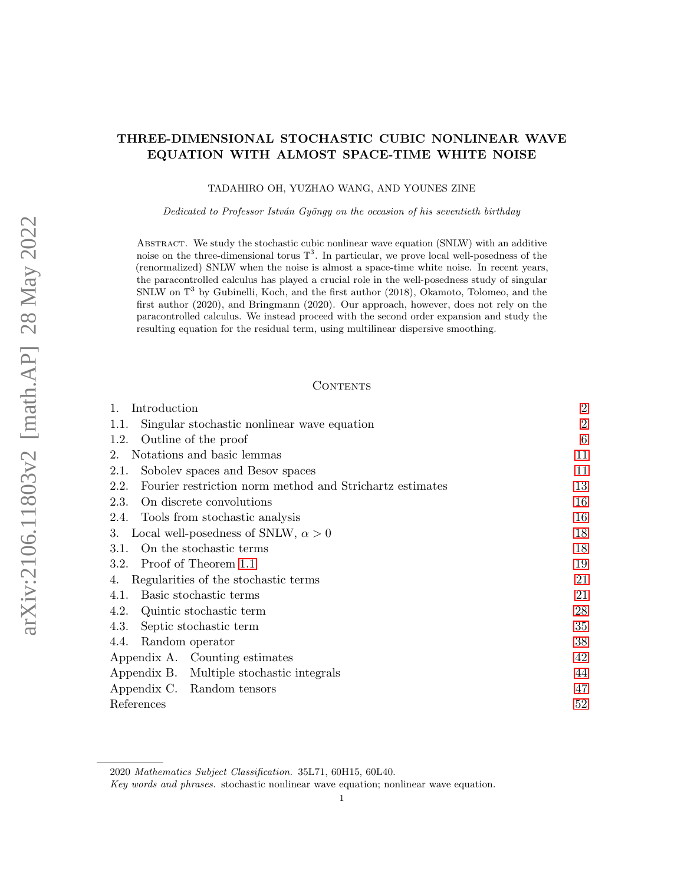# THREE-DIMENSIONAL STOCHASTIC CUBIC NONLINEAR WAVE EQUATION WITH ALMOST SPACE-TIME WHITE NOISE

TADAHIRO OH, YUZHAO WANG, AND YOUNES ZINE

Dedicated to Professor István Gyöngy on the occasion of his seventieth birthday

ABSTRACT. We study the stochastic cubic nonlinear wave equation (SNLW) with an additive noise on the three-dimensional torus  $\mathbb{T}^3$ . In particular, we prove local well-posedness of the (renormalized) SNLW when the noise is almost a space-time white noise. In recent years, the paracontrolled calculus has played a crucial role in the well-posedness study of singular SNLW on  $\mathbb{T}^3$  by Gubinelli, Koch, and the first author (2018), Okamoto, Tolomeo, and the first author (2020), and Bringmann (2020). Our approach, however, does not rely on the paracontrolled calculus. We instead proceed with the second order expansion and study the resulting equation for the residual term, using multilinear dispersive smoothing.

#### **CONTENTS**

| Introduction                                                     | $\overline{2}$ |
|------------------------------------------------------------------|----------------|
| Singular stochastic nonlinear wave equation<br>1.1.              | $\overline{2}$ |
| Outline of the proof<br>1.2.                                     | 6              |
| Notations and basic lemmas<br>2.                                 | 11             |
| Sobolev spaces and Besov spaces<br>2.1.                          | 11             |
| Fourier restriction norm method and Strichartz estimates<br>2.2. | 13             |
| On discrete convolutions<br>2.3.                                 | 16             |
| Tools from stochastic analysis<br>2.4.                           | 16             |
| Local well-posedness of SNLW, $\alpha > 0$<br>3.                 | 18             |
| On the stochastic terms<br>3.1.                                  | 18             |
| Proof of Theorem 1.1<br>3.2.                                     | 19             |
| Regularities of the stochastic terms<br>4.                       | 21             |
| Basic stochastic terms<br>4.1.                                   | 21             |
| Quintic stochastic term<br>4.2.                                  | 28             |
| 4.3.<br>Septic stochastic term                                   | 35             |
| Random operator<br>4.4.                                          | 38             |
| Appendix A. Counting estimates                                   | 42             |
| Appendix B. Multiple stochastic integrals                        | 44             |
| Appendix C. Random tensors                                       | 47             |
| References                                                       | 52             |

<sup>2020</sup> Mathematics Subject Classification. 35L71, 60H15, 60L40.

Key words and phrases. stochastic nonlinear wave equation; nonlinear wave equation.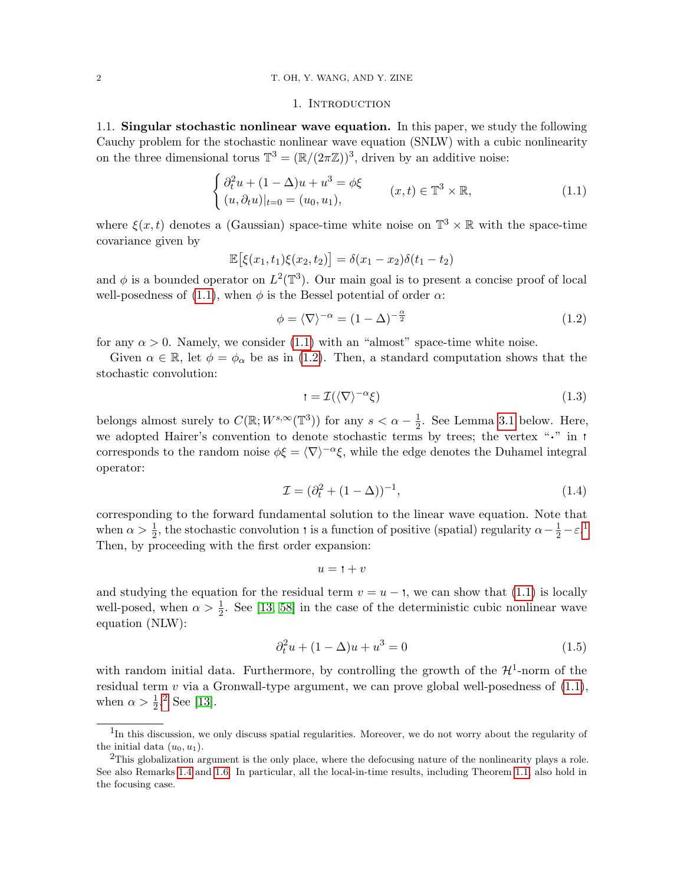## <span id="page-1-2"></span>1. INTRODUCTION

<span id="page-1-1"></span><span id="page-1-0"></span>1.1. Singular stochastic nonlinear wave equation. In this paper, we study the following Cauchy problem for the stochastic nonlinear wave equation (SNLW) with a cubic nonlinearity on the three dimensional torus  $\mathbb{T}^3 = (\mathbb{R}/(2\pi\mathbb{Z}))^3$ , driven by an additive noise:

$$
\begin{cases}\n\partial_t^2 u + (1 - \Delta)u + u^3 = \phi \xi \\
(u, \partial_t u)|_{t=0} = (u_0, u_1),\n\end{cases} \quad (x, t) \in \mathbb{T}^3 \times \mathbb{R},
$$
\n(1.1)

where  $\xi(x,t)$  denotes a (Gaussian) space-time white noise on  $\mathbb{T}^3 \times \mathbb{R}$  with the space-time covariance given by

$$
\mathbb{E}\big[\xi(x_1,t_1)\xi(x_2,t_2)\big]=\delta(x_1-x_2)\delta(t_1-t_2)
$$

and  $\phi$  is a bounded operator on  $L^2(\mathbb{T}^3)$ . Our main goal is to present a concise proof of local well-posedness of [\(1.1\)](#page-1-2), when  $\phi$  is the Bessel potential of order  $\alpha$ :

$$
\phi = \langle \nabla \rangle^{-\alpha} = (1 - \Delta)^{-\frac{\alpha}{2}} \tag{1.2}
$$

for any  $\alpha > 0$ . Namely, we consider [\(1.1\)](#page-1-2) with an "almost" space-time white noise.

Given  $\alpha \in \mathbb{R}$ , let  $\phi = \phi_{\alpha}$  be as in [\(1.2\)](#page-1-3). Then, a standard computation shows that the stochastic convolution:

<span id="page-1-7"></span><span id="page-1-3"></span>
$$
t = \mathcal{I}(\langle \nabla \rangle^{-\alpha} \xi) \tag{1.3}
$$

belongs almost surely to  $C(\mathbb{R}; W^{s,\infty}(\mathbb{T}^3))$  for any  $s < \alpha - \frac{1}{2}$  $\frac{1}{2}$ . See Lemma [3.1](#page-17-2) below. Here, we adopted Hairer's convention to denote stochastic terms by trees; the vertex " $\cdot$ " in  $\cdot$ " corresponds to the random noise  $\phi \xi = \langle \nabla \rangle^{-\alpha} \xi$ , while the edge denotes the Duhamel integral operator:

$$
\mathcal{I} = (\partial_t^2 + (1 - \Delta))^{-1},\tag{1.4}
$$

corresponding to the forward fundamental solution to the linear wave equation. Note that when  $\alpha > \frac{1}{2}$  $\alpha > \frac{1}{2}$  $\alpha > \frac{1}{2}$ , the stochastic convolution is a function of positive (spatial) regularity  $\alpha - \frac{1}{2} - \varepsilon$ <sup>1</sup>. Then, by proceeding with the first order expansion:

<span id="page-1-8"></span><span id="page-1-6"></span>
$$
u = \mathbf{1} + v
$$

and studying the equation for the residual term  $v = u - \mathfrak{t}$ , we can show that [\(1.1\)](#page-1-2) is locally well-posed, when  $\alpha > \frac{1}{2}$ . See [\[13,](#page-51-1) [58\]](#page-53-0) in the case of the deterministic cubic nonlinear wave equation (NLW):

$$
\partial_t^2 u + (1 - \Delta)u + u^3 = 0 \tag{1.5}
$$

with random initial data. Furthermore, by controlling the growth of the  $\mathcal{H}^1$ -norm of the residual term v via a Gronwall-type argument, we can prove global well-posedness of  $(1.1)$ , when  $\alpha > \frac{1}{2}$  $\alpha > \frac{1}{2}$  $\alpha > \frac{1}{2}$ .<sup>2</sup> See [\[13\]](#page-51-1).

<span id="page-1-4"></span><sup>&</sup>lt;sup>1</sup>In this discussion, we only discuss spatial regularities. Moreover, we do not worry about the regularity of the initial data  $(u_0, u_1)$ .

<span id="page-1-5"></span><sup>&</sup>lt;sup>2</sup>This globalization argument is the only place, where the defocusing nature of the nonlinearity plays a role. See also Remarks [1.4](#page-4-0) and [1.6.](#page-5-1) In particular, all the local-in-time results, including Theorem [1.1,](#page-2-0) also hold in the focusing case.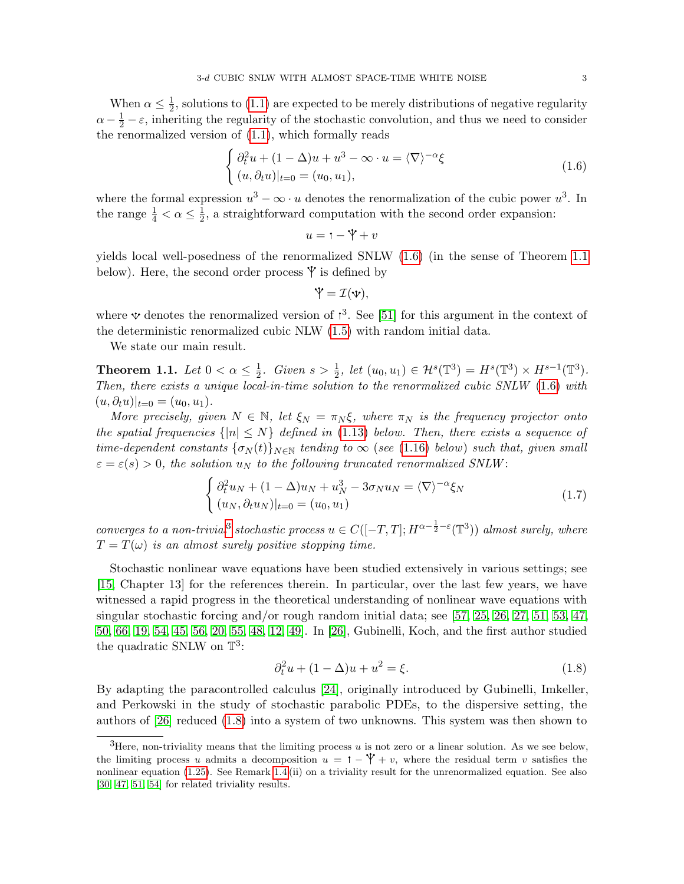When  $\alpha \leq \frac{1}{2}$  $\frac{1}{2}$ , solutions to [\(1.1\)](#page-1-2) are expected to be merely distributions of negative regularity  $\alpha - \frac{1}{2} - \varepsilon$ , inheriting the regularity of the stochastic convolution, and thus we need to consider the renormalized version of [\(1.1\)](#page-1-2), which formally reads

$$
\begin{cases} \partial_t^2 u + (1 - \Delta)u + u^3 - \infty \cdot u = \langle \nabla \rangle^{-\alpha} \xi \\ (u, \partial_t u)|_{t=0} = (u_0, u_1), \end{cases}
$$
 (1.6)

where the formal expression  $u^3 - \infty \cdot u$  denotes the renormalization of the cubic power  $u^3$ . In the range  $\frac{1}{4} < \alpha \leq \frac{1}{2}$  $\frac{1}{2}$ , a straightforward computation with the second order expansion:

<span id="page-2-1"></span>
$$
u = \mathbf{1} - \mathbf{Y} + v
$$

yields local well-posedness of the renormalized SNLW [\(1.6\)](#page-2-1) (in the sense of Theorem [1.1](#page-2-0) below). Here, the second order process  $\mathbf{\hat{y}}$  is defined by

<span id="page-2-4"></span>
$$
\mathbf{\dot{Y}}=\mathcal{I}(\mathbf{v}),
$$

where  $\Psi$  denotes the renormalized version of  $\mathfrak{t}^3$ . See [\[51\]](#page-53-1) for this argument in the context of the deterministic renormalized cubic NLW [\(1.5\)](#page-1-6) with random initial data.

We state our main result.

<span id="page-2-0"></span>Theorem 1.1. Let  $0 < \alpha \leq \frac{1}{2}$  $\frac{1}{2}$ . Given  $s > \frac{1}{2}$ , let  $(u_0, u_1) \in \mathcal{H}^s(\mathbb{T}^3) = H^s(\mathbb{T}^3) \times H^{s-1}(\mathbb{T}^3)$ . Then, there exists a unique local-in-time solution to the renormalized cubic SNLW [\(1.6\)](#page-2-1) with  $(u, \partial_t u)|_{t=0} = (u_0, u_1).$ 

More precisely, given  $N \in \mathbb{N}$ , let  $\xi_N = \pi_N \xi$ , where  $\pi_N$  is the frequency projector onto the spatial frequencies  $\{|n| \leq N\}$  defined in [\(1.13\)](#page-5-2) below. Then, there exists a sequence of time-dependent constants  $\{\sigma_N(t)\}_{N\in\mathbb{N}}$  tending to  $\infty$  (see [\(1.16\)](#page-6-0) below) such that, given small  $\varepsilon = \varepsilon(s) > 0$ , the solution  $u_N$  to the following truncated renormalized SNLW:

$$
\begin{cases}\n\partial_t^2 u_N + (1 - \Delta)u_N + u_N^3 - 3\sigma_N u_N = \langle \nabla \rangle^{-\alpha} \xi_N \\
(u_N, \partial_t u_N)|_{t=0} = (u_0, u_1)\n\end{cases}
$$
\n(1.7)

converges to a non-trivial<sup>[3](#page-2-2)</sup> stochastic process  $u \in C([-T,T];H^{\alpha-\frac{1}{2}-\varepsilon}(\mathbb{T}^3))$  almost surely, where  $T = T(\omega)$  is an almost surely positive stopping time.

Stochastic nonlinear wave equations have been studied extensively in various settings; see [\[15,](#page-51-2) Chapter 13] for the references therein. In particular, over the last few years, we have witnessed a rapid progress in the theoretical understanding of nonlinear wave equations with singular stochastic forcing and/or rough random initial data; see [\[57,](#page-53-2) [25,](#page-52-0) [26,](#page-52-1) [27,](#page-52-2) [51,](#page-53-1) [53,](#page-53-3) [47,](#page-53-4) [50,](#page-53-5) [66,](#page-53-6) [19,](#page-52-3) [54,](#page-53-7) [45,](#page-53-8) [56,](#page-53-9) [20,](#page-52-4) [55,](#page-53-10) [48,](#page-53-11) [12,](#page-51-3) [49\]](#page-53-12). In [\[26\]](#page-52-1), Gubinelli, Koch, and the first author studied the quadratic SNLW on  $\mathbb{T}^3$ :

<span id="page-2-3"></span>
$$
\partial_t^2 u + (1 - \Delta)u + u^2 = \xi.
$$
 (1.8)

By adapting the paracontrolled calculus [\[24\]](#page-52-5), originally introduced by Gubinelli, Imkeller, and Perkowski in the study of stochastic parabolic PDEs, to the dispersive setting, the authors of [\[26\]](#page-52-1) reduced [\(1.8\)](#page-2-3) into a system of two unknowns. This system was then shown to

<span id="page-2-2"></span><sup>&</sup>lt;sup>3</sup>Here, non-triviality means that the limiting process  $u$  is not zero or a linear solution. As we see below, the limiting process u admits a decomposition  $u = \mathbf{1} - \mathbf{Y} + v$ , where the residual term v satisfies the nonlinear equation [\(1.25\)](#page-8-0). See Remark [1.4](#page-4-0) (ii) on a triviality result for the unrenormalized equation. See also [\[30,](#page-52-6) [47,](#page-53-4) [51,](#page-53-1) [54\]](#page-53-7) for related triviality results.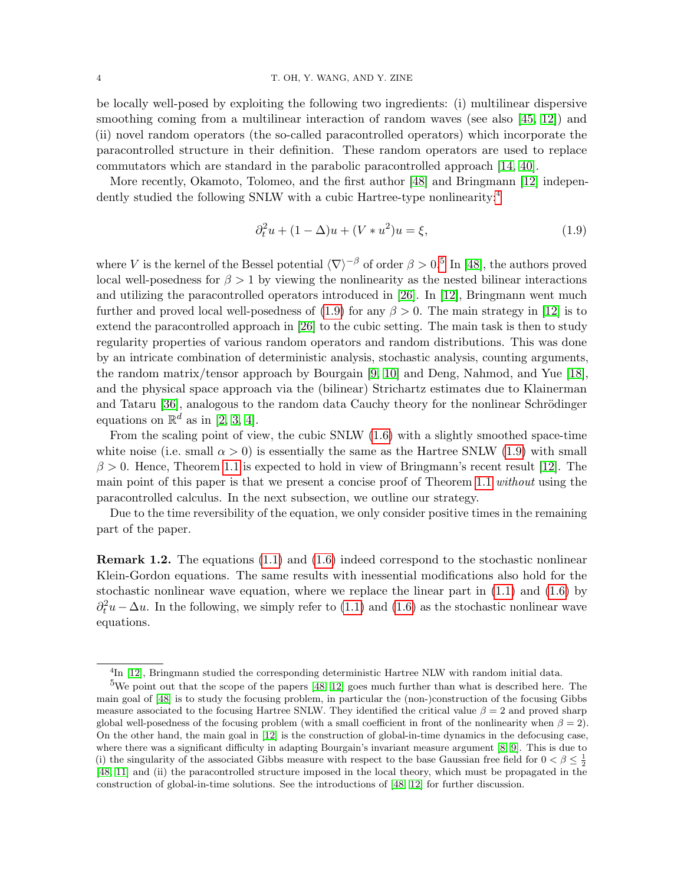be locally well-posed by exploiting the following two ingredients: (i) multilinear dispersive smoothing coming from a multilinear interaction of random waves (see also [\[45,](#page-53-8) [12\]](#page-51-3)) and (ii) novel random operators (the so-called paracontrolled operators) which incorporate the paracontrolled structure in their definition. These random operators are used to replace commutators which are standard in the parabolic paracontrolled approach [\[14,](#page-51-4) [40\]](#page-52-7).

More recently, Okamoto, Tolomeo, and the first author [\[48\]](#page-53-11) and Bringmann [\[12\]](#page-51-3) indepen-dently studied the following SNLW with a cubic Hartree-type nonlinearity:<sup>[4](#page-3-0)</sup>

<span id="page-3-2"></span>
$$
\partial_t^2 u + (1 - \Delta)u + (V * u^2)u = \xi,
$$
\n(1.9)

where V is the kernel of the Bessel potential  $\langle \nabla \rangle^{-\beta}$  of order  $\beta > 0.5$  $\beta > 0.5$  In [\[48\]](#page-53-11), the authors proved local well-posedness for  $\beta > 1$  by viewing the nonlinearity as the nested bilinear interactions and utilizing the paracontrolled operators introduced in [\[26\]](#page-52-1). In [\[12\]](#page-51-3), Bringmann went much further and proved local well-posedness of  $(1.9)$  for any  $\beta > 0$ . The main strategy in [\[12\]](#page-51-3) is to extend the paracontrolled approach in [\[26\]](#page-52-1) to the cubic setting. The main task is then to study regularity properties of various random operators and random distributions. This was done by an intricate combination of deterministic analysis, stochastic analysis, counting arguments, the random matrix/tensor approach by Bourgain [\[9,](#page-51-5) [10\]](#page-51-6) and Deng, Nahmod, and Yue [\[18\]](#page-52-8), and the physical space approach via the (bilinear) Strichartz estimates due to Klainerman and Tataru [\[36\]](#page-52-9), analogous to the random data Cauchy theory for the nonlinear Schrödinger equations on  $\mathbb{R}^d$  as in [\[2,](#page-51-7) [3,](#page-51-8) [4\]](#page-51-9).

From the scaling point of view, the cubic SNLW [\(1.6\)](#page-2-1) with a slightly smoothed space-time white noise (i.e. small  $\alpha > 0$ ) is essentially the same as the Hartree SNLW [\(1.9\)](#page-3-2) with small  $\beta > 0$ . Hence, Theorem [1.1](#page-2-0) is expected to hold in view of Bringmann's recent result [\[12\]](#page-51-3). The main point of this paper is that we present a concise proof of Theorem [1.1](#page-2-0) without using the paracontrolled calculus. In the next subsection, we outline our strategy.

Due to the time reversibility of the equation, we only consider positive times in the remaining part of the paper.

Remark 1.2. The equations [\(1.1\)](#page-1-2) and [\(1.6\)](#page-2-1) indeed correspond to the stochastic nonlinear Klein-Gordon equations. The same results with inessential modifications also hold for the stochastic nonlinear wave equation, where we replace the linear part in  $(1.1)$  and  $(1.6)$  by  $\partial_t^2 u - \Delta u$ . In the following, we simply refer to [\(1.1\)](#page-1-2) and [\(1.6\)](#page-2-1) as the stochastic nonlinear wave equations.

<span id="page-3-1"></span><span id="page-3-0"></span><sup>&</sup>lt;sup>4</sup>In [\[12\]](#page-51-3), Bringmann studied the corresponding deterministic Hartree NLW with random initial data.

<sup>&</sup>lt;sup>5</sup>We point out that the scope of the papers  $[48, 12]$  $[48, 12]$  $[48, 12]$  goes much further than what is described here. The main goal of [\[48\]](#page-53-11) is to study the focusing problem, in particular the (non-)construction of the focusing Gibbs measure associated to the focusing Hartree SNLW. They identified the critical value  $\beta = 2$  and proved sharp global well-posedness of the focusing problem (with a small coefficient in front of the nonlinearity when  $\beta = 2$ ). On the other hand, the main goal in [\[12\]](#page-51-3) is the construction of global-in-time dynamics in the defocusing case, where there was a significant difficulty in adapting Bourgain's invariant measure argument [\[8,](#page-51-10) [9\]](#page-51-5). This is due to (i) the singularity of the associated Gibbs measure with respect to the base Gaussian free field for  $0 < \beta \leq \frac{1}{2}$ [\[48,](#page-53-11) [11\]](#page-51-11) and (ii) the paracontrolled structure imposed in the local theory, which must be propagated in the construction of global-in-time solutions. See the introductions of [\[48,](#page-53-11) [12\]](#page-51-3) for further discussion.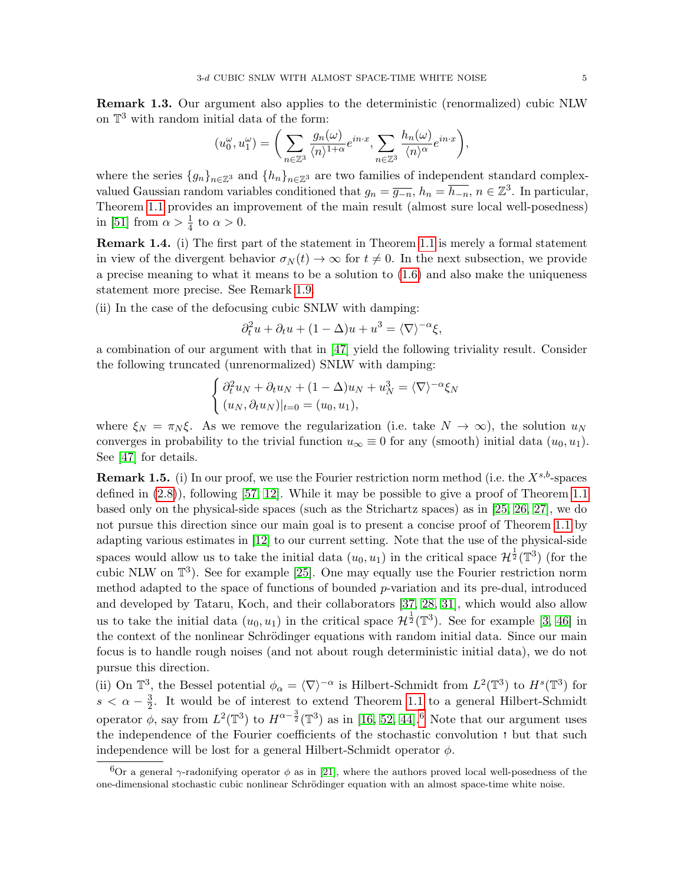Remark 1.3. Our argument also applies to the deterministic (renormalized) cubic NLW on T <sup>3</sup> with random initial data of the form:

$$
(u_0^{\omega}, u_1^{\omega}) = \bigg(\sum_{n \in \mathbb{Z}^3} \frac{g_n(\omega)}{\langle n \rangle^{1+\alpha}} e^{in \cdot x}, \sum_{n \in \mathbb{Z}^3} \frac{h_n(\omega)}{\langle n \rangle^{\alpha}} e^{in \cdot x}\bigg),
$$

where the series  $\{g_n\}_{n\in\mathbb{Z}^3}$  and  $\{h_n\}_{n\in\mathbb{Z}^3}$  are two families of independent standard complexvalued Gaussian random variables conditioned that  $g_n = \overline{g_{-n}}$ ,  $h_n = \overline{h_{-n}}$ ,  $n \in \mathbb{Z}^3$ . In particular, Theorem [1.1](#page-2-0) provides an improvement of the main result (almost sure local well-posedness) in [\[51\]](#page-53-1) from  $\alpha > \frac{1}{4}$  to  $\alpha > 0$ .

<span id="page-4-0"></span>Remark 1.4. (i) The first part of the statement in Theorem [1.1](#page-2-0) is merely a formal statement in view of the divergent behavior  $\sigma_N(t) \to \infty$  for  $t \neq 0$ . In the next subsection, we provide a precise meaning to what it means to be a solution to [\(1.6\)](#page-2-1) and also make the uniqueness statement more precise. See Remark [1.9.](#page-9-0)

(ii) In the case of the defocusing cubic SNLW with damping:

$$
\partial_t^2 u + \partial_t u + (1 - \Delta)u + u^3 = \langle \nabla \rangle^{-\alpha} \xi,
$$

a combination of our argument with that in [\[47\]](#page-53-4) yield the following triviality result. Consider the following truncated (unrenormalized) SNLW with damping:

$$
\begin{cases} \partial_t^2 u_N + \partial_t u_N + (1 - \Delta)u_N + u_N^3 = \langle \nabla \rangle^{-\alpha} \xi_N \\ (u_N, \partial_t u_N)|_{t=0} = (u_0, u_1), \end{cases}
$$

where  $\xi_N = \pi_N \xi$ . As we remove the regularization (i.e. take  $N \to \infty$ ), the solution  $u_N$ converges in probability to the trivial function  $u_{\infty} \equiv 0$  for any (smooth) initial data  $(u_0, u_1)$ . See [\[47\]](#page-53-4) for details.

**Remark 1.5.** (i) In our proof, we use the Fourier restriction norm method (i.e. the  $X^{s,b}$ -spaces defined in  $(2.8)$ , following [\[57,](#page-53-2) [12\]](#page-51-3). While it may be possible to give a proof of Theorem [1.1](#page-2-0) based only on the physical-side spaces (such as the Strichartz spaces) as in [\[25,](#page-52-0) [26,](#page-52-1) [27\]](#page-52-2), we do not pursue this direction since our main goal is to present a concise proof of Theorem [1.1](#page-2-0) by adapting various estimates in [\[12\]](#page-51-3) to our current setting. Note that the use of the physical-side spaces would allow us to take the initial data  $(u_0, u_1)$  in the critical space  $\mathcal{H}^{\frac{1}{2}}(\mathbb{T}^3)$  (for the cubic NLW on  $\mathbb{T}^3$ ). See for example [\[25\]](#page-52-0). One may equally use the Fourier restriction norm method adapted to the space of functions of bounded p-variation and its pre-dual, introduced and developed by Tataru, Koch, and their collaborators [\[37,](#page-52-10) [28,](#page-52-11) [31\]](#page-52-12), which would also allow us to take the initial data  $(u_0, u_1)$  in the critical space  $\mathcal{H}^{\frac{1}{2}}(\mathbb{T}^3)$ . See for example [\[3,](#page-51-8) [46\]](#page-53-13) in the context of the nonlinear Schrödinger equations with random initial data. Since our main focus is to handle rough noises (and not about rough deterministic initial data), we do not pursue this direction.

(ii) On  $\mathbb{T}^3$ , the Bessel potential  $\phi_\alpha = \langle \nabla \rangle^{-\alpha}$  is Hilbert-Schmidt from  $L^2(\mathbb{T}^3)$  to  $H^s(\mathbb{T}^3)$  for  $s < \alpha - \frac{3}{2}$  $\frac{3}{2}$ . It would be of interest to extend Theorem [1.1](#page-2-0) to a general Hilbert-Schmidt operator  $\phi$ , say from  $L^2(\mathbb{T}^3)$  to  $H^{\alpha-\frac{3}{2}}(\mathbb{T}^3)$  as in [\[16,](#page-52-13) [52,](#page-53-14) [44\]](#page-53-15).<sup>[6](#page-4-1)</sup> Note that our argument uses the independence of the Fourier coefficients of the stochastic convolution  $\cdot$  but that such independence will be lost for a general Hilbert-Schmidt operator  $\phi$ .

<span id="page-4-1"></span><sup>&</sup>lt;sup>6</sup>Or a general  $\gamma$ -radonifying operator  $\phi$  as in [\[21\]](#page-52-14), where the authors proved local well-posedness of the one-dimensional stochastic cubic nonlinear Schrödinger equation with an almost space-time white noise.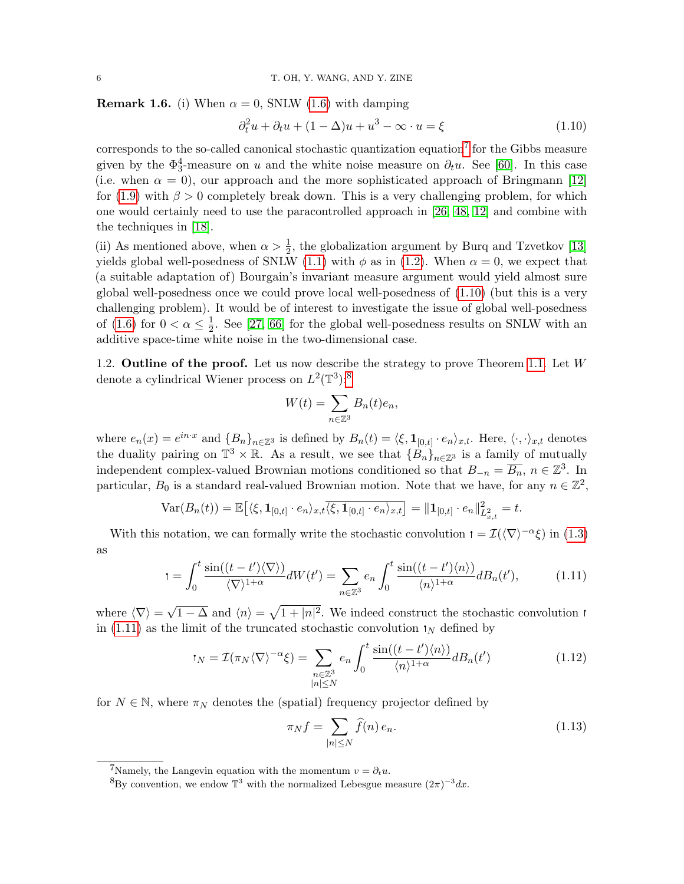<span id="page-5-1"></span>**Remark 1.6.** (i) When  $\alpha = 0$ , SNLW [\(1.6\)](#page-2-1) with damping

<span id="page-5-4"></span>
$$
\partial_t^2 u + \partial_t u + (1 - \Delta)u + u^3 - \infty \cdot u = \xi \tag{1.10}
$$

corresponds to the so-called canonical stochastic quantization equation<sup>[7](#page-5-3)</sup> for the Gibbs measure given by the  $\Phi_3^4$ -measure on u and the white noise measure on  $\partial_t u$ . See [\[60\]](#page-53-16). In this case (i.e. when  $\alpha = 0$ ), our approach and the more sophisticated approach of Bringmann [\[12\]](#page-51-3) for [\(1.9\)](#page-3-2) with  $\beta > 0$  completely break down. This is a very challenging problem, for which one would certainly need to use the paracontrolled approach in [\[26,](#page-52-1) [48,](#page-53-11) [12\]](#page-51-3) and combine with the techniques in [\[18\]](#page-52-8).

(ii) As mentioned above, when  $\alpha > \frac{1}{2}$ , the globalization argument by Burq and Tzvetkov [\[13\]](#page-51-1) yields global well-posedness of SNLW [\(1.1\)](#page-1-2) with  $\phi$  as in [\(1.2\)](#page-1-3). When  $\alpha = 0$ , we expect that (a suitable adaptation of) Bourgain's invariant measure argument would yield almost sure global well-posedness once we could prove local well-posedness of  $(1.10)$  (but this is a very challenging problem). It would be of interest to investigate the issue of global well-posedness of [\(1.6\)](#page-2-1) for  $0 < \alpha \leq \frac{1}{2}$  $\frac{1}{2}$ . See [\[27,](#page-52-2) [66\]](#page-53-6) for the global well-posedness results on SNLW with an additive space-time white noise in the two-dimensional case.

<span id="page-5-0"></span>1.2. **Outline of the proof.** Let us now describe the strategy to prove Theorem [1.1.](#page-2-0) Let  $W$ denote a cylindrical Wiener process on  $L^2(\mathbb{T}^3)$ :<sup>[8](#page-5-5)</sup>

$$
W(t) = \sum_{n \in \mathbb{Z}^3} B_n(t)e_n,
$$

where  $e_n(x) = e^{in \cdot x}$  and  ${B_n}_{n \in \mathbb{Z}^3}$  is defined by  $B_n(t) = \langle \xi, \mathbf{1}_{[0,t]} \cdot e_n \rangle_{x,t}$ . Here,  $\langle \cdot, \cdot \rangle_{x,t}$  denotes the duality pairing on  $\mathbb{T}^3 \times \mathbb{R}$ . As a result, we see that  $\{\hat{B}_n\}_{n \in \mathbb{Z}^3}$  is a family of mutually independent complex-valued Brownian motions conditioned so that  $B_{-n} = \overline{B_n}$ ,  $n \in \mathbb{Z}^3$ . In particular,  $B_0$  is a standard real-valued Brownian motion. Note that we have, for any  $n \in \mathbb{Z}^2$ ,

$$
Var(B_n(t)) = \mathbb{E} \big[ \langle \xi, \mathbf{1}_{[0,t]} \cdot e_n \rangle_{x,t} \overline{\langle \xi, \mathbf{1}_{[0,t]} \cdot e_n \rangle_{x,t}} \big] = ||\mathbf{1}_{[0,t]} \cdot e_n||_{L^2_{x,t}}^2 = t.
$$

With this notation, we can formally write the stochastic convolution  $\tau = \mathcal{I}(\langle \nabla \rangle^{-\alpha} \xi)$  in [\(1.3\)](#page-1-7) as

$$
t = \int_0^t \frac{\sin((t - t')\langle \nabla \rangle)}{\langle \nabla \rangle^{1+\alpha}} dW(t') = \sum_{n \in \mathbb{Z}^3} e_n \int_0^t \frac{\sin((t - t')\langle n \rangle)}{\langle n \rangle^{1+\alpha}} dB_n(t'), \tag{1.11}
$$

where  $\langle \nabla \rangle =$  $\overline{1-\Delta}$  and  $\langle n \rangle = \sqrt{1+|n|^2}$ . We indeed construct the stochastic convolution in [\(1.11\)](#page-5-6) as the limit of the truncated stochastic convolution  $\mathbf{I}_N$  defined by

$$
t_N = \mathcal{I}(\pi_N \langle \nabla \rangle^{-\alpha} \xi) = \sum_{\substack{n \in \mathbb{Z}^3 \\ |n| \le N}} e_n \int_0^t \frac{\sin((t - t') \langle n \rangle)}{\langle n \rangle^{1 + \alpha}} dB_n(t')
$$
(1.12)

for  $N \in \mathbb{N}$ , where  $\pi_N$  denotes the (spatial) frequency projector defined by

<span id="page-5-7"></span><span id="page-5-6"></span><span id="page-5-2"></span>
$$
\pi_N f = \sum_{|n| \le N} \widehat{f}(n) e_n.
$$
\n(1.13)

<span id="page-5-3"></span><sup>&</sup>lt;sup>7</sup>Namely, the Langevin equation with the momentum  $v = \partial_t u$ .

<span id="page-5-5"></span><sup>&</sup>lt;sup>8</sup>By convention, we endow  $\mathbb{T}^3$  with the normalized Lebesgue measure  $(2\pi)^{-3}dx$ .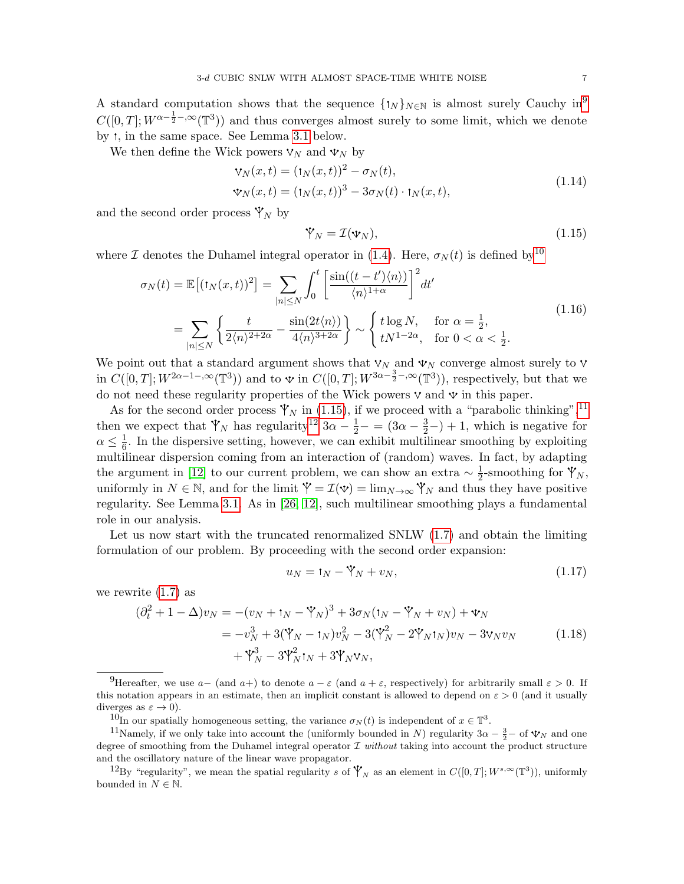A standard computation shows that the sequence  $\{\dagger_N\}_{N\in\mathbb{N}}$  is almost surely Cauchy in<sup>[9](#page-6-1)</sup>  $C([0,T]; W^{\alpha-\frac{1}{2}-,\infty}(\mathbb{T}^3))$  and thus converges almost surely to some limit, which we denote by *t*, in the same space. See Lemma [3.1](#page-17-2) below.

We then define the Wick powers  $V_N$  and  $V_N$  by

$$
\mathbf{v}_N(x,t) = (\mathbf{t}_N(x,t))^2 - \sigma_N(t),
$$
  

$$
\mathbf{v}_N(x,t) = (\mathbf{t}_N(x,t))^3 - 3\sigma_N(t) \cdot \mathbf{t}_N(x,t),
$$
 (1.14)

and the second order process  $\mathbf{\dot{Y}}_N$  by

<span id="page-6-6"></span><span id="page-6-3"></span><span id="page-6-0"></span>
$$
\mathbf{\dot{V}}_{N} = \mathcal{I}(\mathbf{v}_{N}),\tag{1.15}
$$

where I denotes the Duhamel integral operator in [\(1.4\)](#page-1-8). Here,  $\sigma_N(t)$  is defined by<sup>[10](#page-6-2)</sup>

$$
\sigma_N(t) = \mathbb{E}\left[ (1_N(x,t))^2 \right] = \sum_{|n| \le N} \int_0^t \left[ \frac{\sin((t-t')\langle n \rangle)}{\langle n \rangle^{1+\alpha}} \right]^2 dt'
$$
  
= 
$$
\sum_{|n| \le N} \left\{ \frac{t}{2\langle n \rangle^{2+2\alpha}} - \frac{\sin(2t\langle n \rangle)}{4\langle n \rangle^{3+2\alpha}} \right\} \sim \begin{cases} t \log N, & \text{for } \alpha = \frac{1}{2}, \\ t N^{1-2\alpha}, & \text{for } 0 < \alpha < \frac{1}{2}. \end{cases}
$$
(1.16)

We point out that a standard argument shows that  $V_N$  and  $V_N$  converge almost surely to  $V$ in  $C([0,T]; W^{2\alpha-1-\infty}(\mathbb{T}^3))$  and to  $\mathbf{\hat{v}}$  in  $C([0,T]; W^{3\alpha-\frac{3}{2}-,\infty}(\mathbb{T}^3))$ , respectively, but that we do not need these regularity properties of the Wick powers  $\nabla$  and  $\nabla$  in this paper.

As for the second order process  $\mathbf{\dot{Y}}_N$  in [\(1.15\)](#page-6-3), if we proceed with a "parabolic thinking",<sup>[11](#page-6-4)</sup> then we expect that  $\mathcal{V}_N$  has regularity<sup>[12](#page-6-5)</sup>  $3\alpha - \frac{1}{2} - (3\alpha - \frac{3}{2}) + 1$ , which is negative for  $\alpha \leq \frac{1}{6}$  $\frac{1}{6}$ . In the dispersive setting, however, we can exhibit multilinear smoothing by exploiting multilinear dispersion coming from an interaction of (random) waves. In fact, by adapting the argument in [\[12\]](#page-51-3) to our current problem, we can show an extra  $\sim \frac{1}{2}$  $\frac{1}{2}$ -smoothing for  $\mathbf{\dot{Y}}_N$ , uniformly in  $N \in \mathbb{N}$ , and for the limit  $\mathbf{\hat{Y}} = \mathcal{I}(\mathbf{\hat{y}}) = \lim_{N \to \infty} \mathbf{\hat{Y}}_N$  and thus they have positive regularity. See Lemma [3.1.](#page-17-2) As in [\[26,](#page-52-1) [12\]](#page-51-3), such multilinear smoothing plays a fundamental role in our analysis.

Let us now start with the truncated renormalized SNLW [\(1.7\)](#page-2-4) and obtain the limiting formulation of our problem. By proceeding with the second order expansion:

<span id="page-6-8"></span><span id="page-6-7"></span>
$$
u_N = \mathbf{t}_N - \mathbf{\dot{Y}}_N + v_N,\tag{1.17}
$$

we rewrite  $(1.7)$  as

$$
(\partial_t^2 + 1 - \Delta)v_N = -(v_N + t_N - \Psi_N)^3 + 3\sigma_N(t_N - \Psi_N + v_N) + \Psi_N = -v_N^3 + 3(\Psi_N - t_N)v_N^2 - 3(\Psi_N^2 - 2\Psi_N t_N)v_N - 3\Psi_N v_N + \Psi_N^3 - 3\Psi_N^2 t_N + 3\Psi_N \Psi_N,
$$
 (1.18)

<span id="page-6-1"></span><sup>&</sup>lt;sup>9</sup>Hereafter, we use  $a-$  (and  $a+$ ) to denote  $a-\varepsilon$  (and  $a+\varepsilon$ , respectively) for arbitrarily small  $\varepsilon > 0$ . If this notation appears in an estimate, then an implicit constant is allowed to depend on  $\varepsilon > 0$  (and it usually diverges as  $\varepsilon \to 0$ ).

<span id="page-6-4"></span><span id="page-6-2"></span><sup>&</sup>lt;sup>10</sup>In our spatially homogeneous setting, the variance  $\sigma_N(t)$  is independent of  $x \in \mathbb{T}^3$ .

<sup>&</sup>lt;sup>11</sup>Namely, if we only take into account the (uniformly bounded in N) regularity  $3\alpha - \frac{3}{2}$  of  $\mathbf{\hat{v}}_N$  and one degree of smoothing from the Duhamel integral operator  $\mathcal I$  without taking into account the product structure and the oscillatory nature of the linear wave propagator.

<span id="page-6-5"></span><sup>&</sup>lt;sup>12</sup>By "regularity", we mean the spatial regularity s of  $\mathbf{\dot{Y}}_N$  as an element in  $C([0,T];W^{s,\infty}(\mathbb{T}^3))$ , uniformly bounded in  $N \in \mathbb{N}$ .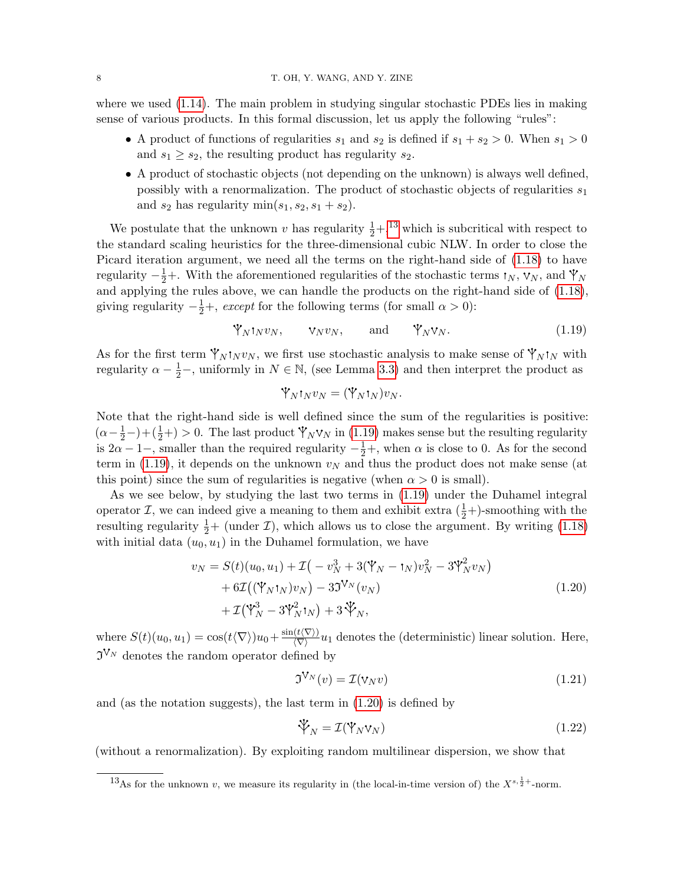where we used  $(1.14)$ . The main problem in studying singular stochastic PDEs lies in making sense of various products. In this formal discussion, let us apply the following "rules":

- A product of functions of regularities  $s_1$  and  $s_2$  is defined if  $s_1 + s_2 > 0$ . When  $s_1 > 0$ and  $s_1 \geq s_2$ , the resulting product has regularity  $s_2$ .
- A product of stochastic objects (not depending on the unknown) is always well defined, possibly with a renormalization. The product of stochastic objects of regularities  $s_1$ and  $s_2$  has regularity  $\min(s_1, s_2, s_1 + s_2)$ .

We postulate that the unknown v has regularity  $\frac{1}{2} +$ ,<sup>[13](#page-7-0)</sup> which is subcritical with respect to the standard scaling heuristics for the three-dimensional cubic NLW. In order to close the Picard iteration argument, we need all the terms on the right-hand side of [\(1.18\)](#page-6-7) to have regularity  $-\frac{1}{2}+$ . With the aforementioned regularities of the stochastic terms  $\mathbf{1}_N$ ,  $\mathbf{v}_N$ , and  $\mathbf{Y}_N$ and applying the rules above, we can handle the products on the right-hand side of [\(1.18\)](#page-6-7), giving regularity  $-\frac{1}{2}+$ , except for the following terms (for small  $\alpha > 0$ ):

$$
\mathbb{Y}_N \mathbf{1}_N v_N, \qquad \mathbf{v}_N v_N, \qquad \text{and} \qquad \mathbb{Y}_N \mathbf{v}_N. \tag{1.19}
$$

As for the first term  $\mathbf{\dot{Y}}_N \mathbf{1}_N v_N$ , we first use stochastic analysis to make sense of  $\mathbf{\dot{Y}}_N \mathbf{1}_N$  with regularity  $\alpha - \frac{1}{2}$ , uniformly in  $N \in \mathbb{N}$ , (see Lemma [3.3\)](#page-17-3) and then interpret the product as

<span id="page-7-1"></span>
$$
\mathbf{\dot{Y}}_{N} \mathbf{1}_{N} v_{N} = (\mathbf{\dot{Y}}_{N} \mathbf{1}_{N}) v_{N}.
$$

Note that the right-hand side is well defined since the sum of the regularities is positive:  $(\alpha - \frac{1}{2}) + (\frac{1}{2}+) > 0$ . The last product  $\mathcal{V}_N \mathcal{V}_N$  in [\(1.19\)](#page-7-1) makes sense but the resulting regularity is  $2\alpha - 1$ , smaller than the required regularity  $-\frac{1}{2}$ , when  $\alpha$  is close to 0. As for the second term in [\(1.19\)](#page-7-1), it depends on the unknown  $v_N$  and thus the product does not make sense (at this point) since the sum of regularities is negative (when  $\alpha > 0$  is small).

As we see below, by studying the last two terms in [\(1.19\)](#page-7-1) under the Duhamel integral operator *I*, we can indeed give a meaning to them and exhibit extra  $(\frac{1}{2})$ -smoothing with the resulting regularity  $\frac{1}{2}+$  (under  $\mathcal{I}$ ), which allows us to close the argument. By writing [\(1.18\)](#page-6-7) with initial data  $(u_0, u_1)$  in the Duhamel formulation, we have

$$
v_N = S(t)(u_0, u_1) + \mathcal{I}(-v_N^3 + 3(\mathbf{Y}_N - t_N)v_N^2 - 3\mathbf{Y}_N^2 v_N) + 6\mathcal{I}((\mathbf{Y}_N t_N)v_N) - 3\mathbf{J}^{\mathbf{V}_N}(v_N) + \mathcal{I}(\mathbf{Y}_N^3 - 3\mathbf{Y}_N^2 t_N) + 3\mathbf{Y}_N,
$$
\n(1.20)

where  $S(t)(u_0, u_1) = \cos(t\langle \nabla \rangle)u_0 + \frac{\sin(t\langle \nabla \rangle)}{\langle \nabla \rangle}u_1$  denotes the (deterministic) linear solution. Here,  $\mathfrak{I}^{\mathsf{V}_{N}}$  denotes the random operator defined by

<span id="page-7-3"></span><span id="page-7-2"></span>
$$
\mathfrak{I}^{\mathcal{V}_N}(v) = \mathcal{I}(\mathbf{v}_N v) \tag{1.21}
$$

and (as the notation suggests), the last term in  $(1.20)$  is defined by

<span id="page-7-4"></span>
$$
\mathcal{V}_N = \mathcal{I}(\mathcal{V}_N \mathbf{v}_N) \tag{1.22}
$$

(without a renormalization). By exploiting random multilinear dispersion, we show that

<span id="page-7-0"></span><sup>&</sup>lt;sup>13</sup>As for the unknown v, we measure its regularity in (the local-in-time version of) the  $X^{s,\frac{1}{2}+}$ -norm.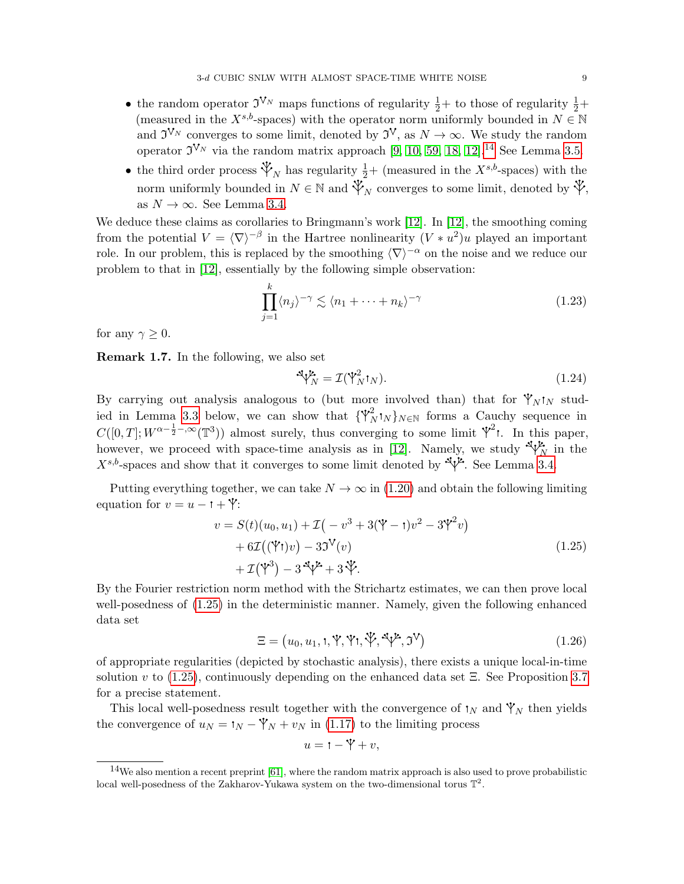- the random operator  $\mathfrak{I}^{V_N}$  maps functions of regularity  $\frac{1}{2}+$  to those of regularity  $\frac{1}{2}+$ (measured in the  $X^{s,b}$ -spaces) with the operator norm uniformly bounded in  $N \in \mathbb{N}$ and  $\mathfrak{I}^{\mathcal{V}_N}$  converges to some limit, denoted by  $\mathfrak{I}^{\mathcal{V}}$ , as  $N \to \infty$ . We study the random operator  $\mathfrak{I}^{\mathsf{V}_{N}}$  via the random matrix approach [\[9,](#page-51-5) [10,](#page-51-6) [59,](#page-53-17) [18,](#page-52-8) [12\]](#page-51-3).<sup>[14](#page-8-1)</sup> See Lemma [3.5.](#page-18-1)
- the third order process  $\mathcal{V}_N$  has regularity  $\frac{1}{2}+$  (measured in the  $X^{s,b}$ -spaces) with the norm uniformly bounded in  $N \in \mathbb{N}$  and  $\mathcal{V}_N$  converges to some limit, denoted by  $\mathcal{V}$ , as  $N \to \infty$ . See Lemma [3.4.](#page-17-4)

We deduce these claims as corollaries to Bringmann's work [\[12\]](#page-51-3). In [12], the smoothing coming from the potential  $V = \langle \nabla \rangle^{-\beta}$  in the Hartree nonlinearity  $(V * u^2)u$  played an important role. In our problem, this is replaced by the smoothing  $\langle \nabla \rangle^{-\alpha}$  on the noise and we reduce our problem to that in [\[12\]](#page-51-3), essentially by the following simple observation:

$$
\prod_{j=1}^{k} \langle n_j \rangle^{-\gamma} \lesssim \langle n_1 + \dots + n_k \rangle^{-\gamma}
$$
 (1.23)

for any  $\gamma \geq 0$ .

Remark 1.7. In the following, we also set

<span id="page-8-4"></span><span id="page-8-3"></span><span id="page-8-0"></span>
$$
\mathcal{A}\mathcal{V}_N^{\mathcal{L}} = \mathcal{I}(\mathcal{V}_N^2 \mathbf{1}_N). \tag{1.24}
$$

By carrying out analysis analogous to (but more involved than) that for  $\gamma_N$  stud-ied in Lemma [3.3](#page-17-3) below, we can show that  $\{\mathbf{Y}_N^2 \cdot \mathbf{I}_N\}_{N \in \mathbb{N}}$  forms a Cauchy sequence in  $C([0,T]; W^{\alpha-\frac{1}{2}-,\infty}(\mathbb{T}^3))$  almost surely, thus converging to some limit  $\mathcal{V}^2$ . In this paper, however, we proceed with space-time analysis as in [\[12\]](#page-51-3). Namely, we study  $\sqrt[4]{\gamma_N}$  in the  $X^{s,b}$ -spaces and show that it converges to some limit denoted by  $\mathcal{X}^{\mathcal{X}}$ . See Lemma [3.4.](#page-17-4)

Putting everything together, we can take  $N \to \infty$  in [\(1.20\)](#page-7-2) and obtain the following limiting equation for  $v = u - 1 + \mathcal{V}$ :

$$
v = S(t)(u_0, u_1) + \mathcal{I}(-v^3 + 3(\mathbf{Y} - t)v^2 - 3\mathbf{Y}^2v)
$$
  
+ 6 $\mathcal{I}((\mathbf{Y}t)v) - 3\mathbf{J}^V(v)$   
+  $\mathcal{I}(\mathbf{Y}^3) - 3\mathbf{J}^V + 3\mathbf{Y}.$  (1.25)

By the Fourier restriction norm method with the Strichartz estimates, we can then prove local well-posedness of [\(1.25\)](#page-8-0) in the deterministic manner. Namely, given the following enhanced data set

$$
\Xi = (u_0, u_1, \mathbf{t}, \mathbf{Y}, \mathbf{Y}\mathbf{t}, \mathbf{Y}, \mathbf{Y}\mathbf{t}, \mathbf{Y}, \mathbf{Y})
$$
\n(1.26)

of appropriate regularities (depicted by stochastic analysis), there exists a unique local-in-time solution v to  $(1.25)$ , continuously depending on the enhanced data set  $\Xi$ . See Proposition [3.7](#page-18-2) for a precise statement.

This local well-posedness result together with the convergence of  $\mathbf{N}_N$  and  $\mathbf{Y}_N$  then yields the convergence of  $u_N = \mathbf{t}_N - \mathbf{Y}_N + v_N$  in [\(1.17\)](#page-6-8) to the limiting process

<span id="page-8-2"></span>
$$
u = \mathbf{1} - \mathbf{Y} + v,
$$

<span id="page-8-1"></span> $14$ We also mention a recent preprint [\[61\]](#page-53-18), where the random matrix approach is also used to prove probabilistic local well-posedness of the Zakharov-Yukawa system on the two-dimensional torus  $\mathbb{T}^2$ .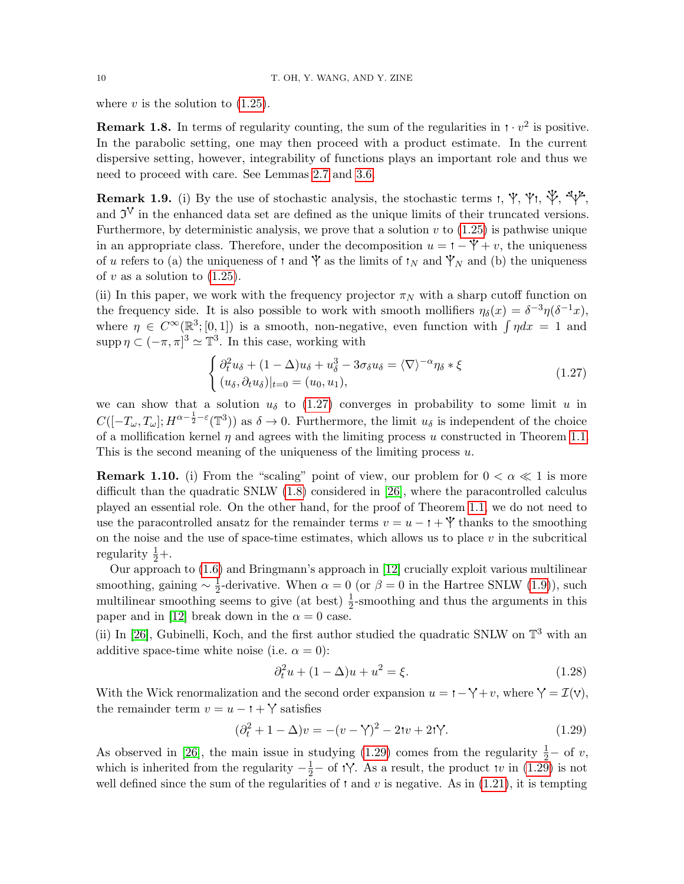where  $v$  is the solution to  $(1.25)$ .

**Remark 1.8.** In terms of regularity counting, the sum of the regularities in  $\cdot \sqrt{v^2}$  is positive. In the parabolic setting, one may then proceed with a product estimate. In the current dispersive setting, however, integrability of functions plays an important role and thus we need to proceed with care. See Lemmas [2.7](#page-13-0) and [3.6.](#page-18-3)

<span id="page-9-0"></span>Remark 1.9. (i) By the use of stochastic analysis, the stochastic terms  $\mathbf{r}, \mathbf{\hat{y}}, \mathbf{\hat{y}}, \mathbf{\hat{y}}, \mathbf{\hat{y}}$ , and  $\mathfrak{I}^{\vee}$  in the enhanced data set are defined as the unique limits of their truncated versions. Furthermore, by deterministic analysis, we prove that a solution  $v$  to  $(1.25)$  is pathwise unique in an appropriate class. Therefore, under the decomposition  $u = \mathbf{i} - \mathbf{\hat{Y}} + v$ , the uniqueness of u refers to (a) the uniqueness of  $\mathfrak t$  and  $\mathfrak Y$  as the limits of  $\mathfrak t_N$  and  $\mathfrak Y_N$  and (b) the uniqueness of  $v$  as a solution to  $(1.25)$ .

(ii) In this paper, we work with the frequency projector  $\pi_N$  with a sharp cutoff function on the frequency side. It is also possible to work with smooth mollifiers  $\eta_{\delta}(x) = \delta^{-3} \eta(\delta^{-1}x)$ , where  $\eta \in C^{\infty}(\mathbb{R}^3; [0,1])$  is a smooth, non-negative, even function with  $\int \eta dx = 1$  and supp  $\eta \subset (-\pi, \pi]^3 \simeq \mathbb{T}^3$ . In this case, working with

<span id="page-9-1"></span>
$$
\begin{cases} \partial_t^2 u_\delta + (1 - \Delta)u_\delta + u_\delta^3 - 3\sigma_\delta u_\delta = \langle \nabla \rangle^{-\alpha} \eta_\delta * \xi \\ (u_\delta, \partial_t u_\delta)|_{t=0} = (u_0, u_1), \end{cases} \tag{1.27}
$$

we can show that a solution  $u_{\delta}$  to [\(1.27\)](#page-9-1) converges in probability to some limit u in  $C([-T_{\omega}, T_{\omega}]; H^{\alpha-\frac{1}{2}-\varepsilon}(\mathbb{T}^3))$  as  $\delta \to 0$ . Furthermore, the limit  $u_{\delta}$  is independent of the choice of a mollification kernel  $\eta$  and agrees with the limiting process u constructed in Theorem [1.1.](#page-2-0) This is the second meaning of the uniqueness of the limiting process  $u$ .

**Remark 1.10.** (i) From the "scaling" point of view, our problem for  $0 < \alpha \ll 1$  is more difficult than the quadratic SNLW [\(1.8\)](#page-2-3) considered in [\[26\]](#page-52-1), where the paracontrolled calculus played an essential role. On the other hand, for the proof of Theorem [1.1,](#page-2-0) we do not need to use the paracontrolled ansatz for the remainder terms  $v = u - 1 + \mathcal{Y}$  thanks to the smoothing on the noise and the use of space-time estimates, which allows us to place  $v$  in the subcritical regularity  $\frac{1}{2} +$ .

Our approach to [\(1.6\)](#page-2-1) and Bringmann's approach in [\[12\]](#page-51-3) crucially exploit various multilinear smoothing, gaining  $\sim \frac{1}{2}$ <sup>1</sup>/<sub>2</sub>-derivative. When  $\alpha = 0$  (or  $\beta = 0$  in the Hartree SNLW [\(1.9\)](#page-3-2)), such multilinear smoothing seems to give (at best)  $\frac{1}{2}$ -smoothing and thus the arguments in this paper and in [\[12\]](#page-51-3) break down in the  $\alpha = 0$  case.

(ii) In [\[26\]](#page-52-1), Gubinelli, Koch, and the first author studied the quadratic SNLW on  $\mathbb{T}^3$  with an additive space-time white noise (i.e.  $\alpha = 0$ ):

<span id="page-9-3"></span><span id="page-9-2"></span>
$$
\partial_t^2 u + (1 - \Delta)u + u^2 = \xi.
$$
 (1.28)

With the Wick renormalization and the second order expansion  $u = \mathbf{i} - \mathbf{i} + v$ , where  $\mathbf{i} = \mathcal{I}(v)$ , the remainder term  $v = u - 1 + \gamma$  satisfies

$$
(\partial_t^2 + 1 - \Delta)v = -(v - \gamma)^2 - 2\tau v + 2\tau\gamma.
$$
\n(1.29)

As observed in [\[26\]](#page-52-1), the main issue in studying  $(1.29)$  comes from the regularity  $\frac{1}{2}$  of v, which is inherited from the regularity  $-\frac{1}{2}$  of t $\gamma$ . As a result, the product tv in [\(1.29\)](#page-9-2) is not well defined since the sum of the regularities of  $\mathfrak{r}$  and v is negative. As in [\(1.21\)](#page-7-3), it is tempting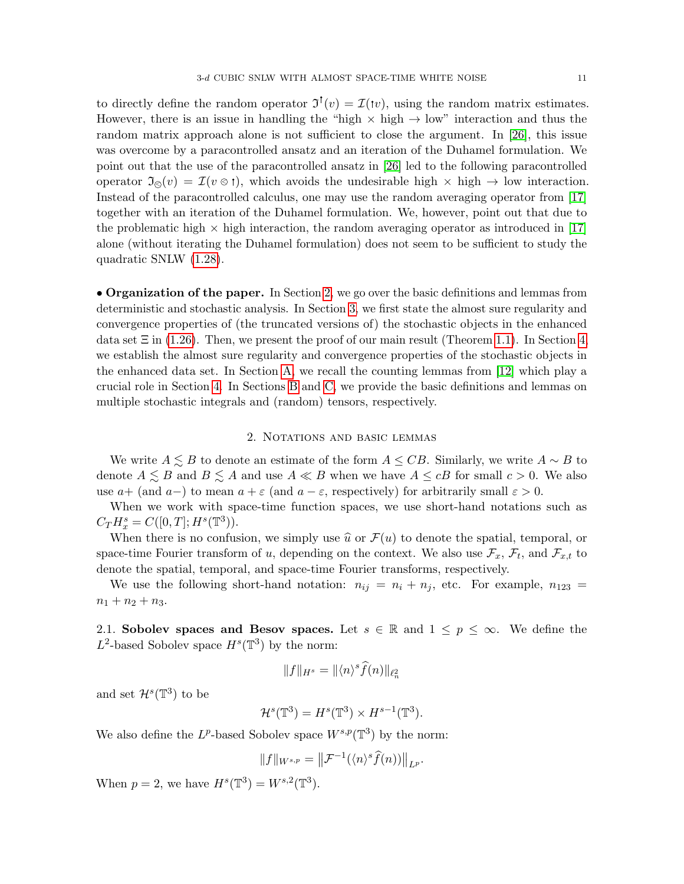to directly define the random operator  $\mathfrak{I}^{\dagger}(v) = \mathcal{I}(\tau v)$ , using the random matrix estimates. However, there is an issue in handling the "high  $\times$  high  $\rightarrow$  low" interaction and thus the random matrix approach alone is not sufficient to close the argument. In [\[26\]](#page-52-1), this issue was overcome by a paracontrolled ansatz and an iteration of the Duhamel formulation. We point out that the use of the paracontrolled ansatz in [\[26\]](#page-52-1) led to the following paracontrolled operator  $\mathfrak{I}_{\otimes}(v) = \mathcal{I}(v \otimes t)$ , which avoids the undesirable high  $\times$  high  $\rightarrow$  low interaction. Instead of the paracontrolled calculus, one may use the random averaging operator from [\[17\]](#page-52-15) together with an iteration of the Duhamel formulation. We, however, point out that due to the problematic high  $\times$  high interaction, the random averaging operator as introduced in [\[17\]](#page-52-15) alone (without iterating the Duhamel formulation) does not seem to be sufficient to study the quadratic SNLW [\(1.28\)](#page-9-3).

• Organization of the paper. In Section [2,](#page-10-0) we go over the basic definitions and lemmas from deterministic and stochastic analysis. In Section [3,](#page-17-0) we first state the almost sure regularity and convergence properties of (the truncated versions of) the stochastic objects in the enhanced data set  $\Xi$  in [\(1.26\)](#page-8-2). Then, we present the proof of our main result (Theorem [1.1\)](#page-2-0). In Section [4,](#page-20-0) we establish the almost sure regularity and convergence properties of the stochastic objects in the enhanced data set. In Section [A,](#page-41-0) we recall the counting lemmas from [\[12\]](#page-51-3) which play a crucial role in Section [4.](#page-20-0) In Sections [B](#page-43-0) and [C,](#page-46-0) we provide the basic definitions and lemmas on multiple stochastic integrals and (random) tensors, respectively.

## 2. NOTATIONS AND BASIC LEMMAS

<span id="page-10-0"></span>We write  $A \leq B$  to denote an estimate of the form  $A \leq CB$ . Similarly, we write  $A \sim B$  to denote  $A \leq B$  and  $B \leq A$  and use  $A \ll B$  when we have  $A \leq cB$  for small  $c > 0$ . We also use  $a+$  (and  $a-$ ) to mean  $a+\varepsilon$  (and  $a-\varepsilon$ , respectively) for arbitrarily small  $\varepsilon > 0$ .

When we work with space-time function spaces, we use short-hand notations such as  $C_T H^s_x = C([0, T]; H^s(\mathbb{T}^3)).$ 

When there is no confusion, we simply use  $\hat{u}$  or  $\mathcal{F}(u)$  to denote the spatial, temporal, or space-time Fourier transform of u, depending on the context. We also use  $\mathcal{F}_x$ ,  $\mathcal{F}_t$ , and  $\mathcal{F}_{x,t}$  to denote the spatial, temporal, and space-time Fourier transforms, respectively.

We use the following short-hand notation:  $n_{ij} = n_i + n_j$ , etc. For example,  $n_{123} =$  $n_1 + n_2 + n_3.$ 

<span id="page-10-1"></span>2.1. Sobolev spaces and Besov spaces. Let  $s \in \mathbb{R}$  and  $1 \leq p \leq \infty$ . We define the  $L^2$ -based Sobolev space  $H^s(\mathbb{T}^3)$  by the norm:

$$
||f||_{H^s} = ||\langle n \rangle^s \widehat{f}(n)||_{\ell^2_n}
$$

and set  $\mathcal{H}^s(\mathbb{T}^3)$  to be

$$
\mathcal{H}^s(\mathbb{T}^3) = H^s(\mathbb{T}^3) \times H^{s-1}(\mathbb{T}^3).
$$

We also define the  $L^p$ -based Sobolev space  $W^{s,p}(\mathbb{T}^3)$  by the norm:

$$
||f||_{W^{s,p}} = ||\mathcal{F}^{-1}(\langle n \rangle^s \widehat{f}(n))||_{L^p}.
$$

When  $p = 2$ , we have  $H^{s}(\mathbb{T}^{3}) = W^{s,2}(\mathbb{T}^{3})$ .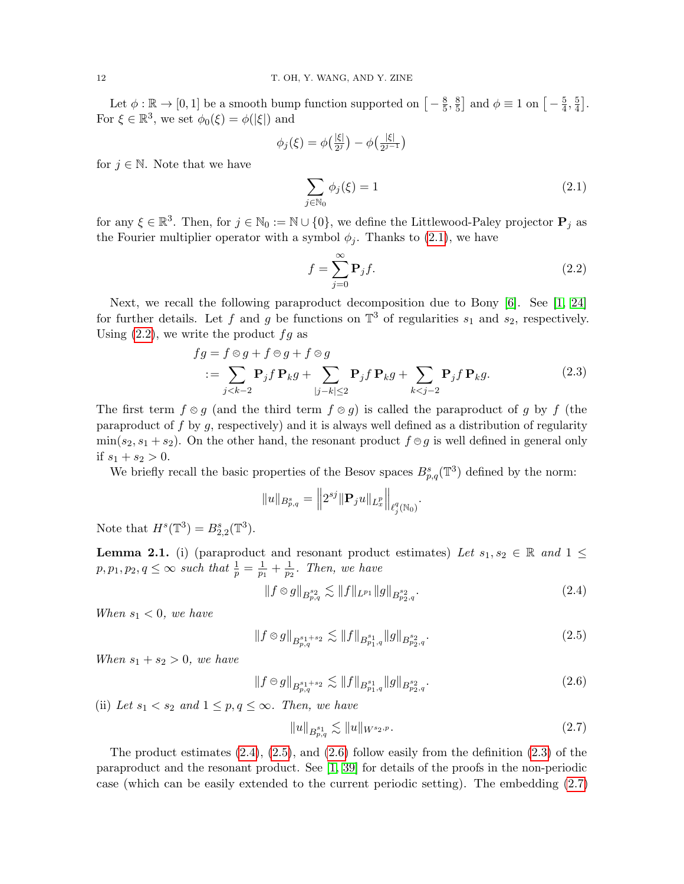Let  $\phi : \mathbb{R} \to [0, 1]$  be a smooth bump function supported on  $\left[-\frac{8}{5}\right]$  $\frac{8}{5}, \frac{8}{5}$  $\frac{8}{5}$  and  $\phi \equiv 1$  on  $\left[-\frac{5}{4}\right]$  $\frac{5}{4}, \frac{5}{4}$  $\frac{5}{4}$ . For  $\xi \in \mathbb{R}^3$ , we set  $\phi_0(\xi) = \phi(|\xi|)$  and

$$
\phi_j(\xi) = \phi\left(\frac{|\xi|}{2^j}\right) - \phi\left(\frac{|\xi|}{2^{j-1}}\right)
$$

for  $j \in \mathbb{N}$ . Note that we have

<span id="page-11-0"></span>
$$
\sum_{j \in \mathbb{N}_0} \phi_j(\xi) = 1 \tag{2.1}
$$

for any  $\xi \in \mathbb{R}^3$ . Then, for  $j \in \mathbb{N}_0 := \mathbb{N} \cup \{0\}$ , we define the Littlewood-Paley projector  $P_j$  as the Fourier multiplier operator with a symbol  $\phi_i$ . Thanks to [\(2.1\)](#page-11-0), we have

<span id="page-11-5"></span><span id="page-11-1"></span>
$$
f = \sum_{j=0}^{\infty} \mathbf{P}_j f. \tag{2.2}
$$

Next, we recall the following paraproduct decomposition due to Bony [\[6\]](#page-51-12). See [\[1,](#page-51-13) [24\]](#page-52-5) for further details. Let f and g be functions on  $\mathbb{T}^3$  of regularities  $s_1$  and  $s_2$ , respectively. Using  $(2.2)$ , we write the product  $fg$  as

$$
fg = f \otimes g + f \otimes g + f \otimes g
$$
  

$$
:= \sum_{j < k-2} \mathbf{P}_j f \mathbf{P}_k g + \sum_{|j-k| \le 2} \mathbf{P}_j f \mathbf{P}_k g + \sum_{k < j-2} \mathbf{P}_j f \mathbf{P}_k g. \tag{2.3}
$$

The first term  $f \otimes g$  (and the third term  $f \otimes g$ ) is called the paraproduct of g by f (the paraproduct of f by g, respectively) and it is always well defined as a distribution of regularity  $\min(s_2, s_1 + s_2)$ . On the other hand, the resonant product  $f \oplus g$  is well defined in general only if  $s_1 + s_2 > 0$ .

We briefly recall the basic properties of the Besov spaces  $B_{p,q}^s(\mathbb{T}^3)$  defined by the norm:

$$
||u||_{B_{p,q}^s} = ||2^{sj}||\mathbf{P}_j u||_{L_x^p}||_{\ell_j^q(\mathbb{N}_0)}.
$$

Note that  $H<sup>s</sup>(\mathbb{T}^3) = B_{2,2}^s(\mathbb{T}^3)$ .

<span id="page-11-7"></span>**Lemma 2.1.** (i) (paraproduct and resonant product estimates) Let  $s_1, s_2 \in \mathbb{R}$  and  $1 \leq$  $p, p_1, p_2, q \leq \infty$  such that  $\frac{1}{p} = \frac{1}{p_1}$  $\frac{1}{p_1} + \frac{1}{p_2}$  $\frac{1}{p_2}$ . Then, we have

<span id="page-11-2"></span>
$$
||f \otimes g||_{B^{s_2}_{p,q}} \lesssim ||f||_{L^{p_1}} ||g||_{B^{s_2}_{p_2,q}}.
$$
\n(2.4)

When  $s_1 < 0$ , we have

$$
||f \otimes g||_{B^{s_1+s_2}_{p,q}} \lesssim ||f||_{B^{s_1}_{p_1,q}} ||g||_{B^{s_2}_{p_2,q}}.
$$
\n(2.5)

When  $s_1 + s_2 > 0$ , we have

$$
||f \ominus g||_{B^{s_1+s_2}_{p,q}} \lesssim ||f||_{B^{s_1}_{p_1,q}} ||g||_{B^{s_2}_{p_2,q}}.
$$
\n(2.6)

(ii) Let  $s_1 < s_2$  and  $1 \leq p, q \leq \infty$ . Then, we have

<span id="page-11-6"></span><span id="page-11-4"></span><span id="page-11-3"></span>
$$
||u||_{B^{s_1}_{p,q}} \lesssim ||u||_{W^{s_2,p}}.\tag{2.7}
$$

The product estimates  $(2.4)$ ,  $(2.5)$ , and  $(2.6)$  follow easily from the definition  $(2.3)$  of the paraproduct and the resonant product. See [\[1,](#page-51-13) [39\]](#page-52-16) for details of the proofs in the non-periodic case (which can be easily extended to the current periodic setting). The embedding [\(2.7\)](#page-11-6)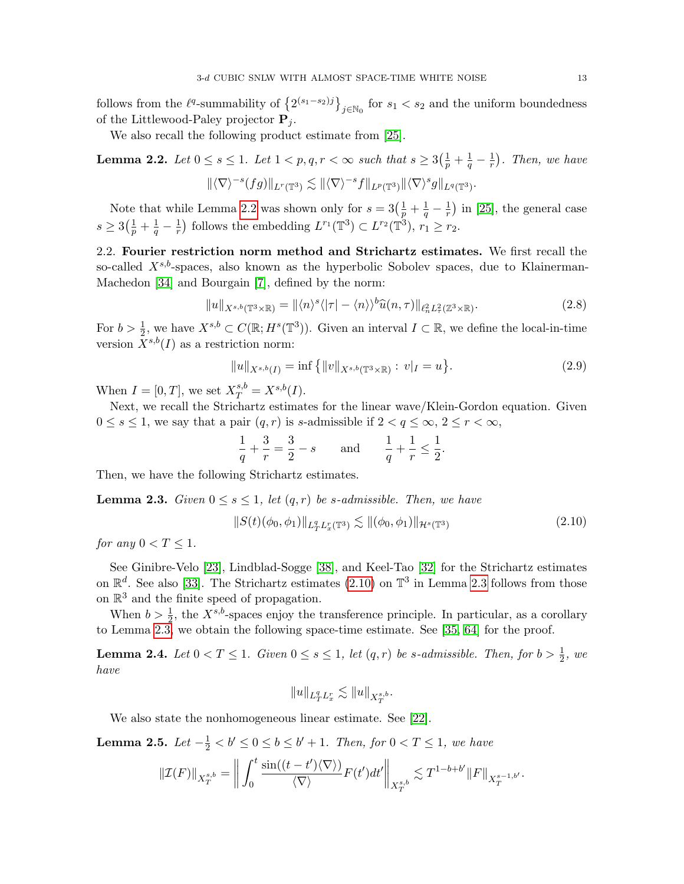follows from the  $\ell^q$ -summability of  $\left\{2^{(s_1-s_2)j}\right\}_{j\in\mathbb{N}_0}$  for  $s_1 < s_2$  and the uniform boundedness of the Littlewood-Paley projector  $P_i$ .

We also recall the following product estimate from [\[25\]](#page-52-0).

<span id="page-12-2"></span>**Lemma 2.2.** Let  $0 \le s \le 1$ . Let  $1 < p, q, r < \infty$  such that  $s \ge 3\left(\frac{1}{p} + \frac{1}{q} - \frac{1}{r}\right)$  $(\frac{1}{r})$ . Then, we have  $\|\langle \nabla \rangle^{-s}(fg)\|_{L^r(\mathbb{T}^3)} \lesssim \|\langle \nabla \rangle^{-s}f\|_{L^p(\mathbb{T}^3)} \|\langle \nabla \rangle^s g\|_{L^q(\mathbb{T}^3)}.$ 

Note that while Lemma [2.2](#page-12-2) was shown only for  $s = 3(\frac{1}{p} + \frac{1}{q} - \frac{1}{r})$  $(\frac{1}{r})$  in [\[25\]](#page-52-0), the general case  $s \geq 3(\frac{1}{p} + \frac{1}{q} - \frac{1}{r})$  $\frac{1}{r}$ ) follows the embedding  $L^{r_1}(\mathbb{T}^3) \subset L^{r_2}(\mathbb{T}^3), r_1 \geq r_2$ .

<span id="page-12-0"></span>2.2. Fourier restriction norm method and Strichartz estimates. We first recall the so-called  $X^{s,b}$ -spaces, also known as the hyperbolic Sobolev spaces, due to Klainerman-Machedon [\[34\]](#page-52-17) and Bourgain [\[7\]](#page-51-14), defined by the norm:

$$
||u||_{X^{s,b}(\mathbb{T}^3 \times \mathbb{R})} = ||\langle n \rangle^s \langle |\tau| - \langle n \rangle \rangle^b \widehat{u}(n,\tau) ||_{\ell_n^2 L_\tau^2(\mathbb{Z}^3 \times \mathbb{R})}.
$$
 (2.8)

For  $b > \frac{1}{2}$ , we have  $X^{s,b} \subset C(\mathbb{R}; H^s(\mathbb{T}^3))$ . Given an interval  $I \subset \mathbb{R}$ , we define the local-in-time version  $X^{s,b}(I)$  as a restriction norm:

<span id="page-12-7"></span><span id="page-12-1"></span>
$$
||u||_{X^{s,b}(I)} = \inf \{ ||v||_{X^{s,b}(\mathbb{T}^3 \times \mathbb{R})} : v|_I = u \}.
$$
\n(2.9)

When  $I = [0, T]$ , we set  $X_T^{s,b} = X^{s,b}(I)$ .

Next, we recall the Strichartz estimates for the linear wave/Klein-Gordon equation. Given  $0 \leq s \leq 1$ , we say that a pair  $(q, r)$  is s-admissible if  $2 < q \leq \infty$ ,  $2 \leq r < \infty$ ,

$$
\frac{1}{q} + \frac{3}{r} = \frac{3}{2} - s \quad \text{and} \quad \frac{1}{q} + \frac{1}{r} \le \frac{1}{2}.
$$

Then, we have the following Strichartz estimates.

<span id="page-12-4"></span>**Lemma 2.3.** Given  $0 \leq s \leq 1$ , let  $(q, r)$  be s-admissible. Then, we have

$$
||S(t)(\phi_0, \phi_1)||_{L^q_T L^r_x(\mathbb{T}^3)} \lesssim ||(\phi_0, \phi_1)||_{\mathcal{H}^s(\mathbb{T}^3)}
$$
\n(2.10)

for any  $0 < T \leq 1$ .

See Ginibre-Velo [\[23\]](#page-52-18), Lindblad-Sogge [\[38\]](#page-52-19), and Keel-Tao [\[32\]](#page-52-20) for the Strichartz estimates on  $\mathbb{R}^d$ . See also [\[33\]](#page-52-21). The Strichartz estimates [\(2.10\)](#page-12-3) on  $\mathbb{T}^3$  in Lemma [2.3](#page-12-4) follows from those on  $\mathbb{R}^3$  and the finite speed of propagation.

When  $b > \frac{1}{2}$ , the  $X^{s,b}$ -spaces enjoy the transference principle. In particular, as a corollary to Lemma [2.3,](#page-12-4) we obtain the following space-time estimate. See [\[35,](#page-52-22) [64\]](#page-53-19) for the proof.

<span id="page-12-5"></span>**Lemma 2.4.** Let  $0 < T \leq 1$ . Given  $0 \leq s \leq 1$ , let  $(q, r)$  be s-admissible. Then, for  $b > \frac{1}{2}$ , we have

<span id="page-12-3"></span>
$$
\|u\|_{L^q_TL^r_x}\lesssim \|u\|_{X^{s,b}_T}.
$$

We also state the nonhomogeneous linear estimate. See [\[22\]](#page-52-23).

<span id="page-12-6"></span>**Lemma 2.5.** Let  $-\frac{1}{2} < b' \le 0 \le b \le b' + 1$ . Then, for  $0 < T \le 1$ , we have

$$
\|\mathcal{I}(F)\|_{X^{s,b}_T} = \bigg\| \int_0^t \frac{\sin((t-t')\langle \nabla \rangle)}{\langle \nabla \rangle} F(t')dt' \bigg\|_{X^{s,b}_T} \lesssim T^{1-b+b'} \|F\|_{X^{s-1,b'}_T}.
$$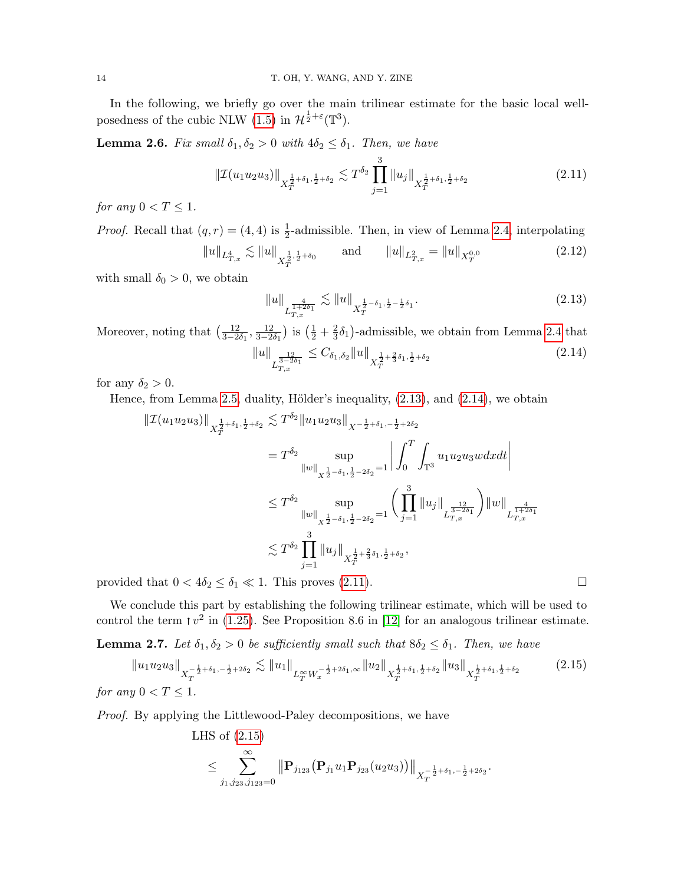In the following, we briefly go over the main trilinear estimate for the basic local wellposedness of the cubic NLW  $(1.5)$  in  $\mathcal{H}^{\frac{1}{2}+\varepsilon}(\mathbb{T}^3)$ .

<span id="page-13-6"></span>**Lemma 2.6.** Fix small  $\delta_1, \delta_2 > 0$  with  $4\delta_2 \leq \delta_1$ . Then, we have

$$
\|\mathcal{I}(u_1u_2u_3)\|_{X_T^{\frac{1}{2}+\delta_1,\frac{1}{2}+\delta_2}} \lesssim T^{\delta_2} \prod_{j=1}^3 \|u_j\|_{X_T^{\frac{1}{2}+\delta_1,\frac{1}{2}+\delta_2}}
$$
\n(2.11)

for any  $0 < T \leq 1$ .

*Proof.* Recall that  $(q, r) = (4, 4)$  is  $\frac{1}{2}$ -admissible. Then, in view of Lemma [2.4,](#page-12-5) interpolating

$$
||u||_{L^4_{T,x}} \lesssim ||u||_{X^{\frac{1}{2},\frac{1}{2}+\delta_0}} \qquad \text{and} \qquad ||u||_{L^2_{T,x}} = ||u||_{X^{0,0}_T}
$$
 (2.12)

with small  $\delta_0 > 0$ , we obtain

<span id="page-13-5"></span><span id="page-13-3"></span><span id="page-13-2"></span><span id="page-13-1"></span>
$$
||u||_{L_{T,x}^{\frac{4}{1+2\delta_1}}} \lesssim ||u||_{X_T^{\frac{1}{2}-\delta_1,\frac{1}{2}-\frac{1}{2}\delta_1}}.
$$
\n(2.13)

Moreover, noting that  $\left(\frac{12}{3-2\delta_1}, \frac{12}{3-2\delta_1}\right)$  is  $\left(\frac{1}{2} + \frac{2}{3}\right)$  $\frac{2}{3}\delta_1$ )-admissible, we obtain from Lemma [2.4](#page-12-5) that  $\|u\|$ L  $\frac{12}{3-2\delta_1}$ <br>T,x  $\leq C_{\delta_1, \delta_2} \|u\|_{X^{\frac{1}{2}+\frac{2}{3}\delta_1,\frac{1}{2}+\delta_2}}$ (2.14)

for any  $\delta_2 > 0$ .

Hence, from Lemma [2.5,](#page-12-6) duality, Hölder's inequality,  $(2.13)$ , and  $(2.14)$ , we obtain

$$
\begin{split} \|\mathcal{I}(u_{1}u_{2}u_{3})\|_{X_{T}^{\frac{1}{2}+\delta_{1},\frac{1}{2}+\delta_{2}}}&\lesssim T^{\delta_{2}}\|u_{1}u_{2}u_{3}\|_{X^{-\frac{1}{2}+\delta_{1},-\frac{1}{2}+2\delta_{2}}}\\ &=T^{\delta_{2}}\sup_{\|w\|_{X^{\frac{1}{2}-\delta_{1},\frac{1}{2}-2\delta_{2}}=1}\left|\int_{0}^{T}\int_{\mathbb{T}^{3}}u_{1}u_{2}u_{3}wdxdt\right|\\ &\leq T^{\delta_{2}}\sup_{\|w\|_{X^{\frac{1}{2}-\delta_{1},\frac{1}{2}-2\delta_{2}}=1}\left(\prod_{j=1}^{3}\|u_{j}\|_{L^{\frac{12}{3-2\delta_{1}}}_{T,x}}\right)\|w\|_{L^{\frac{4}{1+2\delta_{1}}}_{T,x}}\end{split}
$$

$$
\lesssim T^{\delta_{2}}\prod_{j=1}^{3}\|u_{j}\|_{X_{T}^{\frac{1}{2}+\frac{2}{3}\delta_{1},\frac{1}{2}+\delta_{2}},
$$

provided that  $0 < 4\delta_2 \le \delta_1 \ll 1$ . This proves [\(2.11\)](#page-13-3).

We conclude this part by establishing the following trilinear estimate, which will be used to control the term  $\tau v^2$  in [\(1.25\)](#page-8-0). See Proposition 8.6 in [\[12\]](#page-51-3) for an analogous trilinear estimate.

<span id="page-13-0"></span>**Lemma 2.7.** Let  $\delta_1, \delta_2 > 0$  be sufficiently small such that  $8\delta_2 \leq \delta_1$ . Then, we have

$$
||u_1 u_2 u_3||_{X_T^{-\frac{1}{2}+\delta_1, -\frac{1}{2}+2\delta_2}} \lesssim ||u_1||_{L_T^\infty W_x^{-\frac{1}{2}+2\delta_1, \infty}} ||u_2||_{X_T^{\frac{1}{2}+\delta_1, \frac{1}{2}+\delta_2}} ||u_3||_{X_T^{\frac{1}{2}+\delta_1, \frac{1}{2}+\delta_2}}
$$
(2.15)

for any  $0 < T \leq 1$ .

Proof. By applying the Littlewood-Paley decompositions, we have

<span id="page-13-4"></span>LHS of [\(2.15\)](#page-13-4) ≤ X∞ j1,j23,j123=0 <sup>P</sup>j<sup>123</sup> Pj<sup>1</sup> u1Pj<sup>23</sup> (u2u3) X − 1 <sup>2</sup> <sup>+</sup>δ1,<sup>−</sup> <sup>1</sup> <sup>2</sup> +2δ<sup>2</sup> T .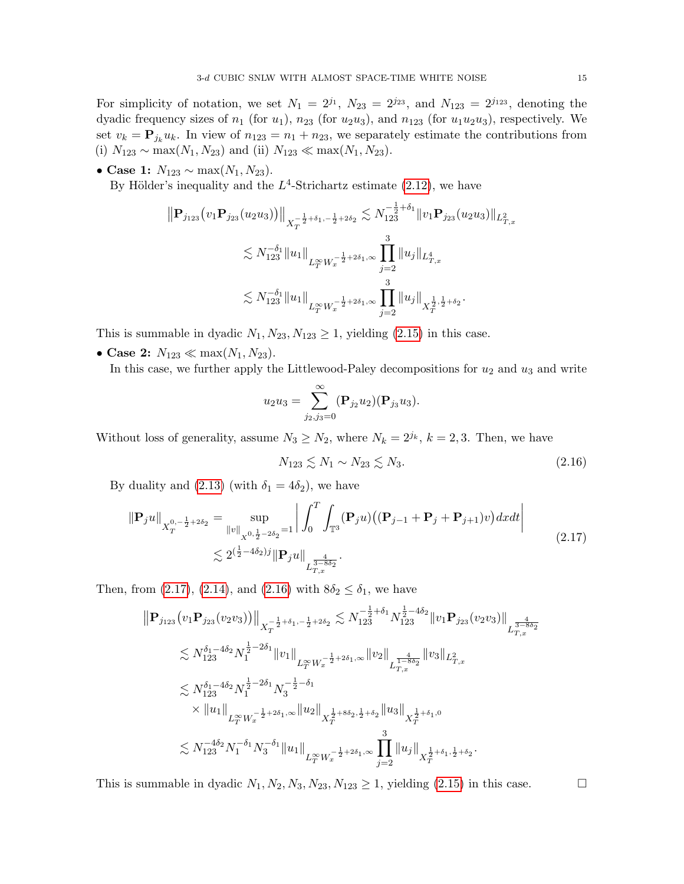For simplicity of notation, we set  $N_1 = 2^{j_1}$ ,  $N_{23} = 2^{j_{23}}$ , and  $N_{123} = 2^{j_{123}}$ , denoting the dyadic frequency sizes of  $n_1$  (for  $u_1$ ),  $n_{23}$  (for  $u_2u_3$ ), and  $n_{123}$  (for  $u_1u_2u_3$ ), respectively. We set  $v_k = \mathbf{P}_{j_k} u_k$ . In view of  $n_{123} = n_1 + n_{23}$ , we separately estimate the contributions from (i)  $N_{123} \sim \max(N_1, N_{23})$  and (ii)  $N_{123} \ll \max(N_1, N_{23})$ .

• Case 1:  $N_{123} \sim \max(N_1, N_{23})$ .

By Hölder's inequality and the  $L^4$ -Strichartz estimate [\(2.12\)](#page-13-5), we have

$$
\|\mathbf{P}_{j_{123}}(v_{1}\mathbf{P}_{j_{23}}(u_{2}u_{3}))\|_{X_{T}^{-\frac{1}{2}+\delta_{1},-\frac{1}{2}+2\delta_{2}}}\n\lesssim N_{123}^{-\frac{1}{2}+\delta_{1}}\|v_{1}\mathbf{P}_{j_{23}}(u_{2}u_{3})\|_{L_{T,x}^{2}}\n\\
\lesssim N_{123}^{-\delta_{1}}\|u_{1}\|_{L_{T}^{\infty}W_{x}^{-\frac{1}{2}+2\delta_{1},\infty}}\n\prod_{j=2}^{3}\|u_{j}\|_{L_{T,x}^{4}}\n\\
\lesssim N_{123}^{-\delta_{1}}\|u_{1}\|_{L_{T}^{\infty}W_{x}^{-\frac{1}{2}+2\delta_{1},\infty}}\n\prod_{j=2}^{3}\|u_{j}\|_{X_{T}^{\frac{1}{2},\frac{1}{2}+\delta_{2}}}.
$$

This is summable in dyadic  $N_1, N_{23}, N_{123} \geq 1$ , yielding [\(2.15\)](#page-13-4) in this case.

• Case 2:  $N_{123} \ll \max(N_1, N_{23})$ .

In this case, we further apply the Littlewood-Paley decompositions for  $u_2$  and  $u_3$  and write

$$
u_2u_3=\sum_{j_2,j_3=0}^{\infty}(\mathbf{P}_{j_2}u_2)(\mathbf{P}_{j_3}u_3).
$$

Without loss of generality, assume  $N_3 \geq N_2$ , where  $N_k = 2^{j_k}$ ,  $k = 2, 3$ . Then, we have

<span id="page-14-1"></span>
$$
N_{123} \lesssim N_1 \sim N_{23} \lesssim N_3. \tag{2.16}
$$

By duality and [\(2.13\)](#page-13-1) (with  $\delta_1 = 4\delta_2$ ), we have

$$
\|\mathbf{P}_j u\|_{X_T^{0,-\frac{1}{2}+2\delta_2}} = \sup_{\|v\|_{X^{0,\frac{1}{2}-2\delta_2}}=1} \left| \int_0^T \int_{\mathbb{T}^3} (\mathbf{P}_j u) \left( (\mathbf{P}_{j-1} + \mathbf{P}_j + \mathbf{P}_{j+1}) v \right) dx dt \right|
$$
\n
$$
\lesssim 2^{\left(\frac{1}{2} - 4\delta_2\right)j} \|\mathbf{P}_j u\|_{L_{T,x}^{\frac{4}{3-8\delta_2}}}.
$$
\n(2.17)

Then, from [\(2.17\)](#page-14-0), [\(2.14\)](#page-13-2), and [\(2.16\)](#page-14-1) with  $8\delta_2 \leq \delta_1$ , we have

$$
\begin{split} \left\| \mathbf{P}_{j_{123}} \big( v_1 \mathbf{P}_{j_{23}} (v_2 v_3) \big) \right\|_{X_T^{-\frac{1}{2}+\delta_1,-\frac{1}{2}+2\delta_2} &\lesssim N_{123}^{-\frac{1}{2}+\delta_1} N_{123}^{\frac{1}{2}-4\delta_2} \| v_1 \mathbf{P}_{j_{23}} (v_2 v_3) \big\|_{L_{T,x}^{\frac{4}{3-8\delta_2}}} \\ &\lesssim N_{123}^{\delta_1-4\delta_2} N_{1}^{\frac{1}{2}-2\delta_1} \| v_1 \|_{L_T^\infty W_x^{-\frac{1}{2}+2\delta_1,\infty}} \| v_2 \|_{L_{T,x}^{\frac{4}{1-8\delta_2}}} \| v_3 \|_{L_{T,x}^2} \\ &\lesssim N_{123}^{\delta_1-4\delta_2} N_{1}^{\frac{1}{2}-2\delta_1} N_{3}^{-\frac{1}{2}-\delta_1} \\ &\times \| u_1 \|_{L_T^\infty W_x^{-\frac{1}{2}+2\delta_1,\infty}} \| u_2 \|_{X_T^{\frac{1}{2}+8\delta_2,\frac{1}{2}+\delta_2}} \| u_3 \|_{X_T^{\frac{1}{2}+\delta_1,0}} \\ &\lesssim N_{123}^{-4\delta_2} N_{1}^{-\delta_1} N_{3}^{-\delta_1} \| u_1 \|_{L_T^\infty W_x^{-\frac{1}{2}+2\delta_1,\infty}} \prod_{j=2}^3 \| u_j \|_{X_T^{\frac{1}{2}+\delta_1,\frac{1}{2}+\delta_2} } . \end{split}
$$

This is summable in dyadic  $N_1, N_2, N_3, N_{23}, N_{123} \ge 1$ , yielding [\(2.15\)](#page-13-4) in this case.

<span id="page-14-0"></span>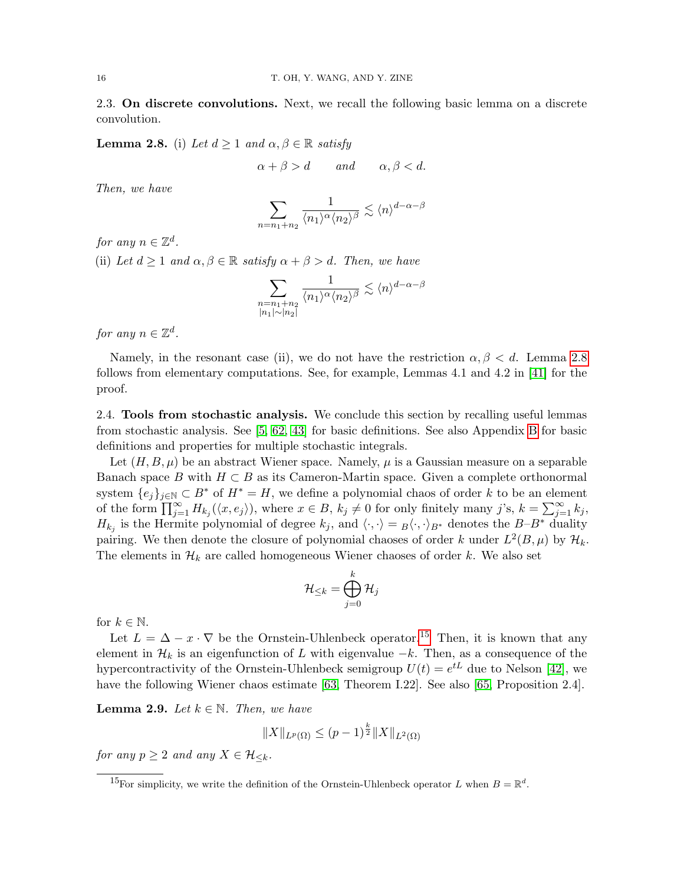<span id="page-15-0"></span>2.3. On discrete convolutions. Next, we recall the following basic lemma on a discrete convolution.

<span id="page-15-2"></span>**Lemma 2.8.** (i) Let  $d \geq 1$  and  $\alpha, \beta \in \mathbb{R}$  satisfy

$$
\alpha + \beta > d \qquad \text{and} \qquad \alpha, \beta < d.
$$

Then, we have

$$
\sum_{n=n_1+n_2} \frac{1}{\langle n_1 \rangle^{\alpha} \langle n_2 \rangle^{\beta}} \lesssim \langle n \rangle^{d-\alpha-\beta}
$$

for any  $n \in \mathbb{Z}^d$ .

(ii) Let  $d \geq 1$  and  $\alpha, \beta \in \mathbb{R}$  satisfy  $\alpha + \beta > d$ . Then, we have

$$
\sum_{\substack{n=n_1+n_2\\|n_1|\sim |n_2|}}\frac{1}{\langle n_1\rangle^{\alpha}\langle n_2\rangle^{\beta}}\lesssim \langle n\rangle^{d-\alpha-\beta}
$$

for any  $n \in \mathbb{Z}^d$ .

Namely, in the resonant case (ii), we do not have the restriction  $\alpha, \beta < d$ . Lemma [2.8](#page-15-2) follows from elementary computations. See, for example, Lemmas 4.1 and 4.2 in [\[41\]](#page-52-24) for the proof.

<span id="page-15-1"></span>2.4. Tools from stochastic analysis. We conclude this section by recalling useful lemmas from stochastic analysis. See [\[5,](#page-51-15) [62,](#page-53-20) [43\]](#page-52-25) for basic definitions. See also Appendix [B](#page-43-0) for basic definitions and properties for multiple stochastic integrals.

Let  $(H, B, \mu)$  be an abstract Wiener space. Namely,  $\mu$  is a Gaussian measure on a separable Banach space B with  $H \subset B$  as its Cameron-Martin space. Given a complete orthonormal system  $\{e_j\}_{j\in\mathbb{N}}\subset B^*$  of  $H^*=H$ , we define a polynomial chaos of order k to be an element of the form  $\prod_{j=1}^{\infty} H_{k_j}(\langle x, e_j \rangle)$ , where  $x \in B$ ,  $k_j \neq 0$  for only finitely many j's,  $k = \sum_{j=1}^{\infty} k_j$ ,  $H_{k_j}$  is the Hermite polynomial of degree  $k_j$ , and  $\langle \cdot, \cdot \rangle = B \langle \cdot, \cdot \rangle_{B^*}$  denotes the  $B-B^*$  duality pairing. We then denote the closure of polynomial chaoses of order k under  $L^2(B,\mu)$  by  $\mathcal{H}_k$ . The elements in  $\mathcal{H}_k$  are called homogeneous Wiener chaoses of order k. We also set

$$
\mathcal{H}_{\leq k}=\bigoplus_{j=0}^{k}\mathcal{H}_{j}
$$

for  $k \in \mathbb{N}$ .

Let  $L = \Delta - x \cdot \nabla$  be the Ornstein-Uhlenbeck operator.<sup>[15](#page-15-3)</sup> Then, it is known that any element in  $\mathcal{H}_k$  is an eigenfunction of L with eigenvalue  $-k$ . Then, as a consequence of the hypercontractivity of the Ornstein-Uhlenbeck semigroup  $U(t) = e^{tL}$  due to Nelson [\[42\]](#page-52-26), we have the following Wiener chaos estimate [\[63,](#page-53-21) Theorem I.22]. See also [\[65,](#page-53-22) Proposition 2.4].

<span id="page-15-4"></span>**Lemma 2.9.** Let  $k \in \mathbb{N}$ . Then, we have

$$
||X||_{L^{p}(\Omega)} \le (p-1)^{\frac{k}{2}} ||X||_{L^{2}(\Omega)}
$$

for any  $p \geq 2$  and any  $X \in \mathcal{H}_{\leq k}$ .

<span id="page-15-3"></span><sup>&</sup>lt;sup>15</sup>For simplicity, we write the definition of the Ornstein-Uhlenbeck operator L when  $B = \mathbb{R}^d$ .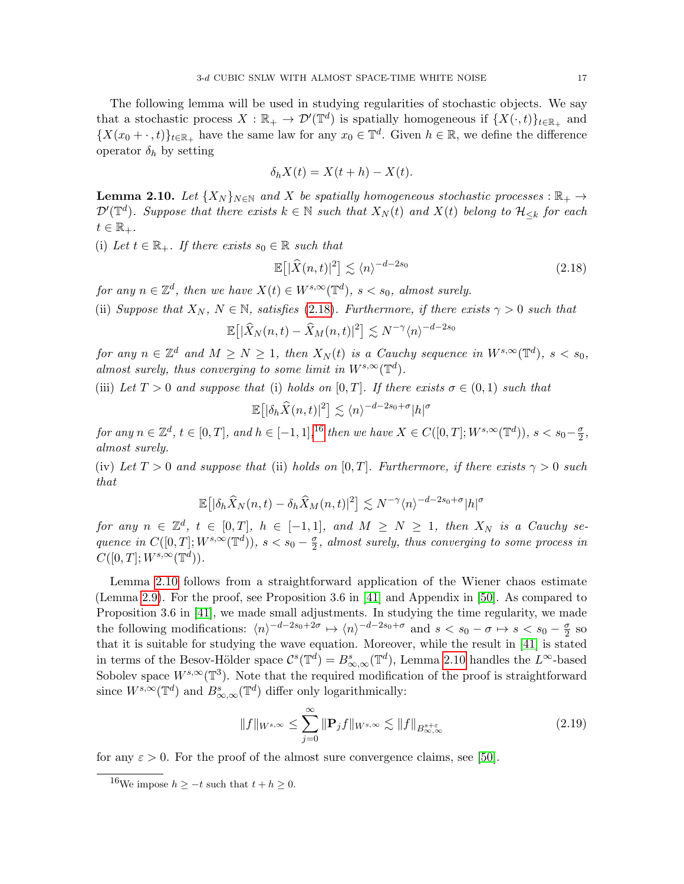The following lemma will be used in studying regularities of stochastic objects. We say that a stochastic process  $X : \mathbb{R}_+ \to \mathcal{D}'(\mathbb{T}^d)$  is spatially homogeneous if  $\{X(\cdot,t)\}_{t \in \mathbb{R}_+}$  and  $\{X(x_0 + \cdot, t)\}_{t \in \mathbb{R}_+}$  have the same law for any  $x_0 \in \mathbb{T}^d$ . Given  $h \in \mathbb{R}$ , we define the difference operator  $\delta_h$  by setting

$$
\delta_h X(t) = X(t+h) - X(t).
$$

<span id="page-16-2"></span>**Lemma 2.10.** Let  $\{X_N\}_{N\in\mathbb{N}}$  and X be spatially homogeneous stochastic processes :  $\mathbb{R}_+$   $\rightarrow$  $\mathcal{D}'(\mathbb{T}^d)$ . Suppose that there exists  $k \in \mathbb{N}$  such that  $X_N(t)$  and  $X(t)$  belong to  $\mathcal{H}_{\leq k}$  for each  $t \in \mathbb{R}_+$ .

(i) Let  $t \in \mathbb{R}_+$ . If there exists  $s_0 \in \mathbb{R}$  such that

<span id="page-16-0"></span>
$$
\mathbb{E}\left[|\widehat{X}(n,t)|^2\right] \lesssim \langle n \rangle^{-d-2s_0} \tag{2.18}
$$

for any  $n \in \mathbb{Z}^d$ , then we have  $X(t) \in W^{s,\infty}(\mathbb{T}^d)$ ,  $s < s_0$ , almost surely.

(ii) Suppose that  $X_N$ ,  $N \in \mathbb{N}$ , satisfies [\(2.18\)](#page-16-0). Furthermore, if there exists  $\gamma > 0$  such that

$$
\mathbb{E}\big[|\widehat{X}_N(n,t)-\widehat{X}_M(n,t)|^2\big] \lesssim N^{-\gamma}\langle n\rangle^{-d-2s_0}
$$

for any  $n \in \mathbb{Z}^d$  and  $M \geq N \geq 1$ , then  $X_N(t)$  is a Cauchy sequence in  $W^{s,\infty}(\mathbb{T}^d)$ ,  $s < s_0$ , almost surely, thus converging to some limit in  $W^{s,\infty}(\mathbb{T}^d)$ .

(iii) Let  $T > 0$  and suppose that (i) holds on [0, T]. If there exists  $\sigma \in (0,1)$  such that

$$
\mathbb{E}\big[|\delta_h \widehat{X}(n,t)|^2\big] \lesssim \langle n \rangle^{-d-2s_0+\sigma} |h|^\sigma
$$

for any  $n \in \mathbb{Z}^d$ ,  $t \in [0,T]$ , and  $h \in [-1,1]$ , <sup>[16](#page-16-1)</sup> then we have  $X \in C([0,T];W^{s,\infty}(\mathbb{T}^d))$ ,  $s < s_0-\frac{\sigma}{2}$  $\frac{\sigma}{2}$ , almost surely.

(iv) Let  $T > 0$  and suppose that (ii) holds on [0, T]. Furthermore, if there exists  $\gamma > 0$  such that

$$
\mathbb{E}\big[|\delta_h \widehat{X}_N(n,t) - \delta_h \widehat{X}_M(n,t)|^2\big] \lesssim N^{-\gamma} \langle n \rangle^{-d-2s_0+\sigma} |h|^{\sigma}
$$

for any  $n \in \mathbb{Z}^d$ ,  $t \in [0,T]$ ,  $h \in [-1,1]$ , and  $M \geq N \geq 1$ , then  $X_N$  is a Cauchy sequence in  $C([0,T];W^{s,\infty}(\mathbb{T}^d))$ ,  $s < s_0 - \frac{\sigma}{2}$  $\frac{\sigma}{2}$ , almost surely, thus converging to some process in  $C([0,T];W^{s,\infty}(\mathbb{T}^d)).$ 

Lemma [2.10](#page-16-2) follows from a straightforward application of the Wiener chaos estimate (Lemma [2.9\)](#page-15-4). For the proof, see Proposition 3.6 in [\[41\]](#page-52-24) and Appendix in [\[50\]](#page-53-5). As compared to Proposition 3.6 in [\[41\]](#page-52-24), we made small adjustments. In studying the time regularity, we made the following modifications:  $\langle n \rangle^{-d-2s_0+2\sigma} \mapsto \langle n \rangle^{-d-2s_0+\sigma}$  and  $s < s_0 - \sigma \mapsto s < s_0 - \frac{\sigma}{2}$  $rac{\sigma}{2}$  so that it is suitable for studying the wave equation. Moreover, while the result in [\[41\]](#page-52-24) is stated in terms of the Besov-Hölder space  $\mathcal{C}^s(\mathbb{T}^d) = B^s_{\infty,\infty}(\mathbb{T}^d)$ , Lemma [2.10](#page-16-2) handles the  $L^{\infty}$ -based Sobolev space  $W^{s,\infty}(\mathbb{T}^3)$ . Note that the required modification of the proof is straightforward since  $W^{s,\infty}(\mathbb{T}^d)$  and  $B^s_{\infty,\infty}(\mathbb{T}^d)$  differ only logarithmically:

<span id="page-16-3"></span>
$$
||f||_{W^{s,\infty}} \le \sum_{j=0}^{\infty} ||\mathbf{P}_j f||_{W^{s,\infty}} \lesssim ||f||_{B^{s+\varepsilon}_{\infty,\infty}}
$$
\n(2.19)

for any  $\varepsilon > 0$ . For the proof of the almost sure convergence claims, see [\[50\]](#page-53-5).

<span id="page-16-1"></span><sup>&</sup>lt;sup>16</sup>We impose  $h \geq -t$  such that  $t + h \geq 0$ .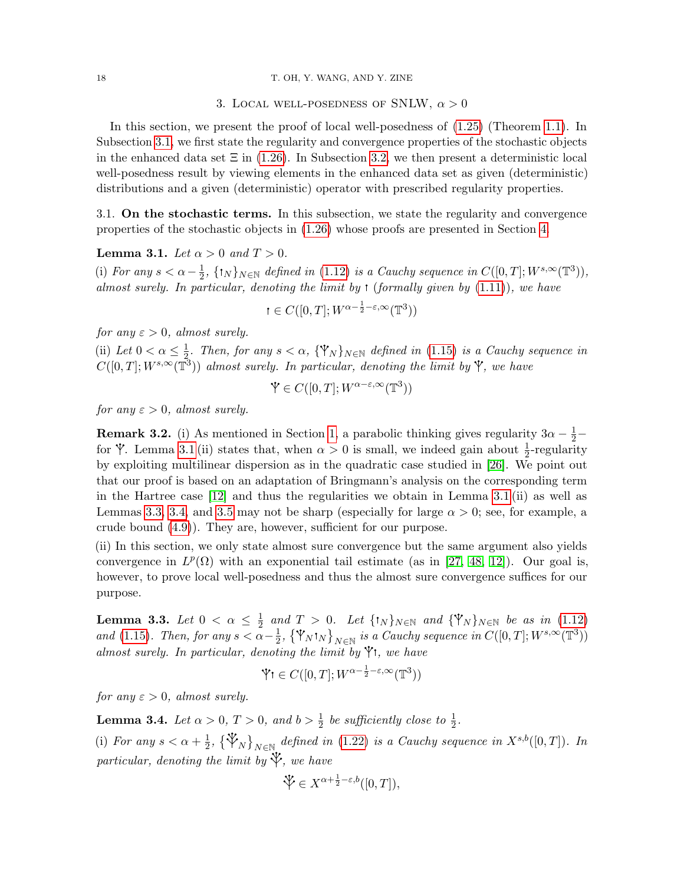#### <span id="page-17-0"></span>18 T. OH, Y. WANG, AND Y. ZINE

# 3. LOCAL WELL-POSEDNESS OF SNLW,  $\alpha > 0$

In this section, we present the proof of local well-posedness of [\(1.25\)](#page-8-0) (Theorem [1.1\)](#page-2-0). In Subsection [3.1,](#page-17-1) we first state the regularity and convergence properties of the stochastic objects in the enhanced data set  $\Xi$  in [\(1.26\)](#page-8-2). In Subsection [3.2,](#page-18-0) we then present a deterministic local well-posedness result by viewing elements in the enhanced data set as given (deterministic) distributions and a given (deterministic) operator with prescribed regularity properties.

<span id="page-17-1"></span>3.1. On the stochastic terms. In this subsection, we state the regularity and convergence properties of the stochastic objects in [\(1.26\)](#page-8-2) whose proofs are presented in Section [4.](#page-20-0)

<span id="page-17-2"></span>**Lemma 3.1.** Let  $\alpha > 0$  and  $T > 0$ .

(i) For any  $s < \alpha - \frac{1}{2}$  $\frac{1}{2}$ ,  $\{\dagger_N\}_{N\in\mathbb{N}}$  defined in [\(1.12\)](#page-5-7) is a Cauchy sequence in  $C([0,T];W^{s,\infty}(\mathbb{T}^3)),$ almost surely. In particular, denoting the limit by  $\mathfrak{t}$  (formally given by  $(1.11)$ ), we have

$$
t \in C([0,T];W^{\alpha-\frac{1}{2}-\varepsilon,\infty}(\mathbb{T}^3))
$$

for any  $\varepsilon > 0$ , almost surely.

(ii) Let  $0 < \alpha \leq \frac{1}{2}$  $\frac{1}{2}$ . Then, for any  $s < \alpha$ ,  $\{\mathbb{Y}_N\}_{N \in \mathbb{N}}$  defined in [\(1.15\)](#page-6-3) is a Cauchy sequence in  $C([0,T]; W^{s,\infty}(\overline{T}^3))$  almost surely. In particular, denoting the limit by  $\mathring{Y}$ , we have

$$
\mathbf{\dot{Y}} \in C([0, T]; W^{\alpha - \varepsilon, \infty}(\mathbb{T}^3))
$$

for any  $\varepsilon > 0$ , almost surely.

**Remark 3.2.** (i) As mentioned in Section [1,](#page-1-0) a parabolic thinking gives regularity  $3\alpha - \frac{1}{2}$ for  $\mathbf{\hat{y}}$ . Lemma [3.1](#page-17-2) (ii) states that, when  $\alpha > 0$  is small, we indeed gain about  $\frac{1}{2}$ -regularity by exploiting multilinear dispersion as in the quadratic case studied in [\[26\]](#page-52-1). We point out that our proof is based on an adaptation of Bringmann's analysis on the corresponding term in the Hartree case [\[12\]](#page-51-3) and thus the regularities we obtain in Lemma [3.1](#page-17-2) (ii) as well as Lemmas [3.3,](#page-17-3) [3.4,](#page-17-4) and [3.5](#page-18-1) may not be sharp (especially for large  $\alpha > 0$ ; see, for example, a crude bound [\(4.9\)](#page-23-0)). They are, however, sufficient for our purpose.

(ii) In this section, we only state almost sure convergence but the same argument also yields convergence in  $L^p(\Omega)$  with an exponential tail estimate (as in [\[27,](#page-52-2) [48,](#page-53-11) [12\]](#page-51-3)). Our goal is, however, to prove local well-posedness and thus the almost sure convergence suffices for our purpose.

<span id="page-17-3"></span>Lemma 3.3. Let  $0 < \alpha \leq \frac{1}{2}$  $\frac{1}{2}$  and  $T > 0$ . Let  $\{\mathbf{W}_N\}_{N \in \mathbb{N}}$  and  $\{\mathbf{W}_N\}_{N \in \mathbb{N}}$  be as in [\(1.12\)](#page-5-7) and [\(1.15\)](#page-6-3). Then, for any  $s < \alpha - \frac{1}{2}$  $\frac{1}{2}$ ,  $\{\Psi_N$ <sup>t</sup><sub>N</sub>  $\}_{N \in \mathbb{N}}$  is a Cauchy sequence in  $C([0, T]; W^{s, \infty}(\mathbb{T}^3))$ almost surely. In particular, denoting the limit by  $\mathbf{\hat{y}}$ t, we have

$$
\mathbf{\dot{V}} \mathbf{1} \in C([0, T]; W^{\alpha - \frac{1}{2} - \varepsilon, \infty}(\mathbb{T}^3))
$$

for any  $\varepsilon > 0$ , almost surely.

<span id="page-17-4"></span>**Lemma 3.4.** Let  $\alpha > 0$ ,  $T > 0$ , and  $b > \frac{1}{2}$  be sufficiently close to  $\frac{1}{2}$ .

(i) For any  $s < \alpha + \frac{1}{2}$  $\frac{1}{2}$ ,  $\{\mathbb{Y}_N\}_{N\in\mathbb{N}}$  defined in [\(1.22\)](#page-7-4) is a Cauchy sequence in  $X^{s,b}([0,T])$ . In particular, denoting the limit by  $\mathcal{V}$ , we have

$$
\mathcal{V} \in X^{\alpha + \frac{1}{2} - \varepsilon, b}([0, T]),
$$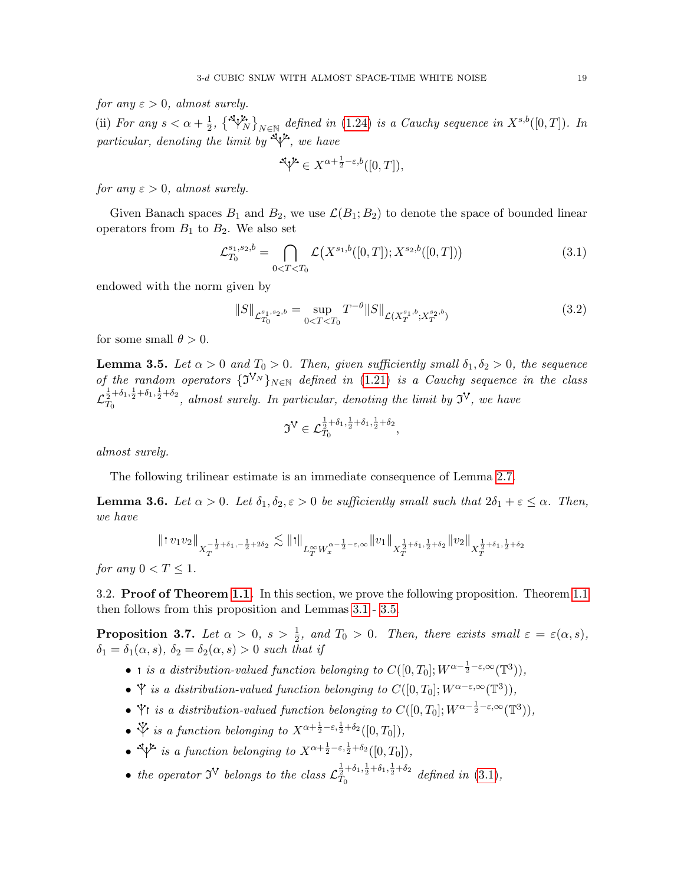for any  $\varepsilon > 0$ , almost surely.

(ii) For any  $s < \alpha + \frac{1}{2}$  $\frac{1}{2}$ ,  $\{\bigvee_{N=1}^{\infty} \}_{N \in \mathbb{N}}$  defined in [\(1.24\)](#page-8-3) is a Cauchy sequence in  $X^{s,b}([0,T])$ . In particular, denoting the limit by  $\mathbb{E} \mathcal{V}$ , we have

<span id="page-18-4"></span>
$$
\mathbb{I}^{L} \in X^{\alpha + \frac{1}{2} - \varepsilon, b}([0, T]),
$$

for any  $\varepsilon > 0$ , almost surely.

Given Banach spaces  $B_1$  and  $B_2$ , we use  $\mathcal{L}(B_1; B_2)$  to denote the space of bounded linear operators from  $B_1$  to  $B_2$ . We also set

$$
\mathcal{L}_{T_0}^{s_1, s_2, b} = \bigcap_{0 < T < T_0} \mathcal{L}\big(X^{s_1, b}([0, T]); X^{s_2, b}([0, T])\big) \tag{3.1}
$$

endowed with the norm given by

$$
||S||_{\mathcal{L}_{T_0}^{s_1, s_2, b}} = \sup_{0 < T < T_0} T^{-\theta} ||S||_{\mathcal{L}(X_T^{s_1, b}; X_T^{s_2, b})} \tag{3.2}
$$

for some small  $\theta > 0$ .

<span id="page-18-1"></span>**Lemma 3.5.** Let  $\alpha > 0$  and  $T_0 > 0$ . Then, given sufficiently small  $\delta_1, \delta_2 > 0$ , the sequence of the random operators  $\{J^{V_N}\}_{N\in\mathbb{N}}$  defined in [\(1.21\)](#page-7-3) is a Cauchy sequence in the class  $\mathcal{L}_{T_0}^{\frac{1}{2}+\delta_1,\frac{1}{2}+\delta_1,\frac{1}{2}+\delta_2}$  $T_0^{\frac{2+\sigma_{1,2}+\sigma_{1,2}+\sigma_{2}}{T_0}}$ , almost surely. In particular, denoting the limit by  $\mathfrak{I}^{\vee}$ , we have

<span id="page-18-5"></span>
$$
\mathfrak{I}^{\mathsf{V}} \in \mathcal{L}_{T_0}^{\frac{1}{2} + \delta_1, \frac{1}{2} + \delta_1, \frac{1}{2} + \delta_2},
$$

almost surely.

The following trilinear estimate is an immediate consequence of Lemma [2.7.](#page-13-0)

<span id="page-18-3"></span>**Lemma 3.6.** Let  $\alpha > 0$ . Let  $\delta_1, \delta_2, \epsilon > 0$  be sufficiently small such that  $2\delta_1 + \epsilon \leq \alpha$ . Then, we have

$$
\|! \, v_1 v_2 \|_{X_T^{-\frac{1}{2}+\delta_1,-\frac{1}{2}+2\delta_2}} \lesssim \|! \, \|_{L_T^\infty W_x^{\alpha -\frac{1}{2}-\varepsilon, \infty}} \| v_1 \|_{X_T^{\frac{1}{2}+\delta_1,\frac{1}{2}+\delta_2}} \| v_2 \|_{X_T^{\frac{1}{2}+\delta_1,\frac{1}{2}+\delta_2}}
$$

for any  $0 < T \leq 1$ .

<span id="page-18-0"></span>3.2. Proof of Theorem [1.1.](#page-2-0) In this section, we prove the following proposition. Theorem [1.1](#page-2-0) then follows from this proposition and Lemmas [3.1](#page-17-2)- [3.5.](#page-18-1)

<span id="page-18-2"></span>**Proposition 3.7.** Let  $\alpha > 0$ ,  $s > \frac{1}{2}$ , and  $T_0 > 0$ . Then, there exists small  $\varepsilon = \varepsilon(\alpha, s)$ ,  $\delta_1 = \delta_1(\alpha, s)$ ,  $\delta_2 = \delta_2(\alpha, s) > 0$  such that if

- i is a distribution-valued function belonging to  $C([0, T_0]; W^{\alpha \frac{1}{2} \varepsilon, \infty}(\mathbb{T}^3)),$
- $\mathbf{\hat{Y}}$  is a distribution-valued function belonging to  $C([0,T_0]; W^{\alpha-\varepsilon,\infty}(\mathbb{T}^3)),$
- $\check{Y}$ t is a distribution-valued function belonging to  $C([0,T_0]; W^{\alpha-\frac{1}{2}-\varepsilon,\infty}(\mathbb{T}^3)),$
- $\mathcal{V}$  is a function belonging to  $X^{\alpha + \frac{1}{2} \varepsilon, \frac{1}{2} + \delta_2}([0, T_0]),$
- $\sqrt[4]{t}$  is a function belonging to  $X^{\alpha + \frac{1}{2} \varepsilon, \frac{1}{2} + \delta_2}([0, T_0]),$
- the operator  $\mathfrak{I}^{\mathbf{V}}$  belongs to the class  $\mathcal{L}_{T_{\alpha}}^{\frac{1}{2}+\delta_1,\frac{1}{2}+\delta_1,\frac{1}{2}+\delta_2}$  $\frac{1}{T_0}T_0^{0.1, \frac{1}{2}+0.1, \frac{1}{2}+0.2}$  defined in [\(3.1\)](#page-18-4),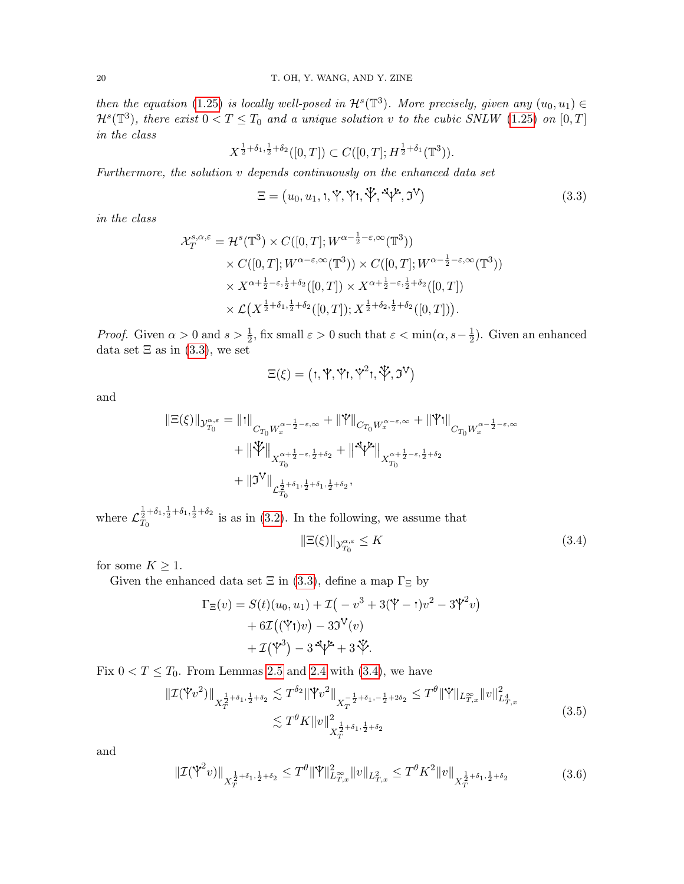then the equation [\(1.25\)](#page-8-0) is locally well-posed in  $\mathcal{H}^s(\mathbb{T}^3)$ . More precisely, given any  $(u_0, u_1) \in$  $\mathcal{H}^s(\mathbb{T}^3)$ , there exist  $0 < T \leq T_0$  and a unique solution v to the cubic SNLW [\(1.25\)](#page-8-0) on  $[0, T]$ in the class

$$
X^{\frac{1}{2}+\delta_1,\frac{1}{2}+\delta_2}([0,T]) \subset C([0,T];H^{\frac{1}{2}+\delta_1}(\mathbb{T}^3)).
$$

Furthermore, the solution v depends continuously on the enhanced data set

<span id="page-19-0"></span>
$$
\Xi = (u_0, u_1, t, \Psi, \Psi, \Psi, \Phi, \mathfrak{I}^{\mathcal{V}}, \mathfrak{I}^{\mathcal{V}})
$$
\n(3.3)

in the class

$$
\mathcal{X}_T^{s,\alpha,\varepsilon} = \mathcal{H}^s(\mathbb{T}^3) \times C([0,T]; W^{\alpha - \frac{1}{2} - \varepsilon, \infty}(\mathbb{T}^3))
$$
  
 
$$
\times C([0,T]; W^{\alpha - \varepsilon, \infty}(\mathbb{T}^3)) \times C([0,T]; W^{\alpha - \frac{1}{2} - \varepsilon, \infty}(\mathbb{T}^3))
$$
  
 
$$
\times X^{\alpha + \frac{1}{2} - \varepsilon, \frac{1}{2} + \delta_2}([0,T]) \times X^{\alpha + \frac{1}{2} - \varepsilon, \frac{1}{2} + \delta_2}([0,T])
$$
  
 
$$
\times \mathcal{L}(X^{\frac{1}{2} + \delta_1, \frac{1}{2} + \delta_2}([0,T]); X^{\frac{1}{2} + \delta_2, \frac{1}{2} + \delta_2}([0,T])).
$$

*Proof.* Given  $\alpha > 0$  and  $s > \frac{1}{2}$ , fix small  $\varepsilon > 0$  such that  $\varepsilon < \min(\alpha, s - \frac{1}{2})$  $(\frac{1}{2})$ . Given an enhanced data set  $\Xi$  as in [\(3.3\)](#page-19-0), we set

$$
\Xi(\xi) = \big( \textbf{1}, \textbf{Y}, \textbf{Y} \textbf{1}, \textbf{Y}^2 \textbf{1}, \textbf{Y}, \mathfrak{I}^V \big)
$$

and

$$
\begin{aligned} \|\Xi(\xi)\|_{\mathcal{Y}_{T_0}^{\alpha,\varepsilon}} &= \|\mathrm{t}\|_{C_{T_0}W_x^{\alpha-\frac{1}{2}-\varepsilon,\infty}} + \|\mathbb{Y}\|_{C_{T_0}W_x^{\alpha-\varepsilon,\infty}} + \|\mathbb{Y}\mathrm{t}\|_{C_{T_0}W_x^{\alpha-\frac{1}{2}-\varepsilon,\infty}} \\ & \qquad + \|\mathbb{Y}\|_{X_{T_0}^{\alpha+\frac{1}{2}-\varepsilon,\frac{1}{2}+\delta_2}} + \|\mathbb{Y}^{\mathcal{U}}\|_{X_{T_0}^{\alpha+\frac{1}{2}-\varepsilon,\frac{1}{2}+\delta_2}} \\ & \qquad + \|\mathfrak{I}^{\mathbb{V}}\|_{\mathcal{L}^{\frac{1}{2}+\delta_1,\frac{1}{2}+\delta_1,\frac{1}{2}+\delta_2}, \end{aligned}
$$

where  $\mathcal{L}_{T_0}^{\frac{1}{2}+\delta_1,\frac{1}{2}+\delta_1,\frac{1}{2}+\delta_2}$  $T_0^{2+\sigma_1,\sigma_2+\sigma_1+\sigma_2}$  is as in [\(3.2\)](#page-18-5). In the following, we assume that

<span id="page-19-3"></span><span id="page-19-2"></span><span id="page-19-1"></span>
$$
\|\Xi(\xi)\|_{\mathcal{Y}_{T_0}^{\alpha,\varepsilon}} \le K \tag{3.4}
$$

for some  $K \geq 1$ .

Given the enhanced data set  $\Xi$  in [\(3.3\)](#page-19-0), define a map  $\Gamma_{\Xi}$  by

$$
\Gamma_{\Xi}(v) = S(t)(u_0, u_1) + \mathcal{I}(-v^3 + 3(\mathbf{Y} - t)v^2 - 3\mathbf{Y}^2v)
$$
  
+ 6\mathcal{I}((\mathbf{Y}t)v) - 3\mathbf{Y}(v)  
+ \mathcal{I}(\mathbf{Y}^3) - 3\mathbf{Y} + 3\mathbf{Y}.

Fix  $0 < T \leq T_0$ . From Lemmas [2.5](#page-12-6) and [2.4](#page-12-5) with [\(3.4\)](#page-19-1), we have

$$
\|\mathcal{I}(\mathbb{Y}v^{2})\|_{X_{T}^{\frac{1}{2}+\delta_{1},\frac{1}{2}+\delta_{2}}}\lesssim T^{\delta_{2}}\|\mathbb{Y}v^{2}\|_{X_{T}^{-\frac{1}{2}+\delta_{1},-\frac{1}{2}+2\delta_{2}}}\leq T^{\theta}\|\mathbb{Y}\|_{L_{T,x}^{\infty}}\|v\|_{L_{T,x}^{4}}^{2}
$$
\n
$$
\lesssim T^{\theta}K\|v\|_{X_{T}^{\frac{1}{2}+\delta_{1},\frac{1}{2}+\delta_{2}}^{2}}^{2} \tag{3.5}
$$

and

$$
\|\mathcal{I}(\mathbb{Y}^2 v)\|_{X_T^{\frac{1}{2}+\delta_1,\frac{1}{2}+\delta_2}} \le T^{\theta} \|\mathbb{Y}\|_{L_{T,x}^{\infty}}^2 \|v\|_{L_{T,x}^2} \le T^{\theta} K^2 \|v\|_{X_T^{\frac{1}{2}+\delta_1,\frac{1}{2}+\delta_2}}
$$
(3.6)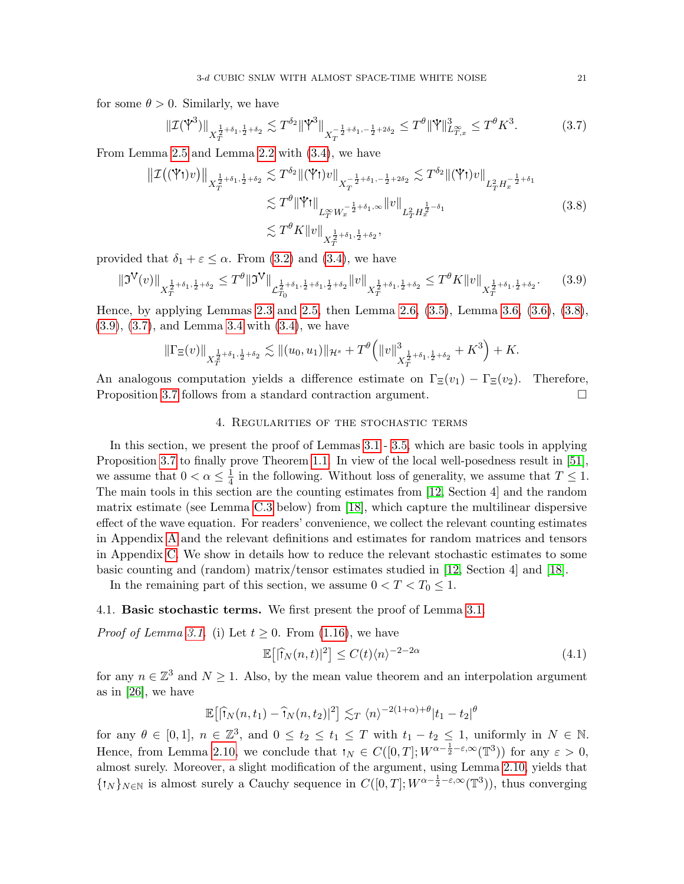for some  $\theta > 0$ . Similarly, we have

<span id="page-20-4"></span><span id="page-20-2"></span>
$$
\|\mathcal{I}(\mathbb{Y}^3)\|_{X_T^{\frac{1}{2}+\delta_1,\frac{1}{2}+\delta_2}} \lesssim T^{\delta_2} \|\mathbb{Y}^3\|_{X_T^{-\frac{1}{2}+\delta_1,-\frac{1}{2}+2\delta_2}} \leq T^{\theta} \|\mathbb{Y}\|_{L_{T,x}^\infty}^3 \leq T^{\theta} K^3. \tag{3.7}
$$

From Lemma [2.5](#page-12-6) and Lemma [2.2](#page-12-2) with [\(3.4\)](#page-19-1), we have

$$
\|\mathcal{I}((\mathbf{Y}t)v)\|_{X_T^{\frac{1}{2}+\delta_1,\frac{1}{2}+\delta_2}} \lesssim T^{\delta_2} \|(\mathbf{Y}t)v\|_{X_T^{-\frac{1}{2}+\delta_1,-\frac{1}{2}+2\delta_2}} \lesssim T^{\delta_2} \|(\mathbf{Y}t)v\|_{L_T^2 H_x^{-\frac{1}{2}+\delta_1}}
$$
  
\n
$$
\lesssim T^{\theta} \|\mathbf{Y}t\|_{L_T^\infty W_x^{-\frac{1}{2}+\delta_1,\infty}} \|v\|_{L_T^2 H_x^{\frac{1}{2}-\delta_1}}
$$
  
\n
$$
\lesssim T^{\theta} K \|v\|_{X_T^{\frac{1}{2}+\delta_1,\frac{1}{2}+\delta_2}},
$$
\n(3.8)

provided that  $\delta_1 + \varepsilon \leq \alpha$ . From [\(3.2\)](#page-18-5) and [\(3.4\)](#page-19-1), we have

$$
\|\mathfrak{I}^{\mathsf{V}}(v)\|_{X_T^{\frac{1}{2}+\delta_1,\frac{1}{2}+\delta_2}} \leq T^{\theta} \|\mathfrak{I}^{\mathsf{V}}\|_{\mathcal{L}_{T_0}^{\frac{1}{2}+\delta_1,\frac{1}{2}+\delta_1,\frac{1}{2}+\delta_2}} \|v\|_{X_T^{\frac{1}{2}+\delta_1,\frac{1}{2}+\delta_2}} \leq T^{\theta} K \|v\|_{X_T^{\frac{1}{2}+\delta_1,\frac{1}{2}+\delta_2}}.\tag{3.9}
$$

Hence, by applying Lemmas [2.3](#page-12-4) and [2.5,](#page-12-6) then Lemma [2.6,](#page-13-6) [\(3.5\)](#page-19-2), Lemma [3.6,](#page-18-3) [\(3.6\)](#page-19-3), [\(3.8\)](#page-20-2), [\(3.9\)](#page-20-3), [\(3.7\)](#page-20-4), and Lemma [3.4](#page-17-4) with [\(3.4\)](#page-19-1), we have

$$
\|\Gamma_{\Xi}(v)\|_{X^{\frac{1}{2}+\delta_1,\frac{1}{2}+\delta_2}_{T}} \lesssim \|(u_0,u_1)\|_{\mathcal{H}^s} + T^{\theta}\left(\|v\|_{X^{\frac{1}{2}+\delta_1,\frac{1}{2}+\delta_2}_{T}}^3 + K^3\right) + K.
$$

An analogous computation yields a difference estimate on  $\Gamma_{\Xi}(v_1) - \Gamma_{\Xi}(v_2)$ . Therefore, Proposition [3.7](#page-18-2) follows from a standard contraction argument.

### <span id="page-20-3"></span>4. Regularities of the stochastic terms

<span id="page-20-0"></span>In this section, we present the proof of Lemmas [3.1](#page-17-2)- [3.5,](#page-18-1) which are basic tools in applying Proposition [3.7](#page-18-2) to finally prove Theorem [1.1.](#page-2-0) In view of the local well-posedness result in [\[51\]](#page-53-1), we assume that  $0 < \alpha \leq \frac{1}{4}$  $\frac{1}{4}$  in the following. Without loss of generality, we assume that  $T \leq 1$ . The main tools in this section are the counting estimates from [\[12,](#page-51-3) Section 4] and the random matrix estimate (see Lemma [C.3](#page-48-0) below) from [\[18\]](#page-52-8), which capture the multilinear dispersive effect of the wave equation. For readers' convenience, we collect the relevant counting estimates in Appendix [A](#page-41-0) and the relevant definitions and estimates for random matrices and tensors in Appendix [C.](#page-46-0) We show in details how to reduce the relevant stochastic estimates to some basic counting and (random) matrix/tensor estimates studied in [\[12,](#page-51-3) Section 4] and [\[18\]](#page-52-8).

In the remaining part of this section, we assume  $0 < T < T_0 \leq 1$ .

#### <span id="page-20-1"></span>4.1. Basic stochastic terms. We first present the proof of Lemma [3.1.](#page-17-2)

*Proof of Lemma [3.1.](#page-17-2)* (i) Let  $t \geq 0$ . From [\(1.16\)](#page-6-0), we have

<span id="page-20-5"></span>
$$
\mathbb{E}\left[\left|\hat{\mathbf{T}}_{N}(n,t)\right|^{2}\right] \leq C(t)\langle n\rangle^{-2-2\alpha} \tag{4.1}
$$

for any  $n \in \mathbb{Z}^3$  and  $N \geq 1$ . Also, by the mean value theorem and an interpolation argument as in [\[26\]](#page-52-1), we have

$$
\mathbb{E}\big[\big|\widehat{\mathsf{T}}_N(n,t_1)-\widehat{\mathsf{T}}_N(n,t_2)\big|^2\big] \lesssim_T \langle n \rangle^{-2(1+\alpha)+\theta} |t_1-t_2|^{\theta}
$$

for any  $\theta \in [0,1], n \in \mathbb{Z}^3$ , and  $0 \le t_2 \le t_1 \le T$  with  $t_1 - t_2 \le 1$ , uniformly in  $N \in \mathbb{N}$ . Hence, from Lemma [2.10,](#page-16-2) we conclude that  $\mathbf{1}_N \in C([0,T]; W^{\alpha-\frac{1}{2}-\varepsilon,\infty}(\mathbb{T}^3))$  for any  $\varepsilon > 0$ , almost surely. Moreover, a slight modification of the argument, using Lemma [2.10,](#page-16-2) yields that  $\{1_N\}_{N\in\mathbb{N}}$  is almost surely a Cauchy sequence in  $C([0,T]; W^{\alpha-\frac{1}{2}-\varepsilon,\infty}(\mathbb{T}^3))$ , thus converging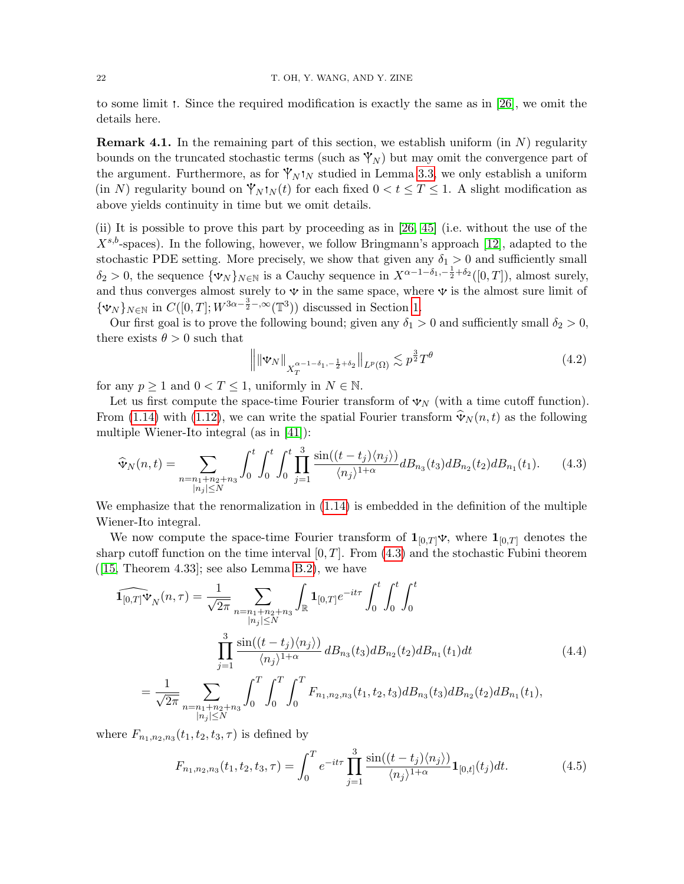to some limit . Since the required modification is exactly the same as in [\[26\]](#page-52-1), we omit the details here.

**Remark 4.1.** In the remaining part of this section, we establish uniform (in  $N$ ) regularity bounds on the truncated stochastic terms (such as  $\mathcal{V}_N$ ) but may omit the convergence part of the argument. Furthermore, as for  $\mathcal{V}_N \cdot N N$  studied in Lemma [3.3,](#page-17-3) we only establish a uniform (in N) regularity bound on  $\mathbb{Y}_N \cdot N(t)$  for each fixed  $0 < t \leq T \leq 1$ . A slight modification as above yields continuity in time but we omit details.

(ii) It is possible to prove this part by proceeding as in [\[26,](#page-52-1) [45\]](#page-53-8) (i.e. without the use of the  $X^{s,b}$ -spaces). In the following, however, we follow Bringmann's approach [\[12\]](#page-51-3), adapted to the stochastic PDE setting. More precisely, we show that given any  $\delta_1 > 0$  and sufficiently small  $\delta_2 > 0$ , the sequence  $\{\mathbf{v}_N\}_{N\in\mathbb{N}}$  is a Cauchy sequence in  $X^{\alpha-1-\delta_1,-\frac{1}{2}+\delta_2}([0,T])$ , almost surely, and thus converges almost surely to  $\mathbf{\hat{v}}$  in the same space, where  $\mathbf{\hat{v}}$  is the almost sure limit of  $\{\mathbf{v}_N\}_{N\in\mathbb{N}}$  in  $C([0,T]; W^{3\alpha-\frac{3}{2}-,\infty}(\mathbb{T}^3))$  discussed in Section [1.](#page-1-0)

Our first goal is to prove the following bound; given any  $\delta_1 > 0$  and sufficiently small  $\delta_2 > 0$ , there exists  $\theta > 0$  such that

<span id="page-21-3"></span><span id="page-21-0"></span>
$$
\left\| \|\mathbf{\Psi}_N\|_{X_T^{\alpha-1-\delta_1, -\frac{1}{2}+\delta_2}} \right\|_{L^p(\Omega)} \lesssim p^{\frac{3}{2}} T^{\theta} \tag{4.2}
$$

for any  $p \ge 1$  and  $0 < T \le 1$ , uniformly in  $N \in \mathbb{N}$ .

Let us first compute the space-time Fourier transform of  $\mathbf{\hat{v}}_N$  (with a time cutoff function). From [\(1.14\)](#page-6-6) with [\(1.12\)](#page-5-7), we can write the spatial Fourier transform  $\hat{\mathbf{v}}_N(n, t)$  as the following multiple Wiener-Ito integral (as in [\[41\]](#page-52-24)):

$$
\widehat{\mathbf{v}}_N(n,t) = \sum_{\substack{n=n_1+n_2+n_3\\|n_j|\leq N}} \int_0^t \int_0^t \int_0^t \prod_{j=1}^3 \frac{\sin((t-t_j)\langle n_j \rangle)}{\langle n_j \rangle^{1+\alpha}} dB_{n_3}(t_3) dB_{n_2}(t_2) dB_{n_1}(t_1). \tag{4.3}
$$

We emphasize that the renormalization in [\(1.14\)](#page-6-6) is embedded in the definition of the multiple Wiener-Ito integral.

We now compute the space-time Fourier transform of  $\mathbf{1}_{[0,T]}$   $\mathbf{v}$ , where  $\mathbf{1}_{[0,T]}$  denotes the sharp cutoff function on the time interval  $[0, T]$ . From  $(4.3)$  and the stochastic Fubini theorem  $([15, Theorem 4.33]; see also Lemma B.2), we have$  $([15, Theorem 4.33]; see also Lemma B.2), we have$  $([15, Theorem 4.33]; see also Lemma B.2), we have$  $([15, Theorem 4.33]; see also Lemma B.2), we have$  $([15, Theorem 4.33]; see also Lemma B.2), we have$ 

$$
\widehat{\mathbf{1}_{[0,T]}\Psi_{N}(n,\tau)} = \frac{1}{\sqrt{2\pi}} \sum_{\substack{n=n_1+n_2+n_3\\|n_j|\leq N}} \int_{\mathbb{R}} \mathbf{1}_{[0,T]} e^{-it\tau} \int_{0}^{t} \int_{0}^{t} \int_{0}^{t} \int_{0}^{t} \int_{0}^{t} \int_{0}^{t} \int_{0}^{t} \int_{0}^{t} \int_{0}^{t} \int_{0}^{t} \int_{0}^{t} \int_{0}^{t} \int_{0}^{t} \int_{0}^{t} \int_{0}^{t} \int_{0}^{t} \int_{0}^{t} \int_{0}^{t} \int_{0}^{t} \int_{0}^{t} \int_{0}^{t} \int_{0}^{t} F_{n_{1},n_{2},n_{3}}(t_{1},t_{2},t_{3}) dB_{n_{3}}(t_{3}) dB_{n_{2}}(t_{2}) dB_{n_{1}}(t_{1}), \tag{4.4}
$$
\n
$$
= \frac{1}{\sqrt{2\pi}} \sum_{\substack{n=n_1+n_2+n_3\\|n_j|\leq N}} \int_{0}^{T} \int_{0}^{T} \int_{0}^{T} F_{n_{1},n_{2},n_{3}}(t_{1},t_{2},t_{3}) dB_{n_{3}}(t_{3}) dB_{n_{2}}(t_{2}) dB_{n_{1}}(t_{1}),
$$

where  $F_{n_1, n_2, n_3}(t_1, t_2, t_3, \tau)$  is defined by

<span id="page-21-2"></span><span id="page-21-1"></span>
$$
F_{n_1,n_2,n_3}(t_1,t_2,t_3,\tau) = \int_0^T e^{-it\tau} \prod_{j=1}^3 \frac{\sin((t-t_j)\langle n_j \rangle)}{\langle n_j \rangle^{1+\alpha}} \mathbf{1}_{[0,t]}(t_j) dt.
$$
 (4.5)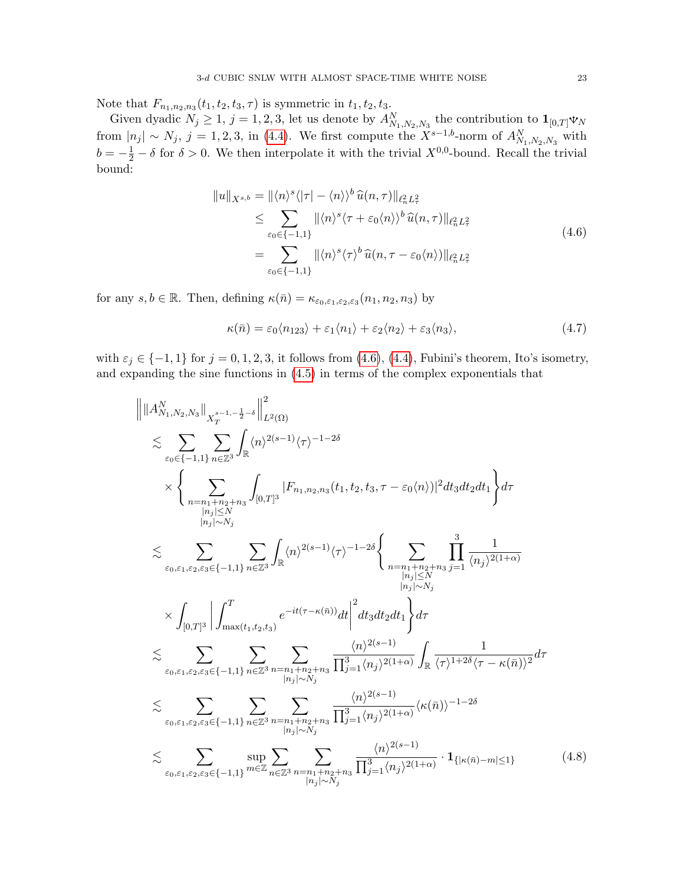Note that  $F_{n_1, n_2, n_3}(t_1, t_2, t_3, \tau)$  is symmetric in  $t_1, t_2, t_3$ .

Given dyadic  $N_j \ge 1$ ,  $j = 1, 2, 3$ , let us denote by  $A_{N_1,N_2,N_3}^N$  the contribution to  $\mathbf{1}_{[0,T]} \mathbf{v}_N$ from  $|n_j| \sim N_j$ , j = 1, 2, 3, in [\(4.4\)](#page-21-1). We first compute the  $X^{s-1,b}$ -norm of  $A_{N_1,N_2,N_3}^N$  with  $b = -\frac{1}{2} - \delta$  for  $\delta > 0$ . We then interpolate it with the trivial  $X^{0,0}$ -bound. Recall the trivial bound:

<span id="page-22-0"></span>
$$
||u||_{X^{s,b}} = ||\langle n \rangle^s \langle |\tau| - \langle n \rangle \rangle^b \widehat{u}(n, \tau) ||_{\ell_n^2 L_\tau^2}
$$
  
\n
$$
\leq \sum_{\varepsilon_0 \in \{-1, 1\}} ||\langle n \rangle^s \langle \tau + \varepsilon_0 \langle n \rangle \rangle^b \widehat{u}(n, \tau) ||_{\ell_n^2 L_\tau^2}
$$
  
\n
$$
= \sum_{\varepsilon_0 \in \{-1, 1\}} ||\langle n \rangle^s \langle \tau \rangle^b \widehat{u}(n, \tau - \varepsilon_0 \langle n \rangle) ||_{\ell_n^2 L_\tau^2}
$$
\n(4.6)

for any  $s, b \in \mathbb{R}$ . Then, defining  $\kappa(\bar{n}) = \kappa_{\varepsilon_0, \varepsilon_1, \varepsilon_2, \varepsilon_3}(n_1, n_2, n_3)$  by

<span id="page-22-2"></span><span id="page-22-1"></span>
$$
\kappa(\bar{n}) = \varepsilon_0 \langle n_{123} \rangle + \varepsilon_1 \langle n_1 \rangle + \varepsilon_2 \langle n_2 \rangle + \varepsilon_3 \langle n_3 \rangle, \tag{4.7}
$$

with  $\varepsilon_j \in \{-1, 1\}$  for  $j = 0, 1, 2, 3$ , it follows from  $(4.6)$ ,  $(4.4)$ , Fubini's theorem, Ito's isometry, and expanding the sine functions in [\(4.5\)](#page-21-2) in terms of the complex exponentials that

$$
\| \|A_{N_{1},N_{2},N_{3}}^{N}\|_{X_{T}^{s-1,-\frac{1}{2}-\delta}}\|_{L^{2}(\Omega)}^{2}
$$
\n
$$
\lesssim \sum_{\varepsilon_{0}\in\{-1,1\}} \sum_{n\in\mathbb{Z}^{3}} \int_{\mathbb{R}} \langle n \rangle^{2(s-1)} \langle \tau \rangle^{-1-2\delta}
$$
\n
$$
\times \left\{\sum_{\substack{n=n_{1}+n_{2}+n_{3} \\ |n_{j}| < N_{j} \\ |n_{j}| \leq N}} \int_{[0,T]^{3}} |F_{n_{1},n_{2},n_{3}}(t_{1},t_{2},t_{3},\tau-\varepsilon_{0}\langle n\rangle)|^{2} dt_{3} dt_{2} dt_{1} \right\} d\tau
$$
\n
$$
\lesssim \sum_{\varepsilon_{0},\varepsilon_{1},\varepsilon_{2},\varepsilon_{3}\in\{-1,1\}} \sum_{n\in\mathbb{Z}^{3}} \int_{\mathbb{R}} \langle n \rangle^{2(s-1)} \langle \tau \rangle^{-1-2\delta} \left\{\sum_{\substack{n=n_{1}+n_{2}+n_{3} \\ |n_{j}| \leq N}} \prod_{j=1}^{3} \frac{1}{\langle n_{j} \rangle^{2(1+\alpha)}} \right\} d\tau
$$
\n
$$
\times \int_{[0,T]^{3}} \left| \int_{\max(t_{1},t_{2},t_{3})}^{T} e^{-it(\tau-\kappa(\bar{n}))} dt \right|^{2} dt_{3} dt_{2} dt_{1} \right\} d\tau
$$
\n
$$
\lesssim \sum_{\varepsilon_{0},\varepsilon_{1},\varepsilon_{2},\varepsilon_{3}\in\{-1,1\}} \sum_{n\in\mathbb{Z}^{3}} \sum_{\substack{n=n_{1}+n_{2}+n_{3} \\ |n_{j}| < N_{j}}} \frac{\langle n \rangle^{2(s-1)}}{\prod_{j=1}^{3} \langle n_{j} \rangle^{2(1+\alpha)}} \int_{\mathbb{R}} \frac{1}{\langle \tau \rangle^{1+2\delta} \langle \tau-\kappa(\bar{n}) \rangle^{2}} d\tau
$$
\n
$$
\lesssim \sum_{\varepsilon_{0},\varepsilon_{1},\varepsilon_{2},\varepsilon_{3}\in\{-1,1\}} \sum_{
$$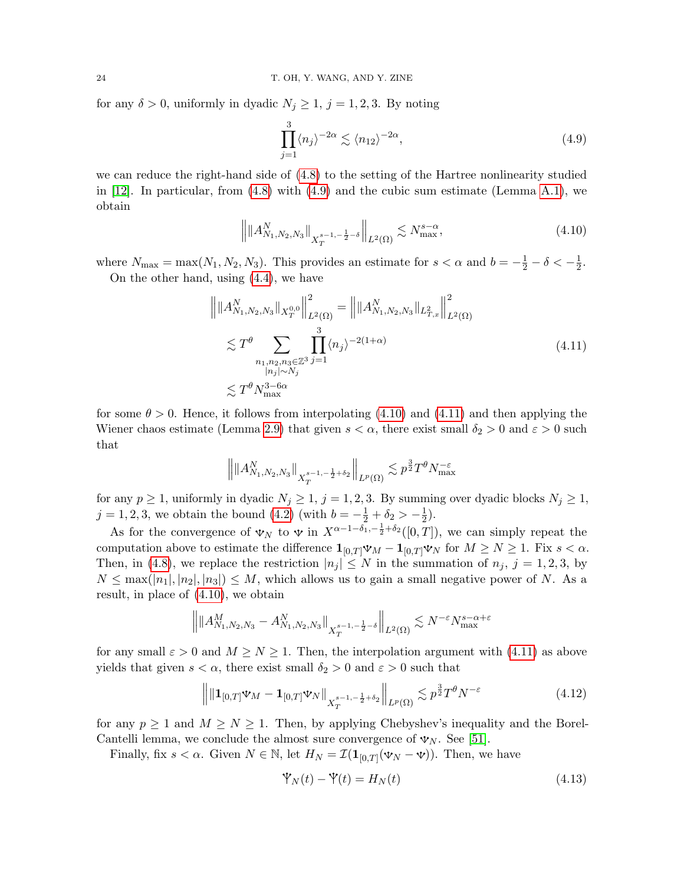for any  $\delta > 0$ , uniformly in dyadic  $N_j \geq 1$ ,  $j = 1, 2, 3$ . By noting

<span id="page-23-1"></span><span id="page-23-0"></span>
$$
\prod_{j=1}^{3} \langle n_j \rangle^{-2\alpha} \lesssim \langle n_{12} \rangle^{-2\alpha},\tag{4.9}
$$

we can reduce the right-hand side of [\(4.8\)](#page-22-1) to the setting of the Hartree nonlinearity studied in  $[12]$ . In particular, from  $(4.8)$  with  $(4.9)$  and the cubic sum estimate (Lemma [A.1\)](#page-41-1), we obtain

<span id="page-23-2"></span>
$$
\left\| \|A_{N_1,N_2,N_3}^N\|_{X_T^{s-1,-\frac{1}{2}-\delta}} \right\|_{L^2(\Omega)} \lesssim N_{\text{max}}^{s-\alpha},\tag{4.10}
$$

where  $N_{\text{max}} = \max(N_1, N_2, N_3)$ . This provides an estimate for  $s < \alpha$  and  $b = -\frac{1}{2} - \delta < -\frac{1}{2}$  $\frac{1}{2}$ . On the other hand, using [\(4.4\)](#page-21-1), we have

$$
\left\| \|A_{N_1,N_2,N_3}^N\|_{X_T^{0,0}} \right\|_{L^2(\Omega)}^2 = \left\| \|A_{N_1,N_2,N_3}^N\|_{L_{T,x}^2} \right\|_{L^2(\Omega)}^2
$$
\n
$$
\lesssim T^\theta \sum_{\substack{n_1,n_2,n_3 \in \mathbb{Z}^3 \\ |n_j| \sim N_j}} \prod_{j=1}^3 \langle n_j \rangle^{-2(1+\alpha)} \tag{4.11}
$$
\n
$$
\lesssim T^\theta N_{\text{max}}^{3-6\alpha}
$$

for some  $\theta > 0$ . Hence, it follows from interpolating [\(4.10\)](#page-23-1) and [\(4.11\)](#page-23-2) and then applying the Wiener chaos estimate (Lemma [2.9\)](#page-15-4) that given  $s < \alpha$ , there exist small  $\delta_2 > 0$  and  $\varepsilon > 0$  such that

$$
\left\| \|A_{N_1,N_2,N_3}^N\|_{X_T^{s-1,-\frac{1}{2}+\delta_2}}\right\|_{L^p(\Omega)} \lesssim p^{\frac{3}{2}} T^{\theta} N_{\max}^{-\varepsilon}
$$

for any  $p \ge 1$ , uniformly in dyadic  $N_j \ge 1$ ,  $j = 1, 2, 3$ . By summing over dyadic blocks  $N_j \ge 1$ ,  $j = 1, 2, 3$ , we obtain the bound  $(4.2)$  (with  $b = -\frac{1}{2} + \delta_2 > -\frac{1}{2}$  $(\frac{1}{2})$ .

As for the convergence of  $\mathbf{v}_N$  to  $\mathbf{v}$  in  $X^{\alpha-1-\delta_1,-\frac{1}{2}+\delta_2}([0,T])$ , we can simply repeat the computation above to estimate the difference  $\mathbf{1}_{[0,T]} \mathbf{\Psi}_M - \mathbf{1}_{[0,T]} \mathbf{\Psi}_N$  for  $M \geq N \geq 1$ . Fix  $s < \alpha$ . Then, in [\(4.8\)](#page-22-1), we replace the restriction  $|n_j| \leq N$  in the summation of  $n_j$ ,  $j = 1, 2, 3$ , by  $N \leq \max(|n_1|, |n_2|, |n_3|) \leq M$ , which allows us to gain a small negative power of N. As a result, in place of [\(4.10\)](#page-23-1), we obtain

$$
\left\| \|A_{N_1,N_2,N_3}^M - A_{N_1,N_2,N_3}^N\|_{X_T^{s-1,-\frac{1}{2}-\delta}} \right\|_{L^2(\Omega)} \lesssim N^{-\varepsilon} N_{\max}^{s-\alpha+\varepsilon}
$$

for any small  $\varepsilon > 0$  and  $M \ge N \ge 1$ . Then, the interpolation argument with [\(4.11\)](#page-23-2) as above yields that given  $s < \alpha$ , there exist small  $\delta_2 > 0$  and  $\varepsilon > 0$  such that

$$
\left\| \| \mathbf{1}_{[0,T]} \mathbf{\Psi}_M - \mathbf{1}_{[0,T]} \mathbf{\Psi}_N \|_{X_T^{s-1, -\frac{1}{2} + \delta_2}} \right\|_{L^p(\Omega)} \lesssim p^{\frac{3}{2}} T^{\theta} N^{-\varepsilon}
$$
(4.12)

for any  $p \ge 1$  and  $M \ge N \ge 1$ . Then, by applying Chebyshev's inequality and the Borel-Cantelli lemma, we conclude the almost sure convergence of  $\mathbf{v}_N$ . See [\[51\]](#page-53-1).

Finally, fix  $s < \alpha$ . Given  $N \in \mathbb{N}$ , let  $H_N = \mathcal{I}(\mathbf{1}_{[0,T]}(\mathbf{v}_N - \mathbf{v}))$ . Then, we have

<span id="page-23-4"></span><span id="page-23-3"></span>
$$
\mathbf{\dot{V}}_{N}(t) - \mathbf{\dot{V}}(t) = H_{N}(t) \tag{4.13}
$$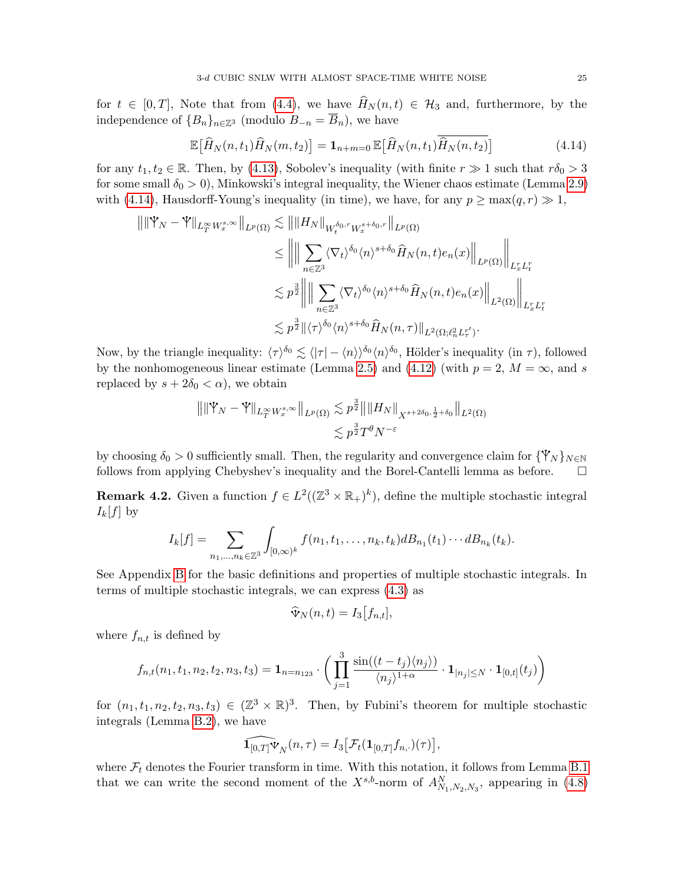for  $t \in [0, T]$ , Note that from [\(4.4\)](#page-21-1), we have  $\widehat{H}_N(n, t) \in \mathcal{H}_3$  and, furthermore, by the independence of  ${B_n}_{n\in\mathbb{Z}^3}$  (modulo  $B_{-n} = \overline{B_n}$ ), we have

<span id="page-24-0"></span>
$$
\mathbb{E}\big[\widehat{H}_N(n,t_1)\widehat{H}_N(m,t_2)\big] = \mathbf{1}_{n+m=0} \mathbb{E}\big[\widehat{H}_N(n,t_1)\widehat{H}_N(n,t_2)\big] \tag{4.14}
$$

for any  $t_1, t_2 \in \mathbb{R}$ . Then, by [\(4.13\)](#page-23-3), Sobolev's inequality (with finite  $r \gg 1$  such that  $r\delta_0 > 3$ for some small  $\delta_0 > 0$ ), Minkowski's integral inequality, the Wiener chaos estimate (Lemma [2.9\)](#page-15-4) with [\(4.14\)](#page-24-0), Hausdorff-Young's inequality (in time), we have, for any  $p \ge \max(q, r) \gg 1$ ,

$$
\| \|\Psi_N - \Psi \|_{L_T^{\infty} W_x^{s,\infty}} \|_{L^p(\Omega)} \lesssim \| \|H_N\|_{W_t^{\delta_0, r} W_x^{s+\delta_0, r}} \|_{L^p(\Omega)}
$$
  
\n
$$
\leq \left\| \left\| \sum_{n \in \mathbb{Z}^3} \langle \nabla_t \rangle^{\delta_0} \langle n \rangle^{s+\delta_0} \hat{H}_N(n, t) e_n(x) \right\|_{L^p(\Omega)} \right\|_{L_x^r L_t^r}
$$
  
\n
$$
\lesssim p^{\frac{3}{2}} \left\| \left\| \sum_{n \in \mathbb{Z}^3} \langle \nabla_t \rangle^{\delta_0} \langle n \rangle^{s+\delta_0} \hat{H}_N(n, t) e_n(x) \right\|_{L^2(\Omega)} \right\|_{L_x^r L_t^r}
$$
  
\n
$$
\lesssim p^{\frac{3}{2}} \| \langle \tau \rangle^{\delta_0} \langle n \rangle^{s+\delta_0} \hat{H}_N(n, \tau) \|_{L^2(\Omega; \ell_n^2 L_\tau^{r'})}.
$$

Now, by the triangle inequality:  $\langle \tau \rangle^{\delta_0} \lesssim \langle |\tau| - \langle n \rangle \rangle^{\delta_0} \langle n \rangle^{\delta_0}$ , Hölder's inequality (in  $\tau$ ), followed by the nonhomogeneous linear estimate (Lemma [2.5\)](#page-12-6) and [\(4.12\)](#page-23-4) (with  $p = 2$ ,  $M = \infty$ , and s replaced by  $s + 2\delta_0 < \alpha$ , we obtain

$$
\|\|\mathbb{Y}_N - \mathbb{Y}\|_{L^\infty_T W^{s,\infty}_x} \|_{L^p(\Omega)} \lesssim p^{\frac{3}{2}} \|\|H_N\|_{X^{s+2\delta_0, \frac{1}{2}+\delta_0}} \|_{L^2(\Omega)}
$$

$$
\lesssim p^{\frac{3}{2}} T^{\theta} N^{-\varepsilon}
$$

by choosing  $\delta_0 > 0$  sufficiently small. Then, the regularity and convergence claim for  $\{\mathbf{Y}_N\}_{N\in\mathbb{N}}$ follows from applying Chebyshev's inequality and the Borel-Cantelli lemma as before.

**Remark 4.2.** Given a function  $f \in L^2((\mathbb{Z}^3 \times \mathbb{R}_+)^k)$ , define the multiple stochastic integral  $I_k[f]$  by

$$
I_k[f] = \sum_{n_1,\ldots,n_k \in \mathbb{Z}^3} \int_{[0,\infty)^k} f(n_1,t_1,\ldots,n_k,t_k) dB_{n_1}(t_1)\cdots dB_{n_k}(t_k).
$$

See Appendix [B](#page-43-0) for the basic definitions and properties of multiple stochastic integrals. In terms of multiple stochastic integrals, we can express [\(4.3\)](#page-21-0) as

$$
\widehat{\mathbf{\Psi}}_N(n,t) = I_3[f_{n,t}],
$$

where  $f_{n,t}$  is defined by

$$
f_{n,t}(n_1, t_1, n_2, t_2, n_3, t_3) = \mathbf{1}_{n=n_{123}} \cdot \left( \prod_{j=1}^3 \frac{\sin((t-t_j)\langle n_j \rangle)}{\langle n_j \rangle^{1+\alpha}} \cdot \mathbf{1}_{|n_j| \le N} \cdot \mathbf{1}_{[0,t]}(t_j) \right)
$$

for  $(n_1, t_1, n_2, t_2, n_3, t_3) \in (\mathbb{Z}^3 \times \mathbb{R})^3$ . Then, by Fubini's theorem for multiple stochastic integrals (Lemma [B.2\)](#page-44-0), we have

$$
\widehat{\mathbf{1}_{[0,T]}\mathbf{\Psi}_N}(n,\tau)=I_3\big[\mathcal{F}_t(\mathbf{1}_{[0,T]}f_{n,\cdot})(\tau)\big],
$$

where  $\mathcal{F}_t$  denotes the Fourier transform in time. With this notation, it follows from Lemma [B.1](#page-43-1) that we can write the second moment of the  $X^{s,b}$ -norm of  $A_{N_1,N_2,N_3}^N$ , appearing in [\(4.8\)](#page-22-1)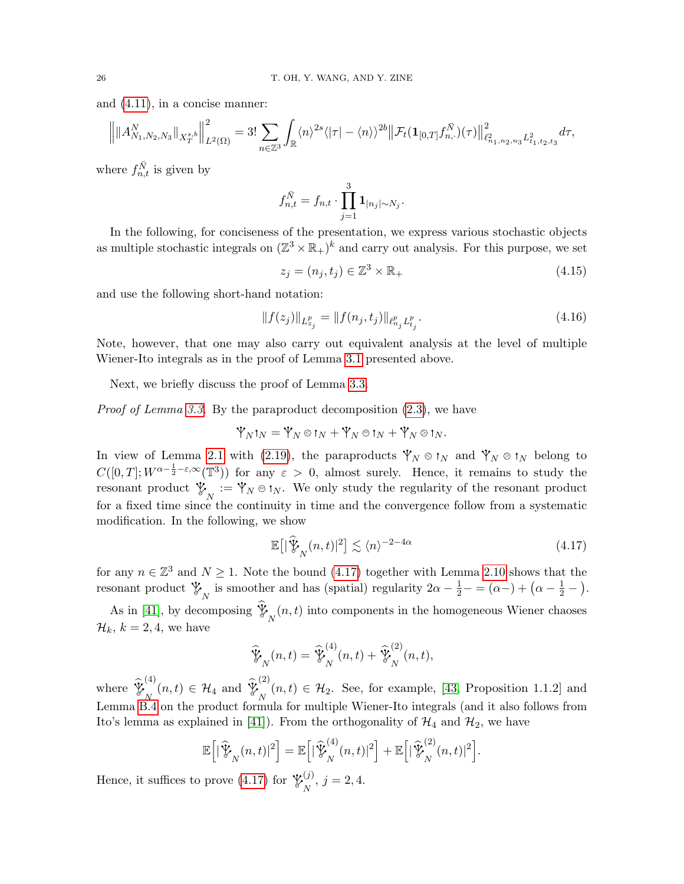and [\(4.11\)](#page-23-2), in a concise manner:

$$
\left\| \|A_{N_1,N_2,N_3}^N\|_{X_T^{s,b}} \right\|_{L^2(\Omega)}^2 = 3! \sum_{n \in \mathbb{Z}^3} \int_{\mathbb{R}} \langle n \rangle^{2s} \langle |\tau| - \langle n \rangle \rangle^{2b} \left\| \mathcal{F}_t(\mathbf{1}_{[0,T]} f_{n,\cdot}^{\bar{N}})(\tau) \right\|_{\ell^2_{n_1,n_2,n_3} L^2_{t_1,t_2,t_3}}^2 d\tau,
$$

where  $f_{n,t}^{\bar{N}}$  is given by

$$
f_{n,t}^{\bar{N}} = f_{n,t} \cdot \prod_{j=1}^3 \mathbf{1}_{|n_j| \sim N_j}.
$$

In the following, for conciseness of the presentation, we express various stochastic objects as multiple stochastic integrals on  $(\mathbb{Z}^3 \times \mathbb{R}_+)^k$  and carry out analysis. For this purpose, we set

<span id="page-25-2"></span><span id="page-25-1"></span>
$$
z_j = (n_j, t_j) \in \mathbb{Z}^3 \times \mathbb{R}_+ \tag{4.15}
$$

and use the following short-hand notation:

$$
||f(z_j)||_{L_{z_j}^p} = ||f(n_j, t_j)||_{\ell_{n_j}^p} L_{t_j}^p.
$$
\n(4.16)

Note, however, that one may also carry out equivalent analysis at the level of multiple Wiener-Ito integrals as in the proof of Lemma [3.1](#page-17-2) presented above.

Next, we briefly discuss the proof of Lemma [3.3.](#page-17-3)

Proof of Lemma [3.3.](#page-17-3) By the paraproduct decomposition [\(2.3\)](#page-11-5), we have

$$
\mathbb{Y}_N\mathbf{1}_N=\mathbb{Y}_N\otimes\mathbf{1}_N+\mathbb{Y}_N\oplus\mathbf{1}_N+\mathbb{Y}_N\otimes\mathbf{1}_N.
$$

In view of Lemma [2.1](#page-11-7) with [\(2.19\)](#page-16-3), the paraproducts  $\mathcal{V}_N \otimes \mathfrak{t}_N$  and  $\mathcal{V}_N \otimes \mathfrak{t}_N$  belong to  $C([0,T]; W^{\alpha-\frac{1}{2}-\varepsilon,\infty}(\mathbb{T}^3))$  for any  $\varepsilon > 0$ , almost surely. Hence, it remains to study the resonant product  $\mathcal{V}_N := \mathcal{V}_N \oplus \mathfrak{t}_N$ . We only study the regularity of the resonant product for a fixed time since the continuity in time and the convergence follow from a systematic modification. In the following, we show

<span id="page-25-0"></span>
$$
\mathbb{E}\big[\big|\widehat{\mathbb{Y}}_{N}(n,t)|^{2}\big] \lesssim \langle n \rangle^{-2-4\alpha} \tag{4.17}
$$

for any  $n \in \mathbb{Z}^3$  and  $N \geq 1$ . Note the bound [\(4.17\)](#page-25-0) together with Lemma [2.10](#page-16-2) shows that the resonant product  $\mathcal{V}_N$  is smoother and has (spatial) regularity  $2\alpha - \frac{1}{2} - \alpha = (\alpha -) + (\alpha - \frac{1}{2} -)$ .

As in [\[41\]](#page-52-24), by decomposing  $\mathcal{V}_{N}(n,t)$  into components in the homogeneous Wiener chaoses  $\mathcal{H}_k$ ,  $k = 2, 4$ , we have

$$
\widehat{\mathcal{Y}}_N(n,t) = \widehat{\mathcal{Y}}_N^{(4)}(n,t) + \widehat{\mathcal{Y}}_N^{(2)}(n,t),
$$

where  $\mathcal{V}$ (4)  $\bigvee_N (n,t) \in \mathcal{H}_4$  and  $\mathcal{V}_5$ (2)  $N(n,t) \in \mathcal{H}_2$ . See, for example, [\[43,](#page-52-25) Proposition 1.1.2] and Lemma [B.4](#page-46-1) on the product formula for multiple Wiener-Ito integrals (and it also follows from Ito's lemma as explained in [\[41\]](#page-52-24)). From the orthogonality of  $\mathcal{H}_4$  and  $\mathcal{H}_2$ , we have

$$
\mathbb{E}\Big[\big|\widehat{\mathcal{Y}}_N(n,t)|^2\Big] = \mathbb{E}\Big[\big|\widehat{\mathcal{Y}}_N^{(4)}(n,t)|^2\Big] + \mathbb{E}\Big[\big|\widehat{\mathcal{Y}}_N^{(2)}(n,t)|^2\Big].
$$

Hence, it suffices to prove [\(4.17\)](#page-25-0) for  $\mathcal{V}_{\infty}^{(j)}$  $\sum_{N}^{(J)}$ ,  $j = 2, 4$ .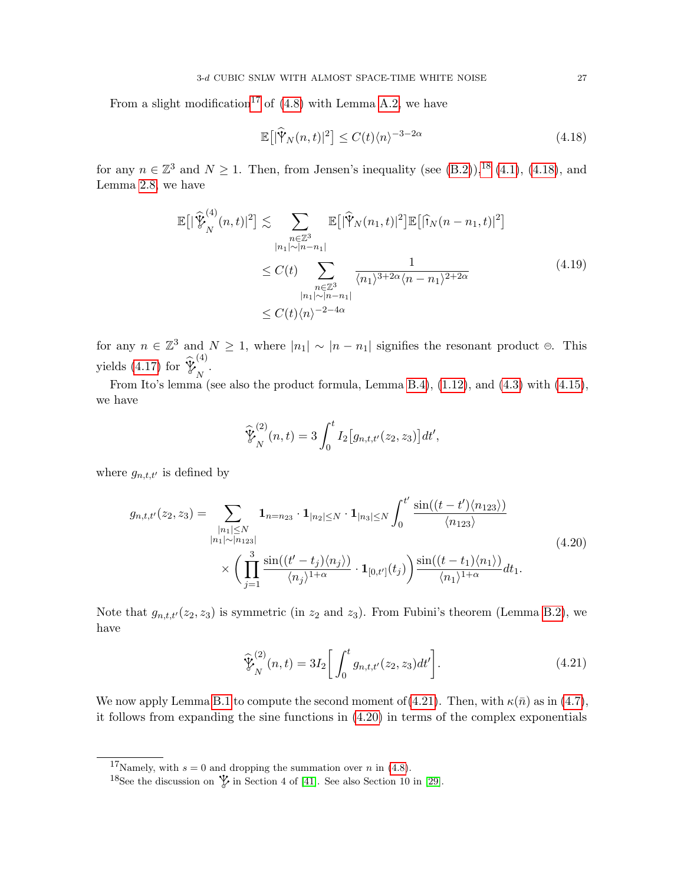From a slight modification<sup>[17](#page-26-0)</sup> of  $(4.8)$  with Lemma [A.2,](#page-41-2) we have

<span id="page-26-5"></span><span id="page-26-2"></span>
$$
\mathbb{E}\big[\vert \widehat{\mathbb{Y}}_N(n,t) \vert^2\big] \le C(t) \langle n \rangle^{-3-2\alpha} \tag{4.18}
$$

for any  $n \in \mathbb{Z}^3$  and  $N \ge 1$ . Then, from Jensen's inequality (see [\(B.2\)](#page-43-2)),<sup>[18](#page-26-1)</sup> [\(4.1\)](#page-20-5), [\(4.18\)](#page-26-2), and Lemma [2.8,](#page-15-2) we have

$$
\mathbb{E}\big[\big|\widehat{\mathbf{Y}}_{N}^{(4)}(n,t)\big|^2\big] \lesssim \sum_{\substack{n\in\mathbb{Z}^3\\|n_1|\sim|n-n_1|}} \mathbb{E}\big[\big|\widehat{\mathbf{Y}}_{N}(n_1,t)\big|^2\big]\mathbb{E}\big[\big|\widehat{\mathbf{Y}}_{N}(n-n_1,t)\big|^2\big] \leq C(t) \sum_{\substack{n\in\mathbb{Z}^3\\|n_1|\sim|n-n_1|}} \frac{1}{\langle n_1\rangle^{3+2\alpha}\langle n-n_1\rangle^{2+2\alpha}} \tag{4.19}
$$
\n
$$
\leq C(t)\langle n\rangle^{-2-4\alpha}
$$

for any  $n \in \mathbb{Z}^3$  and  $N \geq 1$ , where  $|n_1| \sim |n - n_1|$  signifies the resonant product  $\oplus$ . This yields  $(4.17)$  for  $\sqrt[b]{e}$ (4)  $\bigg|_{N}$ .

From Ito's lemma (see also the product formula, Lemma [B.4\)](#page-46-1),  $(1.12)$ , and  $(4.3)$  with  $(4.15)$ , we have

<span id="page-26-4"></span>
$$
\widehat{\mathcal{Y}}_N^{(2)}(n,t) = 3 \int_0^t I_2 \big[ g_{n,t,t'}(z_2, z_3) \big] dt',
$$

where  $g_{n,t,t'}$  is defined by

$$
g_{n,t,t'}(z_2, z_3) = \sum_{\substack{|n_1| \le N \\ |n_1| \sim |n_{123}|}} \mathbf{1}_{n=n_{23}} \cdot \mathbf{1}_{|n_2| \le N} \cdot \mathbf{1}_{|n_3| \le N} \int_0^{t'} \frac{\sin((t-t')\langle n_{123}\rangle)}{\langle n_{123}\rangle} \cdot \frac{\langle n_{123}\rangle}{\langle n_{123}\rangle} \cdot \mathbf{1}_{[0,t']}(t_j) \frac{\sin((t-t_1)\langle n_1\rangle)}{\langle n_1\rangle^{1+\alpha}} dt_1.
$$
\n(4.20)

Note that  $g_{n,t,t'}(z_2, z_3)$  is symmetric (in  $z_2$  and  $z_3$ ). From Fubini's theorem (Lemma [B.2\)](#page-44-0), we have

<span id="page-26-3"></span>
$$
\widehat{\mathcal{V}}_{N}^{(2)}(n,t) = 3I_2 \bigg[ \int_0^t g_{n,t,t'}(z_2, z_3) dt' \bigg]. \tag{4.21}
$$

We now apply Lemma [B.1](#page-43-1) to compute the second moment of [\(4.21\)](#page-26-3). Then, with  $\kappa(\bar{n})$  as in [\(4.7\)](#page-22-2), it follows from expanding the sine functions in [\(4.20\)](#page-26-4) in terms of the complex exponentials

<span id="page-26-0"></span><sup>&</sup>lt;sup>17</sup>Namely, with  $s = 0$  and dropping the summation over *n* in [\(4.8\)](#page-22-1).

<span id="page-26-1"></span><sup>&</sup>lt;sup>18</sup>See the discussion on  $\psi$  in Section 4 of [\[41\]](#page-52-24). See also Section 10 in [\[29\]](#page-52-27).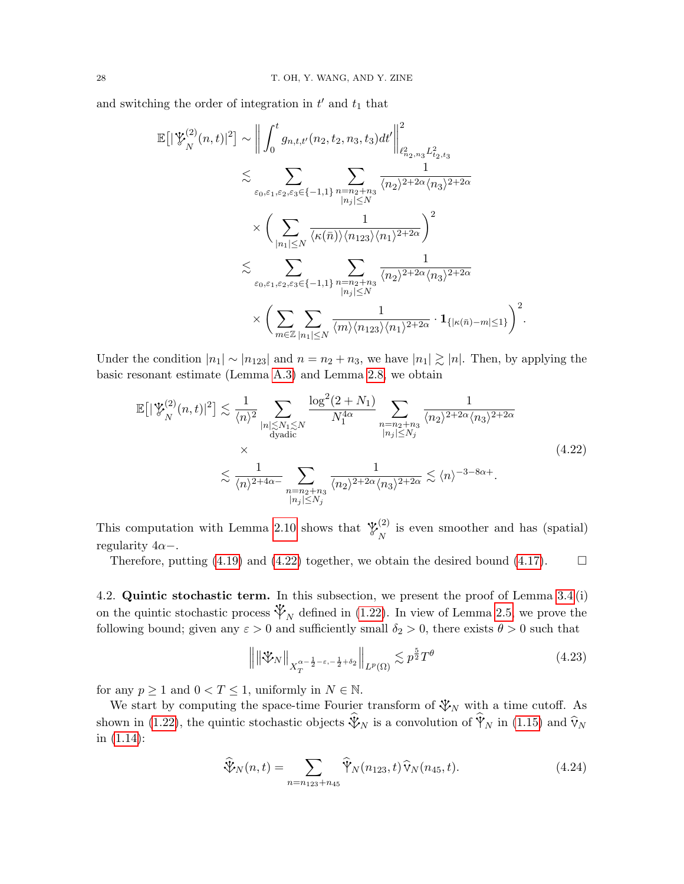and switching the order of integration in  $t'$  and  $t_1$  that

$$
\mathbb{E}\left[\left|\mathcal{L}_{N}^{(2)}(n,t)\right|^{2}\right] \sim \left\|\int_{0}^{t} g_{n,t,t'}(n_{2}, t_{2}, n_{3}, t_{3})dt'\right\|_{\ell_{n_{2},n_{3}}^{2}L_{t_{2},t_{3}}^{2}}^{2}
$$
\n
$$
\lesssim \sum_{\varepsilon_{0},\varepsilon_{1},\varepsilon_{2},\varepsilon_{3}\in\{-1,1\}} \sum_{\substack{n=n_{2}+n_{3} \ n_{j}|\leq N}} \frac{1}{\langle n_{2}\rangle^{2+2\alpha} \langle n_{3}\rangle^{2+2\alpha}}
$$
\n
$$
\times \left(\sum_{\substack{|n_{1}|\leq N \\ \varepsilon_{0},\varepsilon_{1},\varepsilon_{2},\varepsilon_{3}\in\{-1,1\}}}\frac{1}{\langle\kappa(\bar{n})\rangle\langle n_{123}\rangle\langle n_{1}\rangle^{2+2\alpha}}\right)^{2}
$$
\n
$$
\lesssim \sum_{\varepsilon_{0},\varepsilon_{1},\varepsilon_{2},\varepsilon_{3}\in\{-1,1\}}}\sum_{\substack{|n_{2}+n_{3} \ n_{3}|\leq N}}\frac{1}{\langle n_{2}\rangle^{2+2\alpha} \langle n_{3}\rangle^{2+2\alpha}}
$$
\n
$$
\times \left(\sum_{m\in\mathbb{Z}}\sum_{|n_{1}|\leq N}\frac{1}{\langle m\rangle\langle n_{123}\rangle\langle n_{1}\rangle^{2+2\alpha}}\cdot\mathbf{1}_{\{|n(\bar{n})-m|\leq 1\}}\right)^{2}.
$$

Under the condition  $|n_1| \sim |n_{123}|$  and  $n = n_2 + n_3$ , we have  $|n_1| \gtrsim |n|$ . Then, by applying the basic resonant estimate (Lemma [A.3\)](#page-41-3) and Lemma [2.8,](#page-15-2) we obtain

$$
\mathbb{E}\left[\left|\mathcal{V}_{N}^{(2)}(n,t)\right|^{2}\right] \lesssim \frac{1}{\langle n\rangle^{2}} \sum_{\substack{|n|\leq N_{1}\leq N\\ \text{dyadic}}} \frac{\log^{2}(2+N_{1})}{N_{1}^{4\alpha}} \sum_{\substack{n=n_{2}+n_{3}\\ \mid n_{j}\mid\leq N_{j}}} \frac{1}{\langle n_{2}\rangle^{2+2\alpha}\langle n_{3}\rangle^{2+2\alpha}} \times \frac{1}{\langle n\rangle^{2+4\alpha}} \lesssim \frac{1}{\langle n\rangle^{2+4\alpha}} \lesssim \frac{1}{\langle n\rangle^{2+4\alpha}} \lesssim \langle n\rangle^{-3-8\alpha+}.
$$
\n(4.22)

This computation with Lemma [2.10](#page-16-2) shows that  $\mathcal{X}^{(2)}$  $\binom{2}{N}$  is even smoother and has (spatial) regularity  $4\alpha-$ .

Therefore, putting [\(4.19\)](#page-26-5) and [\(4.22\)](#page-27-1) together, we obtain the desired bound [\(4.17\)](#page-25-0).  $\Box$ 

<span id="page-27-0"></span>4.2. Quintic stochastic term. In this subsection, we present the proof of Lemma [3.4](#page-17-4) (i) on the quintic stochastic process  $\mathcal{V}_N$  defined in [\(1.22\)](#page-7-4). In view of Lemma [2.5,](#page-12-6) we prove the following bound; given any  $\varepsilon > 0$  and sufficiently small  $\delta_2 > 0$ , there exists  $\theta > 0$  such that

<span id="page-27-3"></span><span id="page-27-2"></span><span id="page-27-1"></span>
$$
\left\| \left\| \mathcal{X}_N \right\|_{X_T^{\alpha - \frac{1}{2} - \varepsilon, -\frac{1}{2} + \delta_2}} \right\|_{L^p(\Omega)} \lesssim p^{\frac{5}{2}} T^{\theta} \tag{4.23}
$$

for any  $p \ge 1$  and  $0 < T \le 1$ , uniformly in  $N \in \mathbb{N}$ .

We start by computing the space-time Fourier transform of  $\mathcal{V}_N$  with a time cutoff. As shown in [\(1.22\)](#page-7-4), the quintic stochastic objects  $\mathcal{V}_N$  is a convolution of  $\mathcal{V}_N$  in [\(1.15\)](#page-6-3) and  $\widehat{V}_N$ . in [\(1.14\)](#page-6-6):

$$
\widehat{\Psi}_N(n,t) = \sum_{n=n_{123}+n_{45}} \widehat{\mathbb{Y}}_N(n_{123},t) \widehat{\mathbb{V}}_N(n_{45},t).
$$
\n(4.24)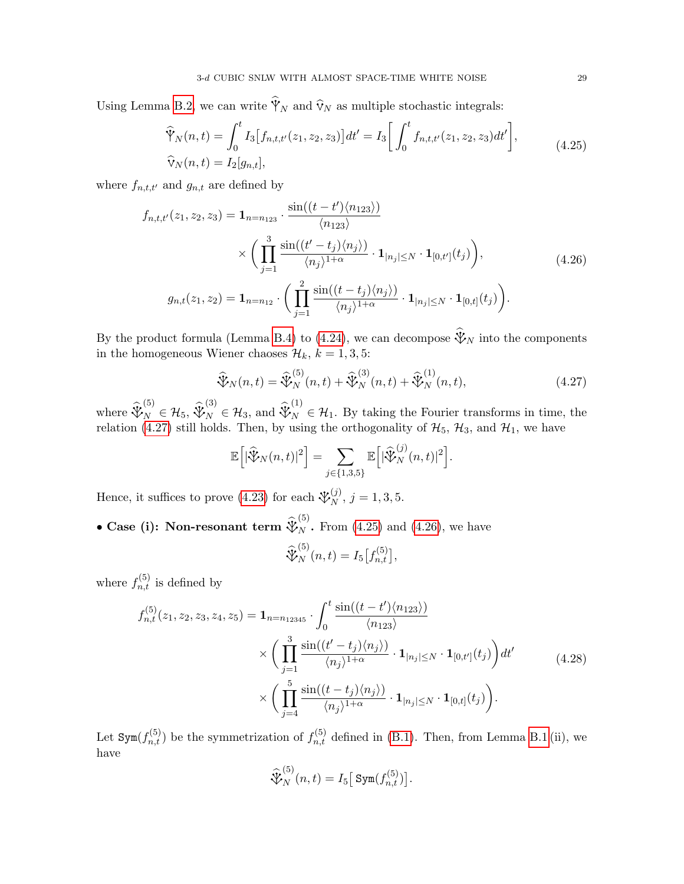Using Lemma [B.2,](#page-44-0) we can write  $\mathbb{Y}_N$  and  $\mathbb{V}_N$  as multiple stochastic integrals:

<span id="page-28-1"></span>
$$
\widehat{\mathcal{V}}_N(n,t) = \int_0^t I_3[f_{n,t,t'}(z_1, z_2, z_3)] dt' = I_3 \bigg[ \int_0^t f_{n,t,t'}(z_1, z_2, z_3) dt' \bigg],
$$
\n
$$
\widehat{\mathcal{V}}_N(n,t) = I_2[g_{n,t}],
$$
\n(4.25)

where  $f_{n,t,t'}$  and  $g_{n,t}$  are defined by

$$
f_{n,t,t'}(z_1, z_2, z_3) = \mathbf{1}_{n=n_{123}} \cdot \frac{\sin((t-t')\langle n_{123}\rangle)}{\langle n_{123}\rangle} \times \left(\prod_{j=1}^3 \frac{\sin((t'-t_j)\langle n_{j2}\rangle)}{\langle n_{j}\rangle^{1+\alpha}} \cdot \mathbf{1}_{|n_{j}|\leq N} \cdot \mathbf{1}_{[0,t']}(t_j)\right),
$$
  

$$
g_{n,t}(z_1, z_2) = \mathbf{1}_{n=n_{12}} \cdot \left(\prod_{j=1}^2 \frac{\sin((t-t_j)\langle n_{j}\rangle)}{\langle n_{j}\rangle^{1+\alpha}} \cdot \mathbf{1}_{|n_{j}|\leq N} \cdot \mathbf{1}_{[0,t]}(t_j)\right).
$$
 (4.26)

By the product formula (Lemma [B.4\)](#page-46-1) to [\(4.24\)](#page-27-2), we can decompose  $\mathcal{V}_N$  into the components in the homogeneous Wiener chaoses  $\mathcal{H}_k$ ,  $k = 1, 3, 5$ :

<span id="page-28-2"></span>
$$
\widehat{\Psi}_{N}(n,t) = \widehat{\Psi}_{N}^{(5)}(n,t) + \widehat{\Psi}_{N}^{(3)}(n,t) + \widehat{\Psi}_{N}^{(1)}(n,t),
$$
\n(4.27)

where  $\widehat{\mathcal{X}}_{N}^{(5)} \in \mathcal{H}_5, \widehat{\mathcal{X}}$  $\mathcal{L}_{N}^{(3)} \in \mathcal{H}_3$ , and  $\widehat{\mathcal{V}}_{N}^{(1)} \in \mathcal{H}_1$ . By taking the Fourier transforms in time, the relation [\(4.27\)](#page-28-0) still holds. Then, by using the orthogonality of  $\mathcal{H}_5$ ,  $\mathcal{H}_3$ , and  $\mathcal{H}_1$ , we have

$$
\mathbb{E}\left[|\widehat{\mathbb{V}}_N(n,t)|^2\right] = \sum_{j\in\{1,3,5\}} \mathbb{E}\left[|\widehat{\mathbb{V}}_N^{(j)}(n,t)|^2\right].
$$

Hence, it suffices to prove [\(4.23\)](#page-27-3) for each  $\mathcal{X}_N^{(j)}$ ,  $j = 1, 3, 5$ .

• Case (i): Non-resonant term  $\widehat{\mathcal{X}}_N^{(5)}$ . From [\(4.25\)](#page-28-1) and [\(4.26\)](#page-28-2), we have

<span id="page-28-3"></span><span id="page-28-0"></span>
$$
\widehat{\mathcal{V}}_N^{(5)}(n,t) = I_5[f_{n,t}^{(5)}],
$$

where  $f_{n,t}^{(5)}$  is defined by

$$
f_{n,t}^{(5)}(z_1, z_2, z_3, z_4, z_5) = \mathbf{1}_{n=n_{12345}} \cdot \int_0^t \frac{\sin((t-t')\langle n_{123}\rangle)}{\langle n_{123}\rangle} \times \left(\prod_{j=1}^3 \frac{\sin((t'-t_j)\langle n_j\rangle)}{\langle n_j\rangle^{1+\alpha}} \cdot \mathbf{1}_{|n_j| \le N} \cdot \mathbf{1}_{[0,t']}(t_j)\right) dt' \times \left(\prod_{j=4}^5 \frac{\sin((t-t_j)\langle n_j\rangle)}{\langle n_j\rangle^{1+\alpha}} \cdot \mathbf{1}_{|n_j| \le N} \cdot \mathbf{1}_{[0,t]}(t_j)\right).
$$
\n(4.28)

Let  $Sym(f_{n,t}^{(5)})$  be the symmetrization of  $f_{n,t}^{(5)}$  defined in [\(B.1\)](#page-43-3). Then, from Lemma [B.1](#page-43-1) (ii), we have

$$
\widehat{\mathcal{X}}_N^{(5)}(n,t) = I_5 \big[ \operatorname{Sym}(f_{n,t}^{(5)}) \big].
$$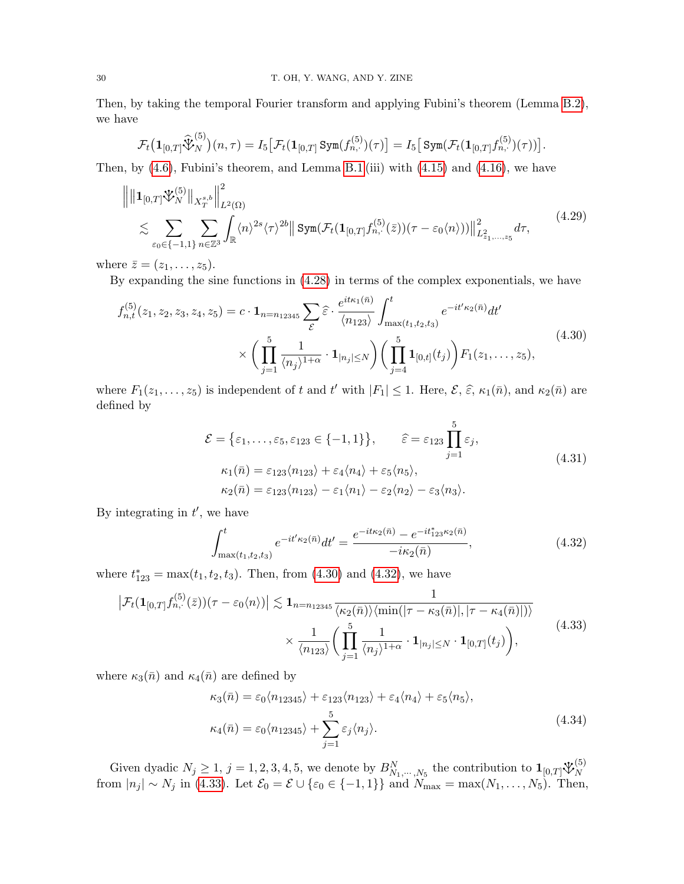Then, by taking the temporal Fourier transform and applying Fubini's theorem (Lemma [B.2\)](#page-44-0), we have

$$
\mathcal{F}_t\big(\mathbf{1}_{[0,T]}\widehat{\mathbf{\mathcal{V}}}_{N}^{(5)}\big)(n,\tau)=I_5\big[\mathcal{F}_t(\mathbf{1}_{[0,T]}\operatorname{{\mathtt{Sym}}}(f_{n,\cdot}^{(5)})(\tau)\big]=I_5\big[\operatorname{{\mathtt{Sym}}}(\mathcal{F}_t(\mathbf{1}_{[0,T]}f_{n,\cdot}^{(5)})(\tau))\big].
$$

Then, by  $(4.6)$ , Fubini's theorem, and Lemma [B.1](#page-43-1) (iii) with  $(4.15)$  and  $(4.16)$ , we have

$$
\left\| \| \mathbf{1}_{[0,T]} \mathbf{\tilde{V}}_{N}^{(5)} \|_{X^{s,b}_T} \right\|_{L^2(\Omega)}^2 \leq \sum_{\varepsilon_0 \in \{-1,1\}} \sum_{n \in \mathbb{Z}^3} \int_{\mathbb{R}} \langle n \rangle^{2s} \langle \tau \rangle^{2b} \| \operatorname{Sym}(\mathcal{F}_t(\mathbf{1}_{[0,T]} f_{n,\cdot}^{(5)}(\bar{z})) (\tau - \varepsilon_0 \langle n \rangle)) \|_{L^2_{z_1,\dots,z_5}}^2 d\tau, \tag{4.29}
$$

where  $\overline{z} = (z_1, \ldots, z_5)$ .

By expanding the sine functions in [\(4.28\)](#page-28-3) in terms of the complex exponentials, we have

$$
f_{n,t}^{(5)}(z_1, z_2, z_3, z_4, z_5) = c \cdot \mathbf{1}_{n=n_{12345}} \sum_{\mathcal{E}} \hat{\varepsilon} \cdot \frac{e^{it\kappa_1(\bar{n})}}{\langle n_{123} \rangle} \int_{\max(t_1, t_2, t_3)}^t e^{-it'\kappa_2(\bar{n})} dt'
$$
  
 
$$
\times \left( \prod_{j=1}^5 \frac{1}{\langle n_j \rangle^{1+\alpha}} \cdot \mathbf{1}_{|n_j| \le N} \right) \left( \prod_{j=4}^5 \mathbf{1}_{[0,t]}(t_j) \right) F_1(z_1, \dots, z_5), \tag{4.30}
$$

where  $F_1(z_1,\ldots,z_5)$  is independent of t and t' with  $|F_1| \leq 1$ . Here,  $\mathcal{E}, \hat{\varepsilon}, \kappa_1(\bar{n})$ , and  $\kappa_2(\bar{n})$  are defined by

<span id="page-29-4"></span><span id="page-29-3"></span><span id="page-29-0"></span>
$$
\mathcal{E} = \{\varepsilon_1, \dots, \varepsilon_5, \varepsilon_{123} \in \{-1, 1\}\}, \qquad \widehat{\varepsilon} = \varepsilon_{123} \prod_{j=1}^5 \varepsilon_j,
$$
  
\n
$$
\kappa_1(\bar{n}) = \varepsilon_{123} \langle n_{123} \rangle + \varepsilon_4 \langle n_4 \rangle + \varepsilon_5 \langle n_5 \rangle,
$$
  
\n
$$
\kappa_2(\bar{n}) = \varepsilon_{123} \langle n_{123} \rangle - \varepsilon_1 \langle n_1 \rangle - \varepsilon_2 \langle n_2 \rangle - \varepsilon_3 \langle n_3 \rangle.
$$
\n(4.31)

By integrating in  $t'$ , we have

<span id="page-29-2"></span><span id="page-29-1"></span>
$$
\int_{\max(t_1, t_2, t_3)}^t e^{-it'\kappa_2(\bar{n})} dt' = \frac{e^{-it\kappa_2(\bar{n})} - e^{-it'_{123}\kappa_2(\bar{n})}}{-i\kappa_2(\bar{n})},
$$
\n(4.32)

where  $t_{123}^* = \max(t_1, t_2, t_3)$ . Then, from [\(4.30\)](#page-29-0) and [\(4.32\)](#page-29-1), we have

$$
\left|\mathcal{F}_{t}(\mathbf{1}_{[0,T]}f_{n,\cdot}^{(5)}(\bar{z}))(\tau-\varepsilon_{0}\langle n\rangle)\right|\lesssim\mathbf{1}_{n=n_{12345}}\frac{1}{\langle\kappa_{2}(\bar{n})\rangle\langle\min(|\tau-\kappa_{3}(\bar{n})|,|\tau-\kappa_{4}(\bar{n})|)\rangle}\times\frac{1}{\langle n_{123}\rangle}\bigg(\prod_{j=1}^{5}\frac{1}{\langle n_{j}\rangle^{1+\alpha}}\cdot\mathbf{1}_{[n_{j}]\leq N}\cdot\mathbf{1}_{[0,T]}(t_{j})\bigg),\tag{4.33}
$$

where  $\kappa_3(\bar{n})$  and  $\kappa_4(\bar{n})$  are defined by

<span id="page-29-5"></span>
$$
\kappa_3(\bar{n}) = \varepsilon_0 \langle n_{12345} \rangle + \varepsilon_{123} \langle n_{123} \rangle + \varepsilon_4 \langle n_4 \rangle + \varepsilon_5 \langle n_5 \rangle,
$$
  

$$
\kappa_4(\bar{n}) = \varepsilon_0 \langle n_{12345} \rangle + \sum_{j=1}^5 \varepsilon_j \langle n_j \rangle.
$$
 (4.34)

Given dyadic  $N_j \ge 1$ ,  $j = 1, 2, 3, 4, 5$ , we denote by  $B_{N_1,\dots,N_5}^N$  the contribution to  $\mathbf{1}_{[0,T]} \mathcal{V}_N^{(5)}$ N from  $|n_j| \sim N_j$  in [\(4.33\)](#page-29-2). Let  $\mathcal{E}_0 = \mathcal{E} \cup {\epsilon_0 \in \{-1,1\}}$  and  $N_{\text{max}} = \max(N_1, \ldots, N_5)$ . Then,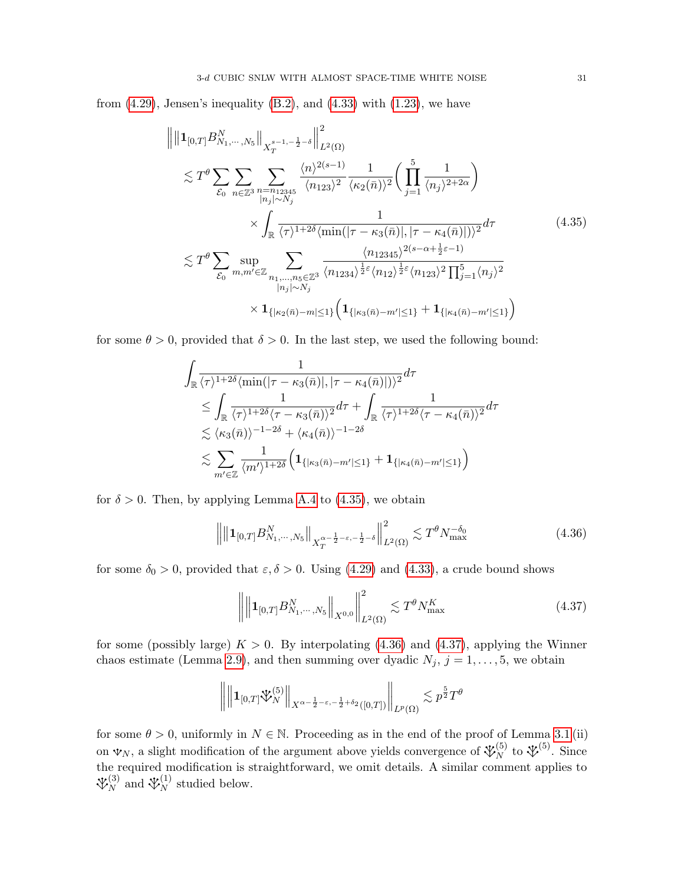from  $(4.29)$ , Jensen's inequality  $(B.2)$ , and  $(4.33)$  with  $(1.23)$ , we have

<span id="page-30-0"></span>
$$
\| \|1_{[0,T]} B_{N_1,\dots,N_5}^N\|_{X_T^{s-1,-\frac{1}{2}-\delta}} \Big\|_{L^2(\Omega)}^2 \n\lesssim T^{\theta} \sum_{\mathcal{E}_0} \sum_{n \in \mathbb{Z}^3} \sum_{\substack{n=n_{12345} \ n_{j} \mid \sim N_j}} \frac{\langle n \rangle^{2(s-1)}}{\langle n_{123} \rangle^2} \frac{1}{\langle \kappa_2(\bar{n}) \rangle^2} \Big( \prod_{j=1}^5 \frac{1}{\langle n_j \rangle^{2+2\alpha}} \Big) \n\times \int_{\mathbb{R}} \frac{1}{\langle \tau \rangle^{1+2\delta} \langle \min(|\tau - \kappa_3(\bar{n})|, |\tau - \kappa_4(\bar{n})| \rangle)^2} d\tau \n\lesssim T^{\theta} \sum_{\mathcal{E}_0} \sup_{m,m' \in \mathbb{Z}} \sum_{\substack{n_1,\dots,n_5 \in \mathbb{Z}^3}} \frac{\langle n_{12345} \rangle^{2(s-\alpha+\frac{1}{2}\varepsilon-1)}}{\langle n_{1234} \rangle^{\frac{1}{2}\varepsilon} \langle n_{123} \rangle^{2\left(s-\alpha+\frac{1}{2}\varepsilon-1\right)}} \frac{\langle n_{12345} \rangle^{2(s-\alpha+\frac{1}{2}\varepsilon-1)}}{\langle n_{123} \rangle^{2\left(s-\alpha+\frac{1}{2}\varepsilon\right)}} \frac{\langle n_{12345} \rangle^{2(s-\alpha+\frac{1}{2}\varepsilon-1)}}{\langle n_{123} \rangle^{2\left(s-\alpha+\frac{1}{2}\varepsilon\right)}} \Big( 1_{\{|k_2(\bar{n})-m'|\leq 1\}} + 1_{\{|k_4(\bar{n})-m'|\leq 1\}} \Big)
$$
\n(A.35)

for some  $\theta > 0$ , provided that  $\delta > 0$ . In the last step, we used the following bound:

$$
\int_{\mathbb{R}} \frac{1}{\langle \tau \rangle^{1+2\delta} \langle \min(|\tau - \kappa_3(\bar{n})|, |\tau - \kappa_4(\bar{n})| \rangle)^2} d\tau
$$
\n
$$
\leq \int_{\mathbb{R}} \frac{1}{\langle \tau \rangle^{1+2\delta} \langle \tau - \kappa_3(\bar{n}) \rangle^2} d\tau + \int_{\mathbb{R}} \frac{1}{\langle \tau \rangle^{1+2\delta} \langle \tau - \kappa_4(\bar{n}) \rangle^2} d\tau
$$
\n
$$
\lesssim \langle \kappa_3(\bar{n}) \rangle^{-1-2\delta} + \langle \kappa_4(\bar{n}) \rangle^{-1-2\delta}
$$
\n
$$
\lesssim \sum_{m' \in \mathbb{Z}} \frac{1}{\langle m' \rangle^{1+2\delta}} \Big( \mathbf{1}_{\{|\kappa_3(\bar{n}) - m'| \le 1\}} + \mathbf{1}_{\{|\kappa_4(\bar{n}) - m'| \le 1\}} \Big)
$$

for  $\delta > 0$ . Then, by applying Lemma [A.4](#page-42-0) to [\(4.35\)](#page-30-0), we obtain

$$
\left\| \left\| \mathbf{1}_{[0,T]} B_{N_1,\cdots,N_5}^N \right\|_{X_T^{\alpha - \frac{1}{2}-\varepsilon, -\frac{1}{2}-\delta}} \right\|_{L^2(\Omega)}^2 \lesssim T^\theta N_{\text{max}}^{-\delta_0}
$$
\n(4.36)

for some  $\delta_0 > 0$ , provided that  $\varepsilon, \delta > 0$ . Using [\(4.29\)](#page-29-3) and [\(4.33\)](#page-29-2), a crude bound shows

<span id="page-30-2"></span><span id="page-30-1"></span>
$$
\left\| \left\| \mathbf{1}_{[0,T]} B_{N_1,\cdots,N_5}^N \right\|_{X^{0,0}} \right\|_{L^2(\Omega)}^2 \lesssim T^\theta N_{\text{max}}^K \tag{4.37}
$$

for some (possibly large)  $K > 0$ . By interpolating [\(4.36\)](#page-30-1) and [\(4.37\)](#page-30-2), applying the Winner chaos estimate (Lemma [2.9\)](#page-15-4), and then summing over dyadic  $N_j$ ,  $j = 1, \ldots, 5$ , we obtain

$$
\left\| \left\| \mathbf{1}_{[0,T]} \mathbf{\tilde{V}}_N^{(5)} \right\|_{X^{\alpha - \frac{1}{2} - \varepsilon, -\frac{1}{2} + \delta_2}([0,T])} \right\|_{L^p(\Omega)} \lesssim p^{\frac{5}{2}} T^{\theta}
$$

for some  $\theta > 0$ , uniformly in  $N \in \mathbb{N}$ . Proceeding as in the end of the proof of Lemma [3.1](#page-17-2) (ii) on  $\mathcal{V}_N$ , a slight modification of the argument above yields convergence of  $\mathcal{V}_N^{(5)}$  to  $\mathcal{V}_N^{(5)}$ . Since the required modification is straightforward, we omit details. A similar comment applies to  $\mathcal{X}_N^{(3)}$  and  $\mathcal{X}_N^{(1)}$  studied below.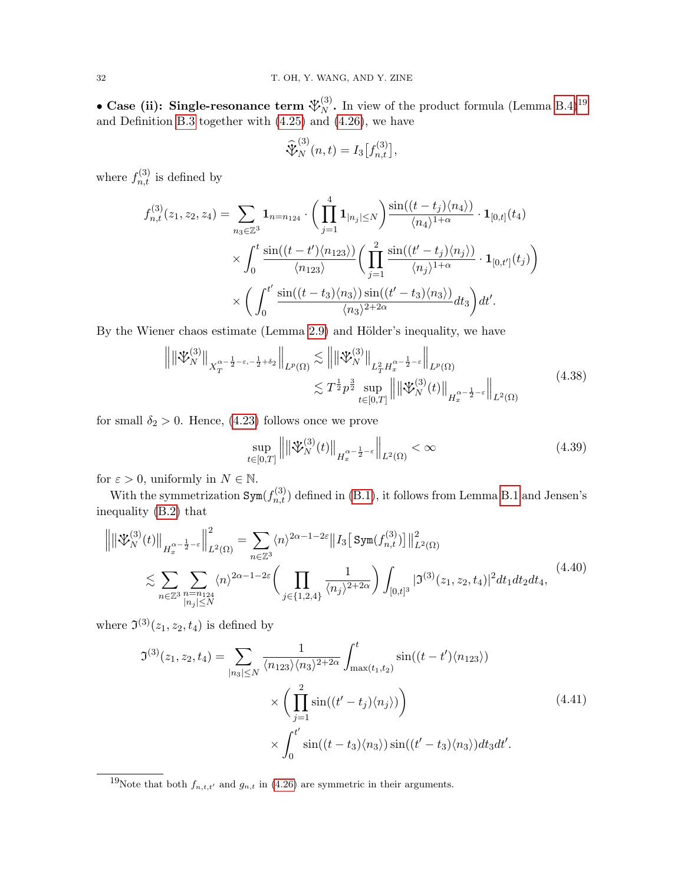• Case (ii): Single-resonance term  $\mathcal{V}_{N}^{(3)}$ . In view of the product formula (Lemma [B.4\)](#page-46-1)<sup>[19](#page-31-0)</sup> and Definition [B.3](#page-46-2) together with [\(4.25\)](#page-28-1) and [\(4.26\)](#page-28-2), we have

$$
\widehat{\mathcal{X}}_N^{(3)}(n,t) = I_3[f_{n,t}^{(3)}],
$$

where  $f_{n,t}^{(3)}$  is defined by

$$
f_{n,t}^{(3)}(z_1, z_2, z_4) = \sum_{n_3 \in \mathbb{Z}^3} \mathbf{1}_{n=n_{124}} \cdot \left( \prod_{j=1}^4 \mathbf{1}_{|n_j| \le N} \right) \frac{\sin((t - t_j) \langle n_4 \rangle)}{\langle n_4 \rangle^{1+\alpha}} \cdot \mathbf{1}_{[0,t]}(t_4)
$$
  
 
$$
\times \int_0^t \frac{\sin((t - t') \langle n_{123} \rangle)}{\langle n_{123} \rangle} \left( \prod_{j=1}^2 \frac{\sin((t' - t_j) \langle n_j \rangle)}{\langle n_j \rangle^{1+\alpha}} \cdot \mathbf{1}_{[0,t']}(t_j) \right)
$$
  
 
$$
\times \left( \int_0^{t'} \frac{\sin((t - t_3) \langle n_3 \rangle) \sin((t' - t_3) \langle n_3 \rangle)}{\langle n_3 \rangle^{2+2\alpha}} dt_3 \right) dt'.
$$

By the Wiener chaos estimate (Lemma [2.9\)](#page-15-4) and Hölder's inequality, we have

$$
\left\| \left\| \mathcal{V}_{N}^{(3)} \right\|_{X_{T}^{\alpha - \frac{1}{2} - \varepsilon, -\frac{1}{2} + \delta_{2}} } \right\|_{L^{p}(\Omega)} \lesssim \left\| \left\| \mathcal{V}_{N}^{(3)} \right\|_{L_{T}^{2} H_{x}^{\alpha - \frac{1}{2} - \varepsilon}} \right\|_{L^{p}(\Omega)}
$$
\n
$$
\lesssim T^{\frac{1}{2}} p^{\frac{3}{2}} \sup_{t \in [0, T]} \left\| \left\| \mathcal{V}_{N}^{(3)}(t) \right\|_{H_{x}^{\alpha - \frac{1}{2} - \varepsilon}} \right\|_{L^{2}(\Omega)}
$$
\n(4.38)

for small  $\delta_2 > 0$ . Hence, [\(4.23\)](#page-27-3) follows once we prove

<span id="page-31-4"></span><span id="page-31-3"></span><span id="page-31-2"></span><span id="page-31-1"></span>
$$
\sup_{t \in [0,T]} \left\| \left\| \mathcal{V}_N^{(3)}(t) \right\|_{H_x^{\alpha - \frac{1}{2} - \varepsilon}} \right\|_{L^2(\Omega)} < \infty \tag{4.39}
$$

for  $\varepsilon > 0$ , uniformly in  $N \in \mathbb{N}$ .

With the symmetrization  $Sym(f_{n,t}^{(3)})$  defined in [\(B.1\)](#page-43-3), it follows from Lemma [B.1](#page-43-1) and Jensen's inequality [\(B.2\)](#page-43-2) that

$$
\left\| \left\| \mathring{\mathbf{V}}_{N}^{(3)}(t) \right\|_{H_{x}^{\alpha - \frac{1}{2} - \varepsilon}} \right\|_{L^{2}(\Omega)}^{2} = \sum_{n \in \mathbb{Z}^{3}} \langle n \rangle^{2\alpha - 1 - 2\varepsilon} \left\| I_{3} \left[ \operatorname{Sym}(f_{n,t}^{(3)}) \right] \right\|_{L^{2}(\Omega)}^{2}
$$
  

$$
\lesssim \sum_{n \in \mathbb{Z}^{3}} \sum_{\substack{n = n_{124} \\ |n_{j}| \le N}} \langle n \rangle^{2\alpha - 1 - 2\varepsilon} \left( \prod_{j \in \{1, 2, 4\}} \frac{1}{\langle n_{j} \rangle^{2 + 2\alpha}} \right) \int_{[0, t]^{3}} | \mathfrak{I}^{(3)}(z_{1}, z_{2}, t_{4}) |^{2} dt_{1} dt_{2} dt_{4}, \tag{4.40}
$$

where  $\mathfrak{I}^{(3)}(z_1, z_2, t_4)$  is defined by

$$
\mathfrak{I}^{(3)}(z_1, z_2, t_4) = \sum_{|n_3| \le N} \frac{1}{\langle n_{123} \rangle \langle n_3 \rangle^{2+2\alpha}} \int_{\max(t_1, t_2)}^t \sin((t-t') \langle n_{123} \rangle)
$$

$$
\times \left( \prod_{j=1}^2 \sin((t'-t_j) \langle n_j \rangle) \right)
$$

$$
\times \int_0^{t'} \sin((t-t_3) \langle n_3 \rangle) \sin((t'-t_3) \langle n_3 \rangle) dt_3 dt'.
$$
\n(4.41)

<span id="page-31-0"></span><sup>&</sup>lt;sup>19</sup>Note that both  $f_{n,t,t'}$  and  $g_{n,t}$  in [\(4.26\)](#page-28-2) are symmetric in their arguments.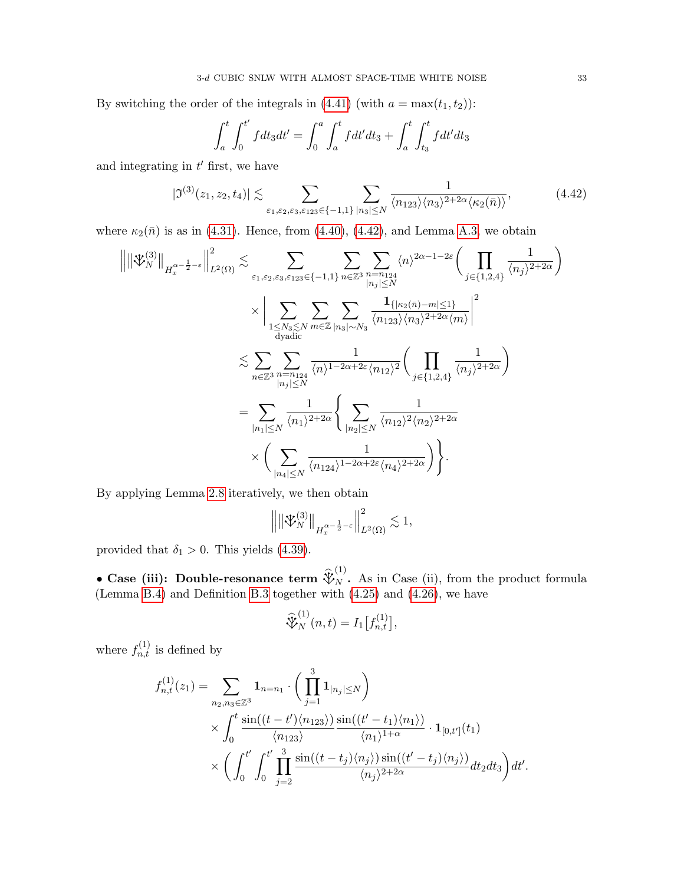By switching the order of the integrals in [\(4.41\)](#page-31-1) (with  $a = \max(t_1, t_2)$ ):

<span id="page-32-0"></span>
$$
\int_{a}^{t} \int_{0}^{t'} f dt_3 dt' = \int_{0}^{a} \int_{a}^{t} f dt' dt_3 + \int_{a}^{t} \int_{t_3}^{t} f dt' dt_3
$$

and integrating in  $t'$  first, we have

$$
|\mathfrak{I}^{(3)}(z_1, z_2, t_4)| \lesssim \sum_{\varepsilon_1, \varepsilon_2, \varepsilon_3, \varepsilon_{123} \in \{-1, 1\}} \sum_{|n_3| \le N} \frac{1}{\langle n_{123} \rangle \langle n_3 \rangle^{2+2\alpha} \langle \kappa_2(\bar{n}) \rangle},
$$
(4.42)

where  $\kappa_2(\bar{n})$  is as in [\(4.31\)](#page-29-4). Hence, from [\(4.40\)](#page-31-2), [\(4.42\)](#page-32-0), and Lemma [A.3,](#page-41-3) we obtain

$$
\left\| \left\| \mathcal{K}_{N}^{(3)} \right\|_{H_{x}^{\alpha-\frac{1}{2}-\varepsilon}} \right\|_{L^{2}(\Omega)}^{2} \lesssim \sum_{\varepsilon_{1},\varepsilon_{2},\varepsilon_{3},\varepsilon_{123} \in \{-1,1\}} \sum_{n \in \mathbb{Z}^{3}} \sum_{\substack{n=n_{124} \\ |n_{j}| \leq N}} \langle n \rangle^{2\alpha-1-2\varepsilon} \Biggl( \prod_{j \in \{1,2,4\}} \frac{1}{\langle n_{j} \rangle^{2+2\alpha}} \Biggr)
$$
  

$$
\times \left| \sum_{\substack{1 \leq N_{3} \leq N \\ \text{dyadic}}} \sum_{m \in \mathbb{Z}} \sum_{\substack{|n_{3}| \leq N \\ |n_{j}| \leq N}} \frac{1}{\langle n_{123} \rangle \langle n_{3} \rangle^{2+2\alpha} \langle m \rangle} \right|^{2}
$$
  

$$
\lesssim \sum_{n \in \mathbb{Z}^{3}} \sum_{\substack{n=n_{124} \\ |n_{j}| \leq N}} \frac{1}{\langle n \rangle^{1-2\alpha+2\varepsilon} \langle n_{12} \rangle^{2}} \Biggl( \prod_{j \in \{1,2,4\}} \frac{1}{\langle n_{j} \rangle^{2+2\alpha}} \Biggr)
$$
  

$$
= \sum_{|n_{1}| \leq N} \frac{1}{\langle n_{1} \rangle^{2+2\alpha}} \Biggl\{ \sum_{|n_{2}| \leq N} \frac{1}{\langle n_{12} \rangle^{2} \langle n_{2} \rangle^{2+2\alpha}} \Biggr\} \Biggr\}.
$$

By applying Lemma [2.8](#page-15-2) iteratively, we then obtain

$$
\left\| \left\| \mathfrak{V}_N^{(3)} \right\|_{H^{\alpha - \frac{1}{2} - \varepsilon}_x} \right\|_{L^2(\Omega)}^2 \lesssim 1,
$$

provided that  $\delta_1 > 0$ . This yields [\(4.39\)](#page-31-3).

• Case (iii): Double-resonance term  $\widehat{\mathcal{X}}_N^{(1)}$ . As in Case (ii), from the product formula (Lemma [B.4\)](#page-46-1) and Definition [B.3](#page-46-2) together with [\(4.25\)](#page-28-1) and [\(4.26\)](#page-28-2), we have

$$
\widehat{\mathcal{X}}_N^{(1)}(n,t) = I_1[f_{n,t}^{(1)}],
$$

where  $f_{n,t}^{(1)}$  is defined by

$$
f_{n,t}^{(1)}(z_1) = \sum_{n_2, n_3 \in \mathbb{Z}^3} \mathbf{1}_{n=n_1} \cdot \left( \prod_{j=1}^3 \mathbf{1}_{|n_j| \le N} \right)
$$
  
\$\times \int\_0^t \frac{\sin((t-t')\langle n\_{123} \rangle)}{\langle n\_{123} \rangle} \frac{\sin((t'-t\_1)\langle n\_1 \rangle)}{\langle n\_1 \rangle^{1+\alpha}} \cdot \mathbf{1}\_{[0,t']}(t\_1)\$  
\$\times \left( \int\_0^{t'} \int\_0^{t'} \prod\_{j=2}^3 \frac{\sin((t-t\_j)\langle n\_j \rangle) \sin((t'-t\_j)\langle n\_j \rangle)}{\langle n\_j \rangle^{2+2\alpha}} dt\_2 dt\_3 \right) dt'\$.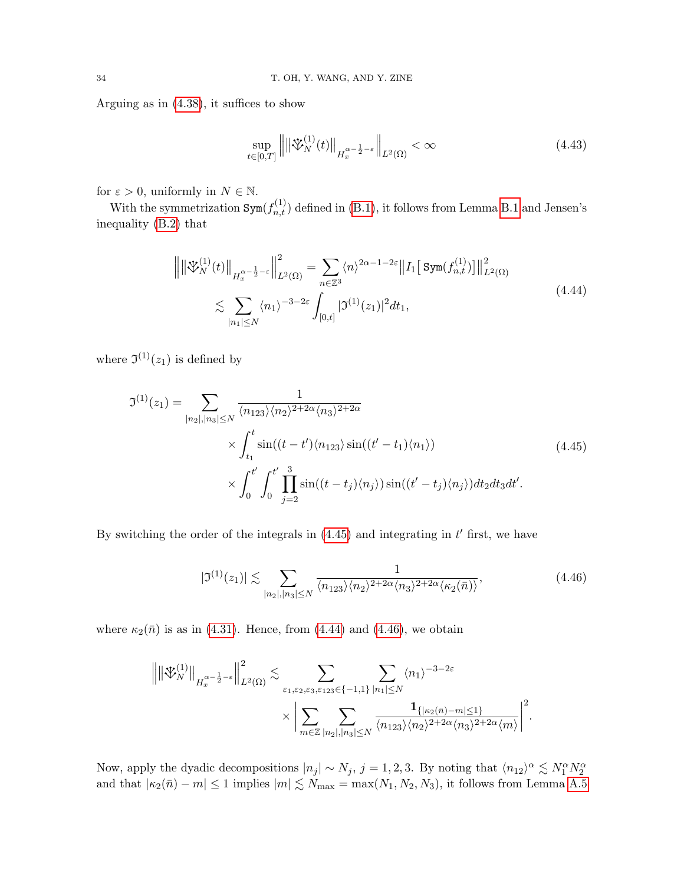Arguing as in [\(4.38\)](#page-31-4), it suffices to show

<span id="page-33-3"></span><span id="page-33-1"></span>
$$
\sup_{t\in[0,T]}\left\|\left\|\mathcal{F}_N^{(1)}(t)\right\|_{H_x^{\alpha-\frac{1}{2}-\varepsilon}}\right\|_{L^2(\Omega)} < \infty\tag{4.43}
$$

for  $\varepsilon > 0$ , uniformly in  $N \in \mathbb{N}$ .

With the symmetrization  $Sym(f_{n,t}^{(1)})$  defined in [\(B.1\)](#page-43-3), it follows from Lemma [B.1](#page-43-1) and Jensen's inequality [\(B.2\)](#page-43-2) that

$$
\left\| \left\| \mathcal{L}_{N}^{(1)}(t) \right\|_{H_{x}^{\alpha - \frac{1}{2} - \varepsilon}} \right\|_{L^{2}(\Omega)}^{2} = \sum_{n \in \mathbb{Z}^{3}} \langle n \rangle^{2\alpha - 1 - 2\varepsilon} \left\| I_{1} \left[ \operatorname{Sym}(f_{n,t}^{(1)}) \right] \right\|_{L^{2}(\Omega)}^{2}
$$
\n
$$
\lesssim \sum_{|n_{1}| \leq N} \langle n_{1} \rangle^{-3 - 2\varepsilon} \int_{[0,t]} |\mathfrak{I}^{(1)}(z_{1})|^{2} dt_{1},
$$
\n(4.44)

where  $\mathfrak{I}^{(1)}(z_1)$  is defined by

$$
\mathfrak{I}^{(1)}(z_1) = \sum_{|n_2|, |n_3| \le N} \frac{1}{\langle n_{123} \rangle \langle n_2 \rangle^{2+2\alpha} \langle n_3 \rangle^{2+2\alpha}} \times \int_{t_1}^t \sin((t-t') \langle n_{123} \rangle \sin((t'-t_1) \langle n_1 \rangle)) \times \int_0^{t'} \int_0^{t'} \prod_{j=2}^3 \sin((t-t_j) \langle n_j \rangle) \sin((t'-t_j) \langle n_j \rangle) dt_2 dt_3 dt'.
$$
\n(4.45)

By switching the order of the integrals in  $(4.45)$  and integrating in  $t'$  first, we have

<span id="page-33-2"></span><span id="page-33-0"></span>
$$
|\mathfrak{I}^{(1)}(z_1)| \lesssim \sum_{|n_2|, |n_3| \le N} \frac{1}{\langle n_{123} \rangle \langle n_2 \rangle^{2+2\alpha} \langle n_3 \rangle^{2+2\alpha} \langle \kappa_2(\bar{n}) \rangle},\tag{4.46}
$$

where  $\kappa_2(\bar{n})$  is as in [\(4.31\)](#page-29-4). Hence, from [\(4.44\)](#page-33-1) and [\(4.46\)](#page-33-2), we obtain

$$
\left\| \left\| \mathcal{V}_{N}^{(1)} \right\|_{H_{x}^{\alpha - \frac{1}{2} - \varepsilon}} \right\|_{L^{2}(\Omega)}^{2} \lesssim \sum_{\varepsilon_{1}, \varepsilon_{2}, \varepsilon_{3}, \varepsilon_{123} \in \{-1, 1\}} \sum_{|n_{1}| \leq N} \langle n_{1} \rangle^{-3 - 2\varepsilon} \times \left| \sum_{m \in \mathbb{Z}} \sum_{|n_{2}|, |n_{3}| \leq N} \frac{1_{\{| \kappa_{2}(\bar{n}) - m | \leq 1 \}}}{\langle n_{123} \rangle \langle n_{2} \rangle^{2 + 2\alpha} \langle n_{3} \rangle^{2 + 2\alpha} \langle m \rangle} \right|^{2}.
$$

Now, apply the dyadic decompositions  $|n_j| \sim N_j$ ,  $j = 1, 2, 3$ . By noting that  $\langle n_{12} \rangle^{\alpha} \lesssim N_1^{\alpha} N_2^{\alpha}$ <br>and that  $|\kappa_2(\bar{n}) - m| \leq 1$  implies  $|m| \lesssim N_{\text{max}} = \max(N_1, N_2, N_3)$ , it follows from Lemma [A.5](#page-42-1)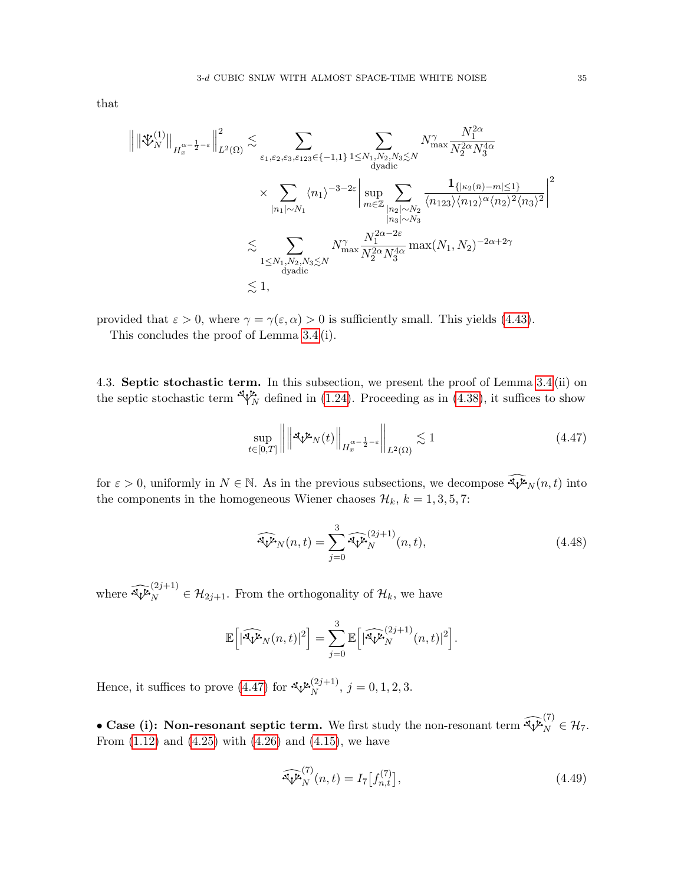$$
\begin{split} \left\| \left\| \mathfrak{P}_{N}^{(1)} \right\|_{H_{x}^{\alpha-\frac{1}{2}-\varepsilon}} \Big\|_{L^{2}(\Omega)}^{2} \lesssim & \sum_{\varepsilon_{1},\varepsilon_{2},\varepsilon_{3},\varepsilon_{123} \in \{-1,1\}} \sum_{1 \leq N_{1},N_{2},N_{3} \lesssim N} N_{\max}^{\gamma} \frac{N_{1}^{2\alpha}}{N_{2}^{2\alpha} N_{3}^{4\alpha}} \\ & \times \sum_{|n_{1}| \sim N_{1}} \langle n_{1} \rangle^{-3-2\varepsilon} \Big| \sup_{m \in \mathbb{Z}} \sum_{\substack{|n_{2}| \sim N_{2} \\ |n_{3}| \sim N_{3}}} \frac{1_{\{| \kappa_{2}(\bar{n}) - m | \leq 1 \}}}{\langle n_{123} \rangle \langle n_{12} \rangle^{\alpha} \langle n_{2} \rangle^{2} \langle n_{3} \rangle^{2}} \Big| \\ & \lesssim \sum_{\substack{1 \leq N_{1},N_{2},N_{3} \lesssim N \\ \text{dyadic}}} N_{\max}^{\gamma} \frac{N_{1}^{2\alpha-2\varepsilon}}{N_{2}^{2\alpha} N_{3}^{4\alpha}} \max(N_{1},N_{2})^{-2\alpha+2\gamma} \\ & \lesssim 1, \end{split}
$$

provided that  $\varepsilon > 0$ , where  $\gamma = \gamma(\varepsilon, \alpha) > 0$  is sufficiently small. This yields [\(4.43\)](#page-33-3).

This concludes the proof of Lemma [3.4](#page-17-4) (i).

<span id="page-34-0"></span>4.3. Septic stochastic term. In this subsection, we present the proof of Lemma [3.4](#page-17-4) (ii) on the septic stochastic term  $\sqrt[n]{\psi_N}$  defined in [\(1.24\)](#page-8-3). Proceeding as in [\(4.38\)](#page-31-4), it suffices to show

$$
\sup_{t \in [0,T]} \left\| \left\| \mathcal{A}_{V} \mathcal{L}_{N}(t) \right\|_{H_{x}^{\alpha - \frac{1}{2} - \varepsilon}} \right\|_{L^{2}(\Omega)} \lesssim 1 \tag{4.47}
$$

for  $\varepsilon > 0$ , uniformly in  $N \in \mathbb{N}$ . As in the previous subsections, we decompose  $\widehat{\mathcal{N}}_N(n, t)$  into the components in the homogeneous Wiener chaoses  $\mathcal{H}_k$ ,  $k = 1, 3, 5, 7$ :

<span id="page-34-2"></span>
$$
\widehat{\mathfrak{N}P}_N(n,t) = \sum_{j=0}^3 \widehat{\mathfrak{N}P}_N^{(2j+1)}(n,t),\tag{4.48}
$$

where  $\widehat{\mathcal{N}}_N^{(2j+1)} \in \mathcal{H}_{2j+1}$ . From the orthogonality of  $\mathcal{H}_k$ , we have

$$
\mathbb{E}\Big[|\widehat{\Im \psi_N}(n,t)|^2\Big]=\sum_{j=0}^3\mathbb{E}\Big[|\widehat{\Im \psi_N}^{(2j+1)}(n,t)|^2\Big].
$$

Hence, it suffices to prove [\(4.47\)](#page-34-1) for  $\sqrt[n]{\mathcal{N}}^{(2j+1)}$ ,  $j = 0, 1, 2, 3$ .

• Case (i): Non-resonant septic term. We first study the non-resonant term  $\widehat{\mathcal{X}}_N^{(7)} \in \mathcal{H}_7$ . From  $(1.12)$  and  $(4.25)$  with  $(4.26)$  and  $(4.15)$ , we have

<span id="page-34-3"></span>
$$
\widehat{\mathcal{W}}_{N}^{(7)}(n,t) = I_7[f_{n,t}^{(7)}],\tag{4.49}
$$

<span id="page-34-1"></span>2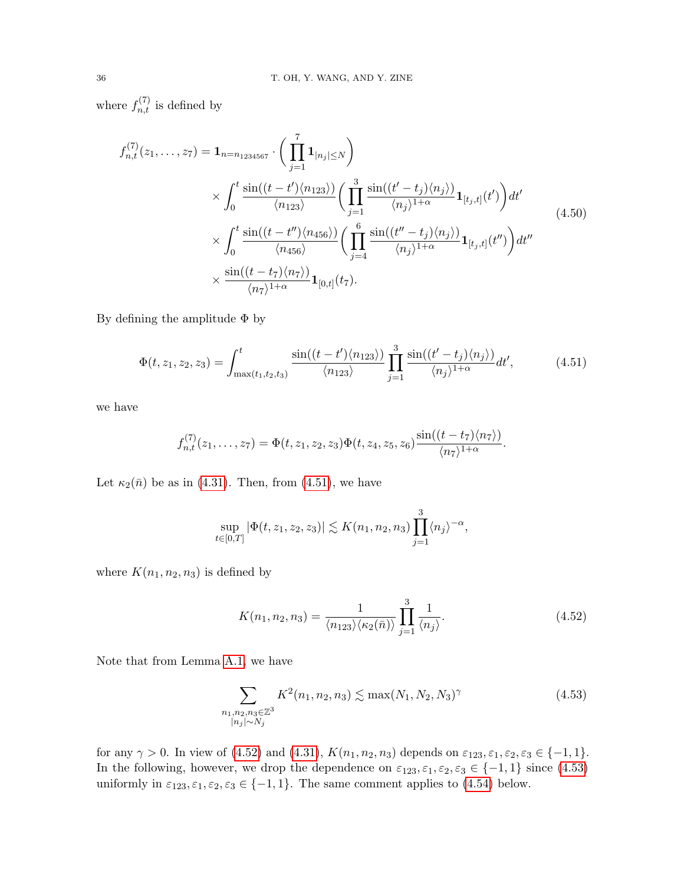where  $f_{n,t}^{(7)}$  is defined by

$$
f_{n,t}^{(7)}(z_1,\ldots,z_7) = \mathbf{1}_{n=n_{1234567}} \cdot \left(\prod_{j=1}^7 \mathbf{1}_{|n_j| \le N}\right)
$$
  
\$\times \int\_0^t \frac{\sin((t-t')\langle n\_{123}\rangle)}{\langle n\_{123}\rangle} \left(\prod\_{j=1}^3 \frac{\sin((t'-t\_j)\langle n\_j\rangle)}{\langle n\_j\rangle^{1+\alpha}} \mathbf{1}\_{[t\_j,t]}(t')\right) dt'\$  
\$\times \int\_0^t \frac{\sin((t-t'')\langle n\_{456}\rangle)}{\langle n\_{456}\rangle} \left(\prod\_{j=4}^6 \frac{\sin((t''-t\_j)\langle n\_j\rangle)}{\langle n\_j\rangle^{1+\alpha}} \mathbf{1}\_{[t\_j,t]}(t'')\right) dt''\$  
\$\times \frac{\sin((t-t\_7)\langle n\_7\rangle)}{\langle n\_7\rangle^{1+\alpha}} \mathbf{1}\_{[0,t]}(t\_7). \qquad (4.50)\$

By defining the amplitude  $\Phi$  by

<span id="page-35-3"></span>
$$
\Phi(t, z_1, z_2, z_3) = \int_{\max(t_1, t_2, t_3)}^t \frac{\sin((t - t') \langle n_{123} \rangle)}{\langle n_{123} \rangle} \prod_{j=1}^3 \frac{\sin((t' - t_j) \langle n_j \rangle)}{\langle n_j \rangle^{1 + \alpha}} dt', \tag{4.51}
$$

we have

$$
f_{n,t}^{(7)}(z_1,\ldots,z_7)=\Phi(t,z_1,z_2,z_3)\Phi(t,z_4,z_5,z_6)\frac{\sin((t-t_7)\langle n_7\rangle)}{\langle n_7\rangle^{1+\alpha}}.
$$

Let  $\kappa_2(\bar{n})$  be as in [\(4.31\)](#page-29-4). Then, from [\(4.51\)](#page-35-0), we have

<span id="page-35-0"></span>
$$
\sup_{t\in[0,T]}|\Phi(t,z_1,z_2,z_3)|\lesssim K(n_1,n_2,n_3)\prod_{j=1}^3\langle n_j\rangle^{-\alpha},
$$

where  $K(n_1, n_2, n_3)$  is defined by

<span id="page-35-2"></span><span id="page-35-1"></span>
$$
K(n_1, n_2, n_3) = \frac{1}{\langle n_{123} \rangle \langle \kappa_2(\bar{n}) \rangle} \prod_{j=1}^3 \frac{1}{\langle n_j \rangle}.
$$
 (4.52)

Note that from Lemma [A.1,](#page-41-1) we have

$$
\sum_{\substack{n_1, n_2, n_3 \in \mathbb{Z}^3 \\ |n_j| \sim N_j}} K^2(n_1, n_2, n_3) \lesssim \max(N_1, N_2, N_3)^\gamma \tag{4.53}
$$

for any  $\gamma > 0$ . In view of [\(4.52\)](#page-35-1) and [\(4.31\)](#page-29-4),  $K(n_1, n_2, n_3)$  depends on  $\varepsilon_{123}, \varepsilon_1, \varepsilon_2, \varepsilon_3 \in \{-1, 1\}$ . In the following, however, we drop the dependence on  $\varepsilon_{123}, \varepsilon_1, \varepsilon_2, \varepsilon_3 \in \{-1, 1\}$  since  $(4.53)$ uniformly in  $\varepsilon_{123}, \varepsilon_1, \varepsilon_2, \varepsilon_3 \in \{-1, 1\}$ . The same comment applies to [\(4.54\)](#page-37-1) below.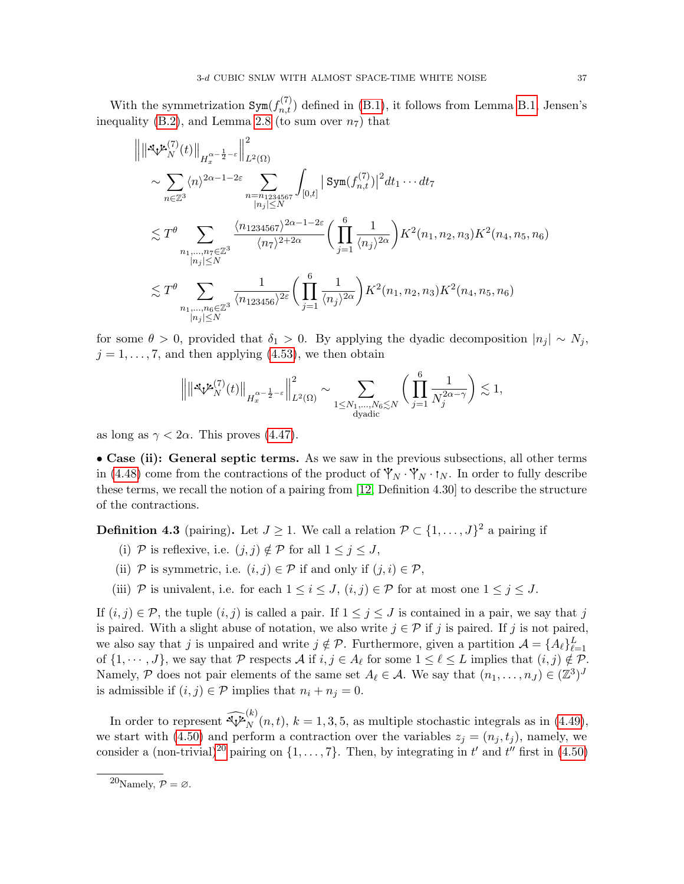With the symmetrization  $Sym(f_{n,t}^{(7)})$  defined in [\(B.1\)](#page-43-3), it follows from Lemma [B.1,](#page-43-1) Jensen's inequality [\(B.2\)](#page-43-2), and Lemma [2.8](#page-15-2) (to sum over  $n_7$ ) that

$$
\| \| \mathbf{A} \mathbf{y}^{\mathbf{z}}_{N}(t) \|_{H_{x}^{\alpha - \frac{1}{2} - \varepsilon}} \Big|_{L^{2}(\Omega)}^{2}
$$
\n
$$
\sim \sum_{n \in \mathbb{Z}^{3}} \langle n \rangle^{2\alpha - 1 - 2\varepsilon} \sum_{\substack{n = n_{1234567} \\ |n_{j}| \le N}} \int_{[0, t]} | \operatorname{Sym}(f_{n, t}^{(7)}) |^{2} dt_{1} \cdots dt_{7}
$$
\n
$$
\lesssim T^{\theta} \sum_{\substack{n_{1}, \dots, n_{7} \in \mathbb{Z}^{3} \\ |n_{j}| \le N}} \frac{\langle n_{1234567} \rangle^{2\alpha - 1 - 2\varepsilon}}{\langle n_{7} \rangle^{2 + 2\alpha}} \Big( \prod_{j = 1}^{6} \frac{1}{\langle n_{j} \rangle^{2\alpha}} \Big) K^{2}(n_{1}, n_{2}, n_{3}) K^{2}(n_{4}, n_{5}, n_{6})
$$
\n
$$
\lesssim T^{\theta} \sum_{\substack{n_{1}, \dots, n_{6} \in \mathbb{Z}^{3} \\ |n_{j}| \le N}} \frac{1}{\langle n_{123456} \rangle^{2\varepsilon}} \Big( \prod_{j = 1}^{6} \frac{1}{\langle n_{j} \rangle^{2\alpha}} \Big) K^{2}(n_{1}, n_{2}, n_{3}) K^{2}(n_{4}, n_{5}, n_{6})
$$

for some  $\theta > 0$ , provided that  $\delta_1 > 0$ . By applying the dyadic decomposition  $|n_j| \sim N_j$ ,  $j = 1, \ldots, 7$ , and then applying [\(4.53\)](#page-35-2), we then obtain

$$
\Bigl\|\|\mathbf{L}_V^{(7)}(t)\|_{H_x^{\alpha-\frac{1}{2}-\varepsilon}}\Bigr\|_{L^2(\Omega)}^2\sim \sum_{\substack{1\leq N_1,\ldots,N_6\lesssim N\\ \text{dyadic}}}\biggl(\prod_{j=1}^6\frac{1}{N_j^{2\alpha-\gamma}}\biggr)\lesssim 1,
$$

as long as  $\gamma < 2\alpha$ . This proves [\(4.47\)](#page-34-1).

• Case (ii): General septic terms. As we saw in the previous subsections, all other terms in [\(4.48\)](#page-34-2) come from the contractions of the product of  $\mathbf{\dot{Y}}_N \cdot \mathbf{\dot{Y}}_N \cdot \mathbf{t}_N$ . In order to fully describe these terms, we recall the notion of a pairing from [\[12,](#page-51-3) Definition 4.30] to describe the structure of the contractions.

<span id="page-36-1"></span>**Definition 4.3** (pairing). Let  $J \geq 1$ . We call a relation  $\mathcal{P} \subset \{1, \ldots, J\}^2$  a pairing if

- (i) P is reflexive, i.e.  $(j, j) \notin \mathcal{P}$  for all  $1 \leq j \leq J$ ,
- (ii) P is symmetric, i.e.  $(i, j) \in \mathcal{P}$  if and only if  $(j, i) \in \mathcal{P}$ ,
- (iii) P is univalent, i.e. for each  $1 \leq i \leq J$ ,  $(i, j) \in \mathcal{P}$  for at most one  $1 \leq j \leq J$ .

If  $(i, j) \in \mathcal{P}$ , the tuple  $(i, j)$  is called a pair. If  $1 \leq j \leq J$  is contained in a pair, we say that j is paired. With a slight abuse of notation, we also write  $j \in \mathcal{P}$  if j is paired. If j is not paired, we also say that j is unpaired and write  $j \notin \mathcal{P}$ . Furthermore, given a partition  $\mathcal{A} = \{A_{\ell}\}_{\ell=1}^{L}$ of  $\{1, \dots, J\}$ , we say that P respects A if  $i, j \in A_\ell$  for some  $1 \leq \ell \leq L$  implies that  $(i, j) \notin \mathcal{P}$ . Namely, P does not pair elements of the same set  $A_\ell \in \mathcal{A}$ . We say that  $(n_1, \ldots, n_J) \in (\mathbb{Z}^3)^J$ is admissible if  $(i, j) \in \mathcal{P}$  implies that  $n_i + n_j = 0$ .

In order to represent  $\widehat{\mathcal{N}}_{N}^{(k)}(n,t)$ ,  $k = 1, 3, 5$ , as multiple stochastic integrals as in [\(4.49\)](#page-34-3), we start with [\(4.50\)](#page-35-3) and perform a contraction over the variables  $z_i = (n_i, t_i)$ , namely, we consider a (non-trivial)<sup>[20](#page-36-0)</sup> pairing on  $\{1, \ldots, 7\}$ . Then, by integrating in t' and t'' first in [\(4.50\)](#page-35-3)

<span id="page-36-0"></span> $^{20}$ Namely,  $\mathcal{P} = \varnothing$ .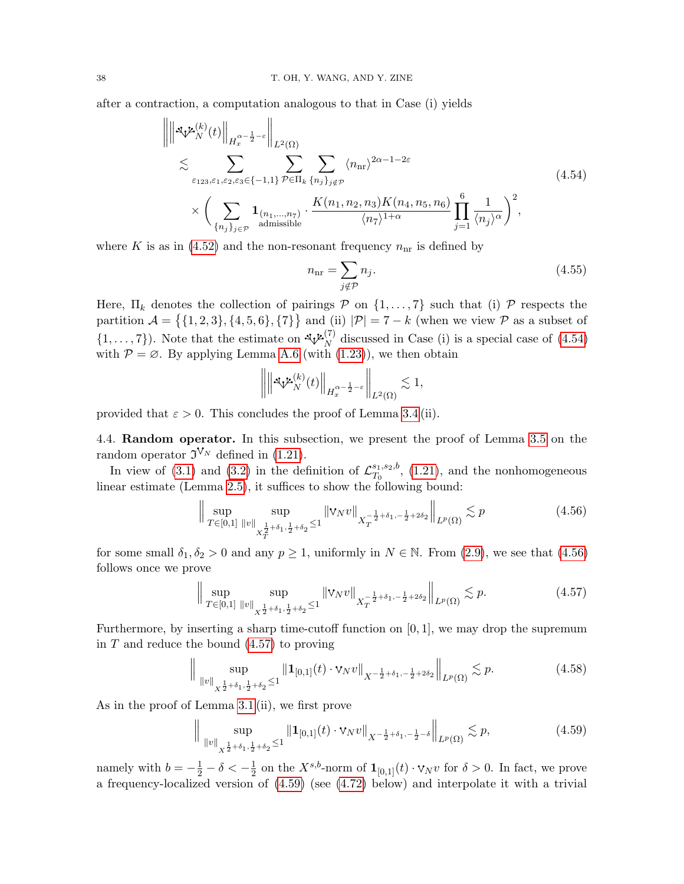after a contraction, a computation analogous to that in Case (i) yields

$$
\left\| \left\| \mathbf{S}_{V} \mathbf{\mu}_{N}^{(k)}(t) \right\|_{H_{x}^{\alpha-\frac{1}{2}-\varepsilon}} \right\|_{L^{2}(\Omega)}
$$
\n
$$
\lesssim \sum_{\varepsilon_{123},\varepsilon_{1},\varepsilon_{2},\varepsilon_{3}\in\{-1,1\}} \sum_{\mathcal{P}\in\Pi_{k}} \sum_{\{n_{j}\}_{j\notin\mathcal{P}}} \langle n_{\text{nr}}\rangle^{2\alpha-1-2\varepsilon}
$$
\n
$$
\times \left( \sum_{\{n_{j}\}_{j\in\mathcal{P}}} \mathbf{1}_{\langle n_{1},...,n_{7}\rangle} \cdot \frac{K(n_{1},n_{2},n_{3})K(n_{4},n_{5},n_{6})}{\langle n_{7}\rangle^{1+\alpha}} \prod_{j=1}^{6} \frac{1}{\langle n_{j}\rangle^{\alpha}} \right)^{2}, \tag{4.54}
$$

where K is as in [\(4.52\)](#page-35-1) and the non-resonant frequency  $n_{\text{nr}}$  is defined by

<span id="page-37-6"></span><span id="page-37-1"></span>
$$
n_{\rm nr} = \sum_{j \notin \mathcal{P}} n_j. \tag{4.55}
$$

Here,  $\Pi_k$  denotes the collection of pairings  $P$  on  $\{1, \ldots, 7\}$  such that (i)  $P$  respects the partition  $\mathcal{A} = \{ \{1, 2, 3\}, \{4, 5, 6\}, \{7\} \}$  and (ii)  $|\mathcal{P}| = 7 - k$  (when we view  $\mathcal{P}$  as a subset of  $\{1,\ldots,7\}$ ). Note that the estimate on  $\mathcal{A}_N^{\mathcal{L}_N^{(7)}}$  discussed in Case (i) is a special case of [\(4.54\)](#page-37-1) with  $P = \emptyset$ . By applying Lemma [A.6](#page-42-2) (with [\(1.23\)](#page-8-4)), we then obtain

<span id="page-37-2"></span>
$$
\left\| \left\| {\mathbf {x}}_{\mathcal V_N}^{{\mathcal L}(k)}(t) \right\|_{H^{\alpha-\frac{1}{2}-\varepsilon}_x} \right\|_{L^2(\Omega)} \lesssim 1,
$$

provided that  $\varepsilon > 0$ . This concludes the proof of Lemma [3.4](#page-17-4) (ii).

<span id="page-37-0"></span>4.4. Random operator. In this subsection, we present the proof of Lemma [3.5](#page-18-1) on the random operator  $\mathfrak{I}^{\mathsf{V}_N}$  defined in [\(1.21\)](#page-7-3).

In view of [\(3.1\)](#page-18-4) and [\(3.2\)](#page-18-5) in the definition of  $\mathcal{L}_{T_0}^{s_1,s_2,b}$  $T_0^{s_1, s_2, o}$ , [\(1.21\)](#page-7-3), and the nonhomogeneous linear estimate (Lemma [2.5\)](#page-12-6), it suffices to show the following bound:

$$
\left\| \sup_{T \in [0,1]} \sup_{\|v\|_{X_T^{\frac{1}{2}+\delta_1,\frac{1}{2}+\delta_2}} \le 1} \|v_N v\|_{X_T^{-\frac{1}{2}+\delta_1,-\frac{1}{2}+2\delta_2}} \right\|_{L^p(\Omega)} \lesssim p \tag{4.56}
$$

for some small  $\delta_1, \delta_2 > 0$  and any  $p \ge 1$ , uniformly in  $N \in \mathbb{N}$ . From [\(2.9\)](#page-12-7), we see that [\(4.56\)](#page-37-2) follows once we prove

<span id="page-37-5"></span><span id="page-37-3"></span>
$$
\Big\| \sup_{T \in [0,1]} \sup_{\|v\|_{X^{\frac{1}{2}+\delta_1,\frac{1}{2}+\delta_2}} \le 1} \|v_N v\|_{X_T^{-\frac{1}{2}+\delta_1,-\frac{1}{2}+2\delta_2}} \Big\|_{L^p(\Omega)} \lesssim p. \tag{4.57}
$$

Furthermore, by inserting a sharp time-cutoff function on  $[0, 1]$ , we may drop the supremum in  $T$  and reduce the bound  $(4.57)$  to proving

$$
\|\sup_{\|v\|_{X^{\frac{1}{2}+\delta_1,\frac{1}{2}+\delta_2}}\leq 1} \|1_{[0,1]}(t)\cdot \mathsf{v}_N v\|_{X^{-\frac{1}{2}+\delta_1,-\frac{1}{2}+2\delta_2}}\|_{L^p(\Omega)} \lesssim p. \tag{4.58}
$$

As in the proof of Lemma [3.1](#page-17-2) (ii), we first prove

<span id="page-37-4"></span>
$$
\|\sup_{\|v\|_{X^{\frac{1}{2}+\delta_{1},\frac{1}{2}+\delta_{2}}}\leq 1} \|1_{[0,1]}(t)\cdot \mathsf{v}_{N}v\|_{X^{-\frac{1}{2}+\delta_{1},-\frac{1}{2}-\delta}}\|_{L^{p}(\Omega)} \lesssim p,
$$
\n(4.59)

namely with  $b = -\frac{1}{2} - \delta < -\frac{1}{2}$  $\frac{1}{2}$  on the  $X^{s,b}$ -norm of  $\mathbf{1}_{[0,1]}(t) \cdot \mathbf{v}_N v$  for  $\delta > 0$ . In fact, we prove a frequency-localized version of [\(4.59\)](#page-37-4) (see [\(4.72\)](#page-40-0) below) and interpolate it with a trivial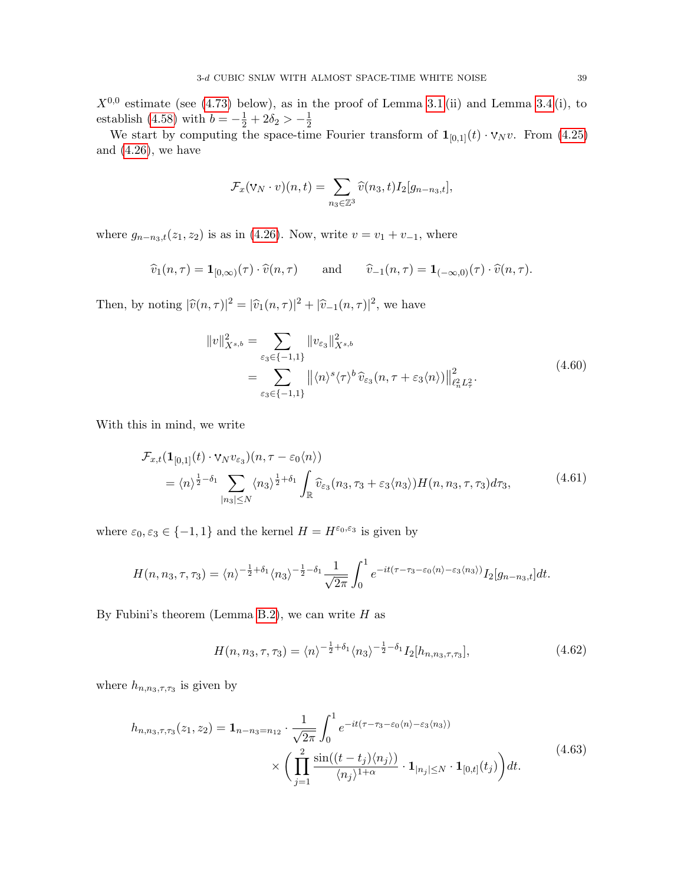$X^{0,0}$  estimate (see [\(4.73\)](#page-40-1) below), as in the proof of Lemma [3.1](#page-17-2) (ii) and Lemma [3.4](#page-17-4) (i), to establish [\(4.58\)](#page-37-5) with  $b = -\frac{1}{2} + 2\delta_2 > -\frac{1}{2}$  $\overline{2}$ 

We start by computing the space-time Fourier transform of  $\mathbf{1}_{[0,1]}(t) \cdot \mathbf{v}_N v$ . From [\(4.25\)](#page-28-1) and [\(4.26\)](#page-28-2), we have

$$
\mathcal{F}_x(\mathbf{v}_N \cdot v)(n,t) = \sum_{n_3 \in \mathbb{Z}^3} \widehat{v}(n_3,t) I_2[g_{n-n_3,t}],
$$

where  $g_{n-n_3,t}(z_1, z_2)$  is as in [\(4.26\)](#page-28-2). Now, write  $v = v_1 + v_{-1}$ , where

$$
\widehat{v}_1(n,\tau) = \mathbf{1}_{[0,\infty)}(\tau) \cdot \widehat{v}(n,\tau)
$$
 and  $\widehat{v}_{-1}(n,\tau) = \mathbf{1}_{(-\infty,0)}(\tau) \cdot \widehat{v}(n,\tau)$ .

Then, by noting  $|\widehat{v}(n,\tau)|^2 = |\widehat{v}_1(n,\tau)|^2 + |\widehat{v}_{-1}(n,\tau)|^2$ , we have

<span id="page-38-1"></span><span id="page-38-0"></span>
$$
||v||_{X^{s,b}}^2 = \sum_{\varepsilon_3 \in \{-1,1\}} ||v_{\varepsilon_3}||_{X^{s,b}}^2
$$
  
= 
$$
\sum_{\varepsilon_3 \in \{-1,1\}} ||\langle n \rangle^s \langle \tau \rangle^b \, \widehat{v}_{\varepsilon_3}(n, \tau + \varepsilon_3 \langle n \rangle) ||_{\ell_n^2 L_\tau^2}^2.
$$
 (4.60)

With this in mind, we write

$$
\mathcal{F}_{x,t}(\mathbf{1}_{[0,1]}(t) \cdot \nabla_N v_{\varepsilon_3})(n, \tau - \varepsilon_0 \langle n \rangle)
$$
\n
$$
= \langle n \rangle^{\frac{1}{2} - \delta_1} \sum_{|n_3| \le N} \langle n_3 \rangle^{\frac{1}{2} + \delta_1} \int_{\mathbb{R}} \widehat{v}_{\varepsilon_3}(n_3, \tau_3 + \varepsilon_3 \langle n_3 \rangle) H(n, n_3, \tau, \tau_3) d\tau_3,
$$
\n(4.61)

where  $\varepsilon_0, \varepsilon_3 \in \{-1, 1\}$  and the kernel  $H = H^{\varepsilon_0, \varepsilon_3}$  is given by

$$
H(n, n_3, \tau, \tau_3) = \langle n \rangle^{-\frac{1}{2} + \delta_1} \langle n_3 \rangle^{-\frac{1}{2} - \delta_1} \frac{1}{\sqrt{2\pi}} \int_0^1 e^{-it(\tau - \tau_3 - \varepsilon_0 \langle n \rangle - \varepsilon_3 \langle n_3 \rangle)} I_2[g_{n-n_3,t}] dt.
$$

By Fubini's theorem (Lemma [B.2\)](#page-44-0), we can write  $H$  as

<span id="page-38-3"></span><span id="page-38-2"></span>
$$
H(n, n_3, \tau, \tau_3) = \langle n \rangle^{-\frac{1}{2} + \delta_1} \langle n_3 \rangle^{-\frac{1}{2} - \delta_1} I_2[h_{n, n_3, \tau, \tau_3}], \tag{4.62}
$$

where  $h_{n,n_3,\tau,\tau_3}$  is given by

$$
h_{n,n_3,\tau,\tau_3}(z_1,z_2) = \mathbf{1}_{n-n_3=n_{12}} \cdot \frac{1}{\sqrt{2\pi}} \int_0^1 e^{-it(\tau-\tau_3-\varepsilon_0\langle n\rangle-\varepsilon_3\langle n_3\rangle)} \times \left(\prod_{j=1}^2 \frac{\sin((t-t_j)\langle n_j\rangle)}{\langle n_j\rangle^{1+\alpha}} \cdot \mathbf{1}_{|n_j| \le N} \cdot \mathbf{1}_{[0,t]}(t_j)\right) dt.
$$
\n(4.63)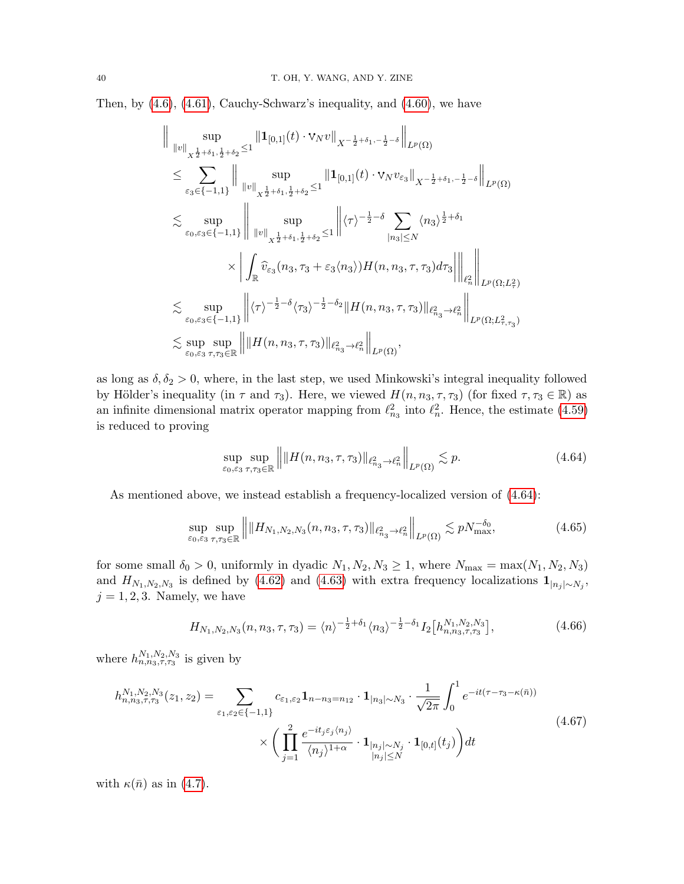Then, by [\(4.6\)](#page-22-0), [\(4.61\)](#page-38-0), Cauchy-Schwarz's inequality, and [\(4.60\)](#page-38-1), we have

$$
\| \sup_{\|v\|_{X^{\frac{1}{2}+\delta_{1},\frac{1}{2}+\delta_{2}}\leq 1} \|1_{[0,1]}(t)\cdot \operatorname{V}_{N}v\|_{X^{-\frac{1}{2}+\delta_{1},-\frac{1}{2}-\delta}}\|_{L^{p}(\Omega)} \n\leq \sum_{\varepsilon_{3}\in\{-1,1\}} \| \sup_{\|v\|_{X^{\frac{1}{2}+\delta_{1},\frac{1}{2}+\delta_{2}}\leq 1} \|1_{[0,1]}(t)\cdot \operatorname{V}_{N}v_{\varepsilon_{3}}\|_{X^{-\frac{1}{2}+\delta_{1},-\frac{1}{2}-\delta}}\|_{L^{p}(\Omega)} \n\lesssim \sup_{\varepsilon_{0},\varepsilon_{3}\in\{-1,1\}} \| \sup_{\|v\|_{X^{\frac{1}{2}+\delta_{1},\frac{1}{2}+\delta_{2}}\leq 1} \|\langle \tau \rangle^{-\frac{1}{2}-\delta} \sum_{|n_{3}|\leq N} \langle n_{3} \rangle^{\frac{1}{2}+\delta_{1}} \n\times \left| \int_{\mathbb{R}} \widehat{v}_{\varepsilon_{3}}(n_{3},\tau_{3}+\varepsilon_{3}\langle n_{3} \rangle)H(n,n_{3},\tau,\tau_{3}) d\tau_{3} \right| \right\|_{\ell^{2}_{n}} \left\| \sum_{\varepsilon_{0},\varepsilon_{3}\in\{-1,1\}} \| \langle \tau \rangle^{-\frac{1}{2}-\delta} \langle \tau_{3} \rangle^{-\frac{1}{2}-\delta_{2}} \|H(n,n_{3},\tau,\tau_{3})\|_{\ell^{2}_{n_{3}} \to \ell^{2}_{n}} \right\|_{L^{p}(\Omega;L^{2}_{\tau},\tau_{3})} \n\lesssim \sup_{\varepsilon_{0},\varepsilon_{3}} \sup_{\tau,\tau_{3}\in\mathbb{R}} \| \|H(n,n_{3},\tau,\tau_{3})\|_{\ell^{2}_{n_{3}} \to \ell^{2}_{n}} \|_{L^{p}(\Omega)},
$$

as long as  $\delta, \delta_2 > 0$ , where, in the last step, we used Minkowski's integral inequality followed by Hölder's inequality (in  $\tau$  and  $\tau_3$ ). Here, we viewed  $H(n, n_3, \tau, \tau_3)$  (for fixed  $\tau, \tau_3 \in \mathbb{R}$ ) as an infinite dimensional matrix operator mapping from  $\ell_{n_3}^2$  into  $\ell_n^2$ . Hence, the estimate [\(4.59\)](#page-37-4) is reduced to proving

<span id="page-39-3"></span><span id="page-39-0"></span>
$$
\sup_{\varepsilon_0,\varepsilon_3} \sup_{\tau,\tau_3 \in \mathbb{R}} \left\| \|H(n, n_3, \tau, \tau_3)\|_{\ell^2_{n_3} \to \ell^2_n} \right\|_{L^p(\Omega)} \lesssim p. \tag{4.64}
$$

As mentioned above, we instead establish a frequency-localized version of  $(4.64)$ :

$$
\sup_{\varepsilon_0, \varepsilon_3} \sup_{\tau, \tau_3 \in \mathbb{R}} \left\| \|H_{N_1, N_2, N_3}(n, n_3, \tau, \tau_3)\|_{\ell^2_{n_3} \to \ell^2_n} \right\|_{L^p(\Omega)} \lesssim pN_{\max}^{-\delta_0},\tag{4.65}
$$

for some small  $\delta_0 > 0$ , uniformly in dyadic  $N_1, N_2, N_3 \ge 1$ , where  $N_{\text{max}} = \max(N_1, N_2, N_3)$ and  $H_{N_1,N_2,N_3}$  is defined by [\(4.62\)](#page-38-2) and [\(4.63\)](#page-38-3) with extra frequency localizations  $\mathbf{1}_{|n_j| \sim N_j}$ ,  $j = 1, 2, 3$ . Namely, we have

<span id="page-39-2"></span><span id="page-39-1"></span>
$$
H_{N_1,N_2,N_3}(n,n_3,\tau,\tau_3) = \langle n \rangle^{-\frac{1}{2}+\delta_1} \langle n_3 \rangle^{-\frac{1}{2}-\delta_1} I_2 \big[ h_{n,n_3,\tau,\tau_3}^{N_1,N_2,N_3} \big],\tag{4.66}
$$

where  $h_{n,n_3,\tau,\tau_3}^{N_1,N_2,N_3}$  is given by

$$
h_{n,n_3,\tau,\tau_3}^{N_1,N_2,N_3}(z_1,z_2) = \sum_{\varepsilon_1,\varepsilon_2 \in \{-1,1\}} c_{\varepsilon_1,\varepsilon_2} \mathbf{1}_{n-n_3=n_{12}} \cdot \mathbf{1}_{|n_3| \sim N_3} \cdot \frac{1}{\sqrt{2\pi}} \int_0^1 e^{-it(\tau-\tau_3-\kappa(\bar{n}))} \times \left( \prod_{j=1}^2 \frac{e^{-it_j \varepsilon_j \langle n_j \rangle}}{\langle n_j \rangle^{1+\alpha}} \cdot \mathbf{1}_{|n_j| \le N} \cdot \mathbf{1}_{[0,t]}(t_j) \right) dt \tag{4.67}
$$

with  $\kappa(\bar{n})$  as in [\(4.7\)](#page-22-2).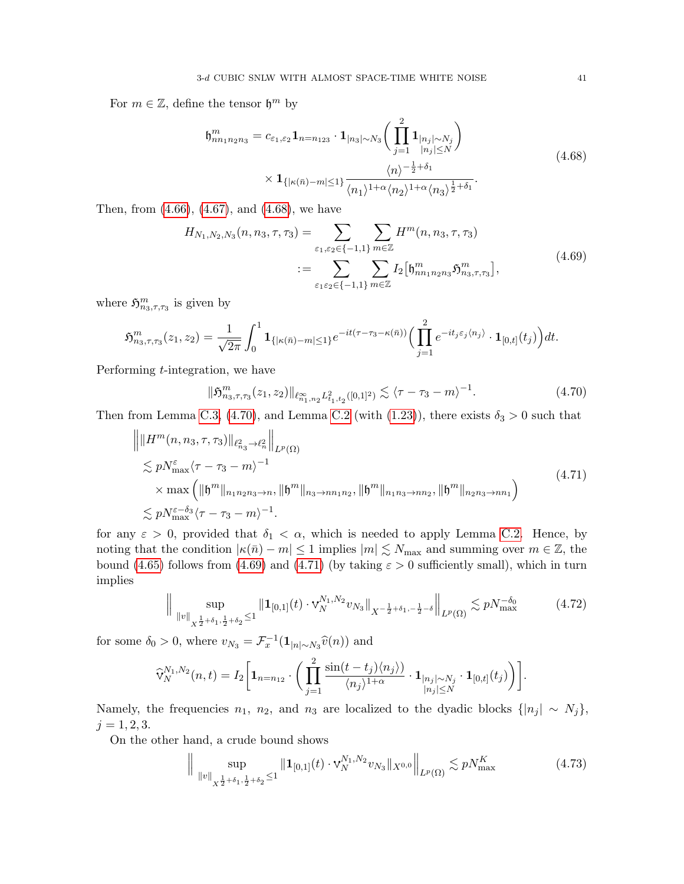For  $m \in \mathbb{Z}$ , define the tensor  $\mathfrak{h}^m$  by

<span id="page-40-4"></span><span id="page-40-2"></span>
$$
\mathfrak{h}_{nn_1n_2n_3}^m = c_{\varepsilon_1,\varepsilon_2} \mathbf{1}_{n=n_1\n_3} \cdot \mathbf{1}_{|n_3| \sim N_3} \bigg( \prod_{j=1}^2 \mathbf{1}_{\substack{|n_j| \sim N_j \\ |n_j| \le N}} \bigg) \times \mathbf{1}_{\{| \kappa(\bar{n}) - m | \le 1\}} \frac{\langle n \rangle^{-\frac{1}{2} + \delta_1}}{\langle n_1 \rangle^{1 + \alpha} \langle n_2 \rangle^{1 + \alpha} \langle n_3 \rangle^{\frac{1}{2} + \delta_1}}.
$$
\n(4.68)

Then, from [\(4.66\)](#page-39-1), [\(4.67\)](#page-39-2), and [\(4.68\)](#page-40-2), we have

$$
H_{N_1,N_2,N_3}(n, n_3, \tau, \tau_3) = \sum_{\varepsilon_1, \varepsilon_2 \in \{-1, 1\}} \sum_{m \in \mathbb{Z}} H^m(n, n_3, \tau, \tau_3)
$$
  

$$
:= \sum_{\varepsilon_1 \varepsilon_2 \in \{-1, 1\}} \sum_{m \in \mathbb{Z}} I_2 \left[ \mathfrak{h}_{nn_1 n_2 n_3}^m \mathfrak{H}_{n_3, \tau, \tau_3}^m \right],
$$
(4.69)

where  $\mathfrak{H}^m_{n_3,\tau,\tau_3}$  is given by

$$
\mathfrak{H}^m_{n_3,\tau,\tau_3}(z_1,z_2) = \frac{1}{\sqrt{2\pi}} \int_0^1 \mathbf{1}_{\{|\kappa(\bar{n}) - m| \leq 1\}} e^{-it(\tau-\tau_3-\kappa(\bar{n}))} \Big( \prod_{j=1}^2 e^{-it_j \varepsilon_j \langle n_j \rangle} \cdot \mathbf{1}_{[0,t]}(t_j) \Big) dt.
$$

Performing t-integration, we have

<span id="page-40-5"></span><span id="page-40-3"></span>
$$
\|\mathfrak{H}_{n_3,\tau,\tau_3}^m(z_1,z_2)\|_{\ell_{n_1,n_2}^\infty L_{t_1,t_2}^2([0,1]^2)} \lesssim \langle \tau - \tau_3 - m \rangle^{-1}.
$$
\n(4.70)

Then from Lemma [C.3,](#page-48-0) [\(4.70\)](#page-40-3), and Lemma [C.2](#page-47-0) (with [\(1.23\)](#page-8-4)), there exists  $\delta_3 > 0$  such that

$$
\| \| H^m(n, n_3, \tau, \tau_3) \|_{\ell_{n_3}^2 \to \ell_n^2} \|_{L^p(\Omega)}
$$
  
\n
$$
\lesssim p N_{\max}^{\varepsilon} \langle \tau - \tau_3 - m \rangle^{-1}
$$
  
\n
$$
\times \max \left( \| \mathfrak{h}^m \|_{n_1 n_2 n_3 \to n} , \| \mathfrak{h}^m \|_{n_3 \to n n_1 n_2} , \| \mathfrak{h}^m \|_{n_1 n_3 \to n n_2} , \| \mathfrak{h}^m \|_{n_2 n_3 \to n n_1} \right)
$$
  
\n
$$
\lesssim p N_{\max}^{\varepsilon - \delta_3} \langle \tau - \tau_3 - m \rangle^{-1} .
$$
\n(4.71)

for any  $\varepsilon > 0$ , provided that  $\delta_1 < \alpha$ , which is needed to apply Lemma [C.2.](#page-47-0) Hence, by noting that the condition  $|\kappa(\bar{n}) - m| \leq 1$  implies  $|m| \lesssim N_{\text{max}}$  and summing over  $m \in \mathbb{Z}$ , the bound [\(4.65\)](#page-39-3) follows from [\(4.69\)](#page-40-4) and [\(4.71\)](#page-40-5) (by taking  $\varepsilon > 0$  sufficiently small), which in turn implies

<span id="page-40-0"></span>
$$
\|\sup_{\|v\|_{X^{\frac{1}{2}+\delta_1,\frac{1}{2}+\delta_2}} \le 1} \|1_{[0,1]}(t) \cdot \mathbf{v}_N^{N_1,N_2} v_{N_3}\|_{X^{-\frac{1}{2}+\delta_1,-\frac{1}{2}-\delta}}\|_{L^p(\Omega)} \lesssim pN_{\max}^{-\delta_0}
$$
(4.72)

for some  $\delta_0 > 0$ , where  $v_{N_3} = \mathcal{F}_x^{-1}(\mathbf{1}_{|n| \sim N_3} \widehat{v}(n))$  and

$$
\widehat{\mathrm{V}}_{N}^{N_1,N_2}(n,t)=I_2\bigg[\mathbf{1}_{n=n_{12}}\cdot\bigg(\prod_{j=1}^{2}\frac{\sin(t-t_j)\langle n_j\rangle)}{\langle n_j\rangle^{1+\alpha}}\cdot\mathbf{1}_{\substack{|n_j|\sim N_j\\|n_j|\leq N}}\cdot\mathbf{1}_{[0,t]}(t_j)\bigg)\bigg].
$$

Namely, the frequencies  $n_1$ ,  $n_2$ , and  $n_3$  are localized to the dyadic blocks  $\{|n_j| \sim N_j\}$ ,  $j = 1, 2, 3.$ 

On the other hand, a crude bound shows

<span id="page-40-1"></span>
$$
\|\sup_{\|v\|_{X^{\frac{1}{2}+\delta_1,\frac{1}{2}+\delta_2}} \le 1} \|1_{[0,1]}(t) \cdot \mathbf{v}_N^{N_1,N_2} v_{N_3}\|_{X^{0,0}} \|\Big|_{L^p(\Omega)} \lesssim p N_{\max}^K
$$
 (4.73)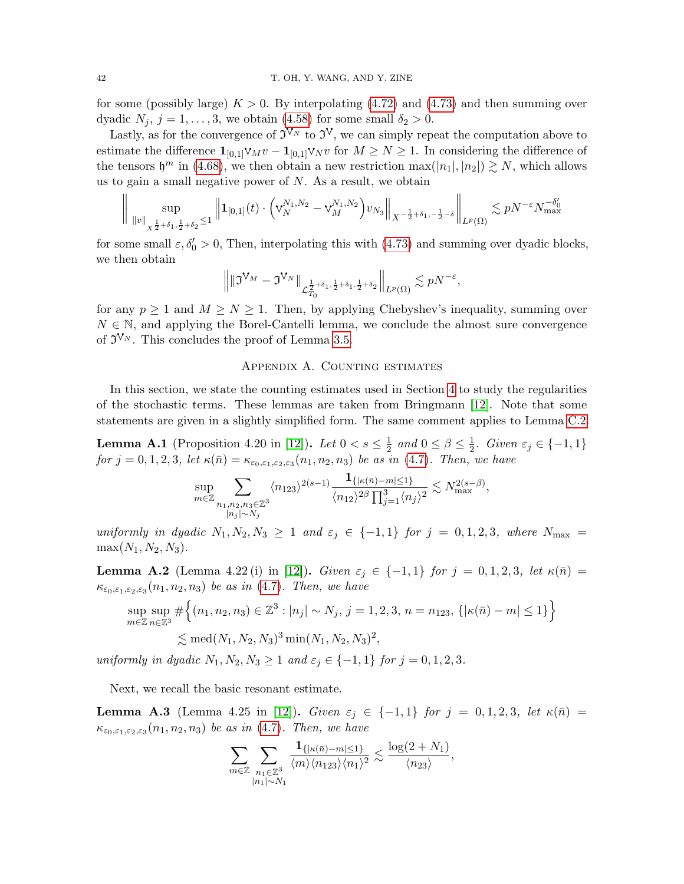for some (possibly large)  $K > 0$ . By interpolating [\(4.72\)](#page-40-0) and [\(4.73\)](#page-40-1) and then summing over dyadic  $N_j$ ,  $j = 1, \ldots, 3$ , we obtain [\(4.58\)](#page-37-5) for some small  $\delta_2 > 0$ .

Lastly, as for the convergence of  $\tilde{\mathfrak{I}}^{V_N}$  to  $\tilde{\mathfrak{I}}^V$ , we can simply repeat the computation above to estimate the difference  $\mathbf{1}_{[0,1]} \mathbf{v}_M v - \mathbf{1}_{[0,1]} \mathbf{v}_N v$  for  $M \geq N \geq 1$ . In considering the difference of the tensors  $\mathfrak{h}^m$  in [\(4.68\)](#page-40-2), we then obtain a new restriction  $\max(|n_1|, |n_2|) \gtrsim N$ , which allows us to gain a small negative power of  $N$ . As a result, we obtain

$$
\bigg\|\sup_{\|v\|_{X^{\frac{1}{2}+\delta_1,\frac{1}{2}+\delta_2}}\leq 1}\Big\|{\bf 1}_{[0,1]}(t)\cdot \Big(\mathsf{v}^{N_1,N_2}_N-\mathsf{v}^{N_1,N_2}_M\Big)v_{N_3}\Big\|_{X^{-\frac{1}{2}+\delta_1,-\frac{1}{2}-\delta}}\bigg\|_{L^p(\Omega)}\lesssim pN^{-\varepsilon}N_{\max}^{-\delta_0'}
$$

for some small  $\varepsilon, \delta_0' > 0$ , Then, interpolating this with [\(4.73\)](#page-40-1) and summing over dyadic blocks, we then obtain

$$
\left\| \|\mathfrak{I}^{\mathsf{V}_M}-\mathfrak{I}^{\mathsf{V}_N}\|_{\mathcal{L}^{\frac{1}{2}+\delta_1,\frac{1}{2}+\delta_1,\frac{1}{2}+\delta_2}}\right\|_{L^p(\Omega)}\lesssim pN^{-\varepsilon},
$$

for any  $p \ge 1$  and  $M \ge N \ge 1$ . Then, by applying Chebyshev's inequality, summing over  $N \in \mathbb{N}$ , and applying the Borel-Cantelli lemma, we conclude the almost sure convergence of  $\mathfrak{I}^{\mathcal{V}_{N}}$ . This concludes the proof of Lemma [3.5.](#page-18-1)

### Appendix A. Counting estimates

<span id="page-41-0"></span>In this section, we state the counting estimates used in Section [4](#page-20-0) to study the regularities of the stochastic terms. These lemmas are taken from Bringmann [\[12\]](#page-51-3). Note that some statements are given in a slightly simplified form. The same comment applies to Lemma [C.2.](#page-47-0)

<span id="page-41-1"></span>**Lemma A.1** (Proposition 4.20 in [\[12\]](#page-51-3)). Let  $0 < s \leq \frac{1}{2}$  $\frac{1}{2}$  and  $0 \le \beta \le \frac{1}{2}$  $\frac{1}{2}$ . Given  $\varepsilon_j \in \{-1,1\}$ for  $j = 0, 1, 2, 3$ , let  $\kappa(\bar{n}) = \kappa_{\varepsilon_0, \varepsilon_1, \varepsilon_2, \varepsilon_3}(n_1, n_2, n_3)$  be as in [\(4.7\)](#page-22-2). Then, we have

$$
\sup_{m\in\mathbb{Z}}\sum_{\substack{n_1,n_2,n_3\in\mathbb{Z}^3\\|n_j|\sim N_j}}\langle n_{123}\rangle^{2(s-1)}\frac{\mathbf{1}_{\{|\kappa(\bar{n})-m|\leq 1\}}}{\langle n_{12}\rangle^{2\beta}\prod_{j=1}^3\langle n_j\rangle^2}\lesssim N_{\max}^{2(s-\beta)},
$$

uniformly in dyadic  $N_1, N_2, N_3 \geq 1$  and  $\varepsilon_j \in \{-1,1\}$  for  $j = 0, 1, 2, 3$ , where  $N_{\text{max}} =$  $max(N_1, N_2, N_3).$ 

<span id="page-41-2"></span>**Lemma A.2** (Lemma 4.22 (i) in [\[12\]](#page-51-3)). Given  $\varepsilon_j \in \{-1, 1\}$  for  $j = 0, 1, 2, 3$ , let  $\kappa(\bar{n}) =$  $\kappa_{\varepsilon_0,\varepsilon_1,\varepsilon_2,\varepsilon_3}(n_1,n_2,n_3)$  be as in [\(4.7\)](#page-22-2). Then, we have

$$
\sup_{m \in \mathbb{Z}} \sup_{n \in \mathbb{Z}^3} \# \Big\{ (n_1, n_2, n_3) \in \mathbb{Z}^3 : |n_j| \sim N_j, \ j = 1, 2, 3, \ n = n_{123}, \{ |\kappa(\bar{n}) - m| \le 1 \} \Big\}
$$
  

$$
\lesssim \text{med}(N_1, N_2, N_3)^3 \min(N_1, N_2, N_3)^2,
$$

uniformly in dyadic  $N_1, N_2, N_3 \geq 1$  and  $\varepsilon_j \in \{-1, 1\}$  for  $j = 0, 1, 2, 3$ .

Next, we recall the basic resonant estimate.

<span id="page-41-3"></span>Lemma A.3 (Lemma 4.25 in [\[12\]](#page-51-3)). Given  $\varepsilon_j \in \{-1,1\}$  for  $j = 0,1,2,3$ , let  $\kappa(\bar{n}) =$  $\kappa_{\varepsilon_0,\varepsilon_1,\varepsilon_2,\varepsilon_3}(n_1,n_2,n_3)$  be as in [\(4.7\)](#page-22-2). Then, we have

$$
\sum_{m\in\mathbb{Z}}\sum_{\substack{n_1\in\mathbb{Z}^3\\ |n_1|\sim N_1}}\frac{{\bf 1}_{\{|\kappa(\bar{n})-m|\leq 1\}}}{\langle m\rangle\langle n_{123}\rangle\langle n_1\rangle^2}\lesssim \frac{\log(2+N_1)}{\langle n_{23}\rangle},
$$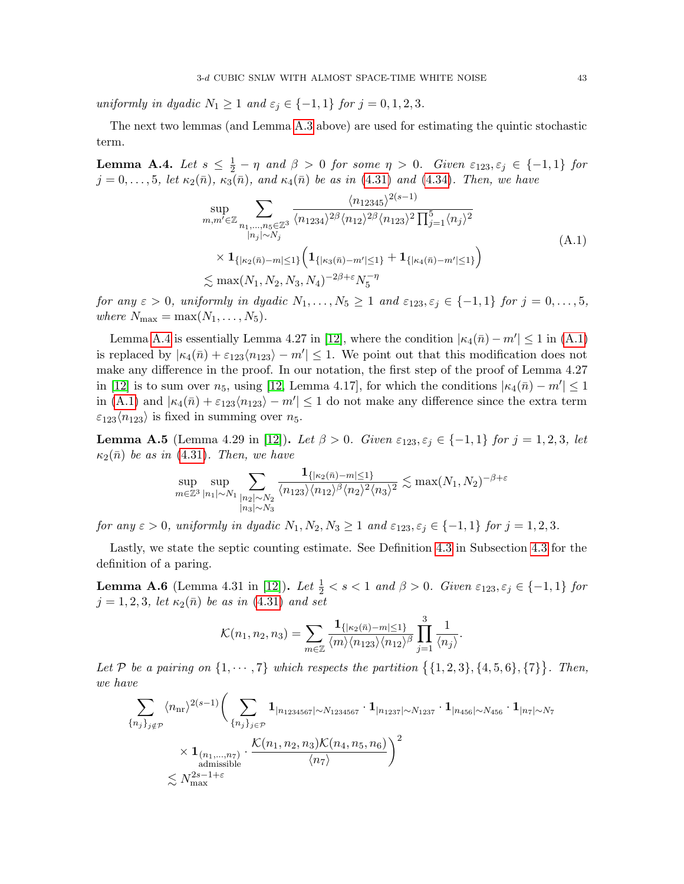uniformly in dyadic  $N_1 \geq 1$  and  $\varepsilon_j \in \{-1,1\}$  for  $j = 0,1,2,3$ .

The next two lemmas (and Lemma [A.3](#page-41-3) above) are used for estimating the quintic stochastic term.

<span id="page-42-0"></span>**Lemma A.4.** Let  $s \leq \frac{1}{2} - \eta$  and  $\beta > 0$  for some  $\eta > 0$ . Given  $\varepsilon_{123}, \varepsilon_j \in \{-1, 1\}$  for  $j = 0, \ldots, 5$ , let  $\kappa_2(\bar{n}), \kappa_3(\bar{n}),$  and  $\kappa_4(\bar{n})$  be as in [\(4.31\)](#page-29-4) and [\(4.34\)](#page-29-5). Then, we have

<span id="page-42-3"></span>
$$
\sup_{m,m'\in\mathbb{Z}} \sum_{\substack{n_1,\ldots,n_5\in\mathbb{Z}^3\\|n_j|< N_j}} \frac{\langle n_{12345}\rangle^{2(s-1)}}{\langle n_{1234}\rangle^{2\beta} \langle n_{12}\rangle^{2\beta} \langle n_{123}\rangle^2 \prod_{j=1}^5 \langle n_j \rangle^2} \times \mathbf{1}_{\{|\kappa_2(\bar{n})-m| \le 1\}} \Big( \mathbf{1}_{\{|\kappa_3(\bar{n})-m'| \le 1\}} + \mathbf{1}_{\{|\kappa_4(\bar{n})-m'| \le 1\}} \Big) \times \max(N_1, N_2, N_3, N_4)^{-2\beta+\epsilon} N_5^{-\eta}
$$
\n(A.1)

for any  $\varepsilon > 0$ , uniformly in dyadic  $N_1, \ldots, N_5 \geq 1$  and  $\varepsilon_{123}, \varepsilon_j \in \{-1, 1\}$  for  $j = 0, \ldots, 5$ , where  $N_{\text{max}} = \max(N_1, \ldots, N_5)$ .

Lemma [A.4](#page-42-0) is essentially Lemma 4.27 in [\[12\]](#page-51-3), where the condition  $|\kappa_4(\bar{n}) - m'| \le 1$  in [\(A.1\)](#page-42-3) is replaced by  $|\kappa_4(\bar{n}) + \varepsilon_{123}\langle n_{123}\rangle - m'| \leq 1$ . We point out that this modification does not make any difference in the proof. In our notation, the first step of the proof of Lemma 4.27 in [\[12\]](#page-51-3) is to sum over  $n_5$ , using [\[12,](#page-51-3) Lemma 4.17], for which the conditions  $|\kappa_4(\bar{n}) - m'| \leq 1$ in [\(A.1\)](#page-42-3) and  $|\kappa_4(\bar{n}) + \varepsilon_{123}\langle n_{123}\rangle - m'| \leq 1$  do not make any difference since the extra term  $\varepsilon_{123}\langle n_{123}\rangle$  is fixed in summing over  $n_5$ .

<span id="page-42-1"></span>**Lemma A.5** (Lemma 4.29 in [\[12\]](#page-51-3)). Let  $\beta > 0$ . Given  $\varepsilon_{123}, \varepsilon_j \in \{-1, 1\}$  for  $j = 1, 2, 3$ , let  $\kappa_2(\bar{n})$  be as in [\(4.31\)](#page-29-4). Then, we have

$$
\sup_{m \in \mathbb{Z}^3} \sup_{|n_1| \sim N_1} \sum_{\substack{|n_2| \sim N_2 \\ |n_3| \sim N_3}} \frac{\mathbf{1}_{\{|\kappa_2(\bar{n}) - m| \le 1\}}}{\langle n_{123} \rangle \langle n_{12} \rangle^{\beta} \langle n_2 \rangle^2 \langle n_3 \rangle^2} \lesssim \max(N_1, N_2)^{-\beta + \varepsilon}
$$

for any  $\varepsilon > 0$ , uniformly in dyadic  $N_1, N_2, N_3 \ge 1$  and  $\varepsilon_{123}, \varepsilon_j \in \{-1, 1\}$  for  $j = 1, 2, 3$ .

Lastly, we state the septic counting estimate. See Definition [4.3](#page-36-1) in Subsection [4.3](#page-34-0) for the definition of a paring.

<span id="page-42-2"></span>**Lemma A.6** (Lemma 4.31 in [\[12\]](#page-51-3)). Let  $\frac{1}{2} < s < 1$  and  $\beta > 0$ . Given  $\varepsilon_{123}, \varepsilon_j \in \{-1, 1\}$  for  $j = 1, 2, 3$ , let  $\kappa_2(\bar{n})$  be as in [\(4.31\)](#page-29-4) and set

$$
\mathcal{K}(n_1, n_2, n_3) = \sum_{m \in \mathbb{Z}} \frac{\mathbf{1}_{\{| \kappa_2(\bar{n}) - m | \le 1 \}}}{\langle m \rangle \langle n_{123} \rangle \langle n_{12} \rangle^{\beta}} \prod_{j=1}^3 \frac{1}{\langle n_j \rangle}.
$$

Let P be a pairing on  $\{1, \dots, 7\}$  which respects the partition  $\{\{1, 2, 3\}, \{4, 5, 6\}, \{7\}\}\$ . Then, we have

$$
\sum_{\{n_j\}_{j\notin\mathcal{P}}} \langle n_{\rm nr} \rangle^{2(s-1)} \Biggl( \sum_{\{n_j\}_{j\in\mathcal{P}}} \mathbf{1}_{|n_{1234567}|\sim N_{1234567}} \cdot \mathbf{1}_{|n_{1237}|\sim N_{1237}} \cdot \mathbf{1}_{|n_{456}|\sim N_{456}} \cdot \mathbf{1}_{|n_7|\sim N_7} \times \mathbf{1}_{\substack{(n_1,\ldots,n_7) \\ \text{admissible}}} \cdot \frac{\mathcal{K}(n_1,n_2,n_3)\mathcal{K}(n_4,n_5,n_6)}{\langle n_7 \rangle} \Biggr)^2 \lesssim N_{\rm max}^{2s-1+\varepsilon}
$$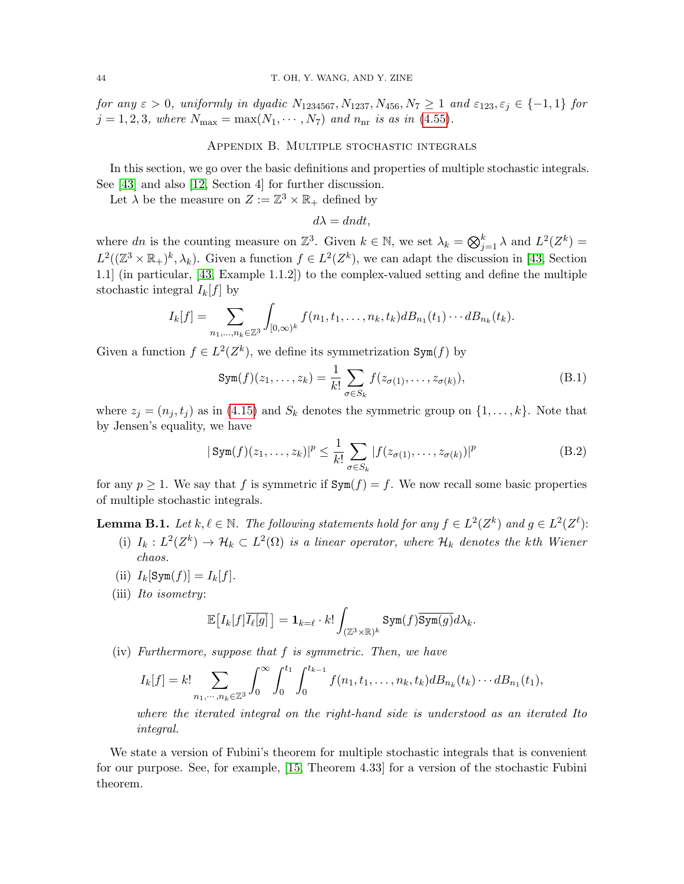for any  $\varepsilon > 0$ , uniformly in dyadic  $N_{1234567}$ ,  $N_{1237}$ ,  $N_{456}$ ,  $N_7 \ge 1$  and  $\varepsilon_{123}$ ,  $\varepsilon_j \in \{-1, 1\}$  for  $j = 1, 2, 3$ , where  $N_{\text{max}} = \max(N_1, \dots, N_7)$  and  $n_{\text{nr}}$  is as in [\(4.55\)](#page-37-6).

## Appendix B. Multiple stochastic integrals

<span id="page-43-0"></span>In this section, we go over the basic definitions and properties of multiple stochastic integrals. See [\[43\]](#page-52-25) and also [\[12,](#page-51-3) Section 4] for further discussion.

Let  $\lambda$  be the measure on  $Z := \mathbb{Z}^3 \times \mathbb{R}_+$  defined by

<span id="page-43-3"></span><span id="page-43-2"></span> $d\lambda = dndt$ ,

where dn is the counting measure on  $\mathbb{Z}^3$ . Given  $k \in \mathbb{N}$ , we set  $\lambda_k = \bigotimes_{j=1}^k \lambda$  and  $L^2(Z^k) =$  $L^2((\mathbb{Z}^3 \times \mathbb{R}_+)^k, \lambda_k)$ . Given a function  $f \in L^2(\mathbb{Z}^k)$ , we can adapt the discussion in [\[43,](#page-52-25) Section 1.1] (in particular, [\[43,](#page-52-25) Example 1.1.2]) to the complex-valued setting and define the multiple stochastic integral  $I_k[f]$  by

$$
I_k[f] = \sum_{n_1,\ldots,n_k \in \mathbb{Z}^3} \int_{[0,\infty)^k} f(n_1,t_1,\ldots,n_k,t_k) dB_{n_1}(t_1)\cdots dB_{n_k}(t_k).
$$

Given a function  $f \in L^2(Z^k)$ , we define its symmetrization Sym(f) by

$$
\text{Sym}(f)(z_1,\ldots,z_k) = \frac{1}{k!} \sum_{\sigma \in S_k} f(z_{\sigma(1)},\ldots,z_{\sigma(k)}),\tag{B.1}
$$

where  $z_j = (n_j, t_j)$  as in [\(4.15\)](#page-25-1) and  $S_k$  denotes the symmetric group on  $\{1, \ldots, k\}$ . Note that by Jensen's equality, we have

$$
|\operatorname{Sym}(f)(z_1,\ldots,z_k)|^p \leq \frac{1}{k!} \sum_{\sigma \in S_k} |f(z_{\sigma(1)},\ldots,z_{\sigma(k)})|^p
$$
 (B.2)

for any  $p \ge 1$ . We say that f is symmetric if  $Sym(f) = f$ . We now recall some basic properties of multiple stochastic integrals.

<span id="page-43-1"></span>**Lemma B.1.** Let  $k, \ell \in \mathbb{N}$ . The following statements hold for any  $f \in L^2(Z^k)$  and  $g \in L^2(Z^{\ell})$ :

- (i)  $I_k: L^2(Z^k) \to \mathcal{H}_k \subset L^2(\Omega)$  is a linear operator, where  $\mathcal{H}_k$  denotes the kth Wiener chaos.
- (ii)  $I_k[\text{Sym}(f)] = I_k[f].$
- (iii) Ito isometry:

$$
\mathbb{E}\big[I_k[f]\overline{I_{\ell}[g]}\big] = \mathbf{1}_{k=\ell} \cdot k! \int_{(\mathbb{Z}^3 \times \mathbb{R})^k} \mathrm{Sym}(f) \overline{\mathrm{Sym}(g)} d\lambda_k.
$$

(iv) Furthermore, suppose that f is symmetric. Then, we have

$$
I_k[f] = k! \sum_{n_1, \dots, n_k \in \mathbb{Z}^3} \int_0^\infty \int_0^{t_1} \int_0^{t_{k-1}} f(n_1, t_1, \dots, n_k, t_k) dB_{n_k}(t_k) \cdots dB_{n_1}(t_1),
$$

where the iterated integral on the right-hand side is understood as an iterated Ito integral.

We state a version of Fubini's theorem for multiple stochastic integrals that is convenient for our purpose. See, for example, [\[15,](#page-51-2) Theorem 4.33] for a version of the stochastic Fubini theorem.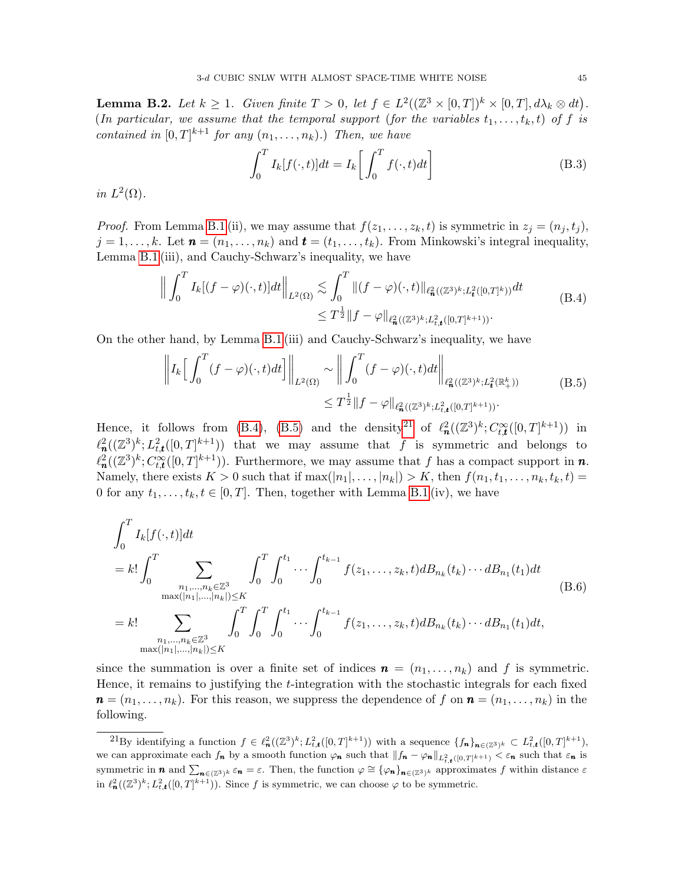<span id="page-44-0"></span>**Lemma B.2.** Let  $k \geq 1$ . Given finite  $T > 0$ , let  $f \in L^2((\mathbb{Z}^3 \times [0,T])^k \times [0,T], d\lambda_k \otimes dt)$ . (In particular, we assume that the temporal support (for the variables  $t_1, \ldots, t_k, t$ ) of f is contained in  $[0,T]^{k+1}$  for any  $(n_1,\ldots,n_k)$ .) Then, we have

<span id="page-44-4"></span><span id="page-44-2"></span><span id="page-44-1"></span>
$$
\int_0^T I_k[f(\cdot,t)]dt = I_k\left[\int_0^T f(\cdot,t)dt\right]
$$
\n(B.3)

in  $L^2(\Omega)$ .

*Proof.* From Lemma [B.1](#page-43-1) (ii), we may assume that  $f(z_1, \ldots, z_k, t)$  is symmetric in  $z_j = (n_j, t_j)$ ,  $j = 1, \ldots, k$ . Let  $\mathbf{n} = (n_1, \ldots, n_k)$  and  $\mathbf{t} = (t_1, \ldots, t_k)$ . From Minkowski's integral inequality, Lemma [B.1](#page-43-1) (iii), and Cauchy-Schwarz's inequality, we have

$$
\left\| \int_0^T I_k[(f-\varphi)(\cdot,t)]dt \right\|_{L^2(\Omega)} \lesssim \int_0^T \|(f-\varphi)(\cdot,t)\|_{\ell^2_{\mathbf{n}}((\mathbb{Z}^3)^k;L^2_{\mathbf{t}}([0,T]^k))} dt
$$
\n
$$
\leq T^{\frac{1}{2}} \|f-\varphi\|_{\ell^2_{\mathbf{n}}((\mathbb{Z}^3)^k;L^2_{\mathbf{t},\mathbf{t}}([0,T]^{k+1}))}.
$$
\n(B.4)

On the other hand, by Lemma [B.1](#page-43-1) (iii) and Cauchy-Schwarz's inequality, we have

$$
\left\| I_{k} \Big[ \int_{0}^{T} (f - \varphi)(\cdot, t) dt \Big] \right\|_{L^{2}(\Omega)} \sim \left\| \int_{0}^{T} (f - \varphi)(\cdot, t) dt \right\|_{\ell^{2}_{\mathbf{a}}((\mathbb{Z}^{3})^{k}; L^{2}_{\mathbf{t}}(\mathbb{R}^{k}_{+}))}
$$
(B.5)  

$$
\leq T^{\frac{1}{2}} \| f - \varphi \|_{\ell^{2}_{\mathbf{a}}((\mathbb{Z}^{3})^{k}; L^{2}_{t,\mathbf{t}}([0, T]^{k+1}))}.
$$

Hence, it follows from [\(B.4\)](#page-44-1), [\(B.5\)](#page-44-2) and the density<sup>[21](#page-44-3)</sup> of  $\ell_n^2((\mathbb{Z}^3)^k; C_{t,t}^{\infty}([0,T]^{k+1}))$  in  $\ell^2_{\mathbf{n}}((\mathbb{Z}^3)^k; L^2_{t,t}([0,T]^{k+1}))$  that we may assume that f is symmetric and belongs to  $\ell^2_{\mathbf{n}}((\mathbb{Z}^3)^k; C_{t,\mathbf{t}}^{\infty}([0,T]^{k+1}))$ . Furthermore, we may assume that f has a compact support in **n**. Namely, there exists  $K > 0$  such that if  $\max(|n_1|, \ldots, |n_k|) > K$ , then  $f(n_1, t_1, \ldots, n_k, t_k, t) =$ 0 for any  $t_1, \ldots, t_k, t \in [0, T]$ . Then, together with Lemma [B.1](#page-43-1) (iv), we have

<span id="page-44-5"></span>
$$
\int_{0}^{T} I_{k}[f(\cdot,t)]dt
$$
\n
$$
= k! \int_{0}^{T} \sum_{\substack{n_{1}, \dots, n_{k} \in \mathbb{Z}^{3} \\ \max(|n_{1}|, \dots, |n_{k}|) \leq K}} \int_{0}^{T} \int_{0}^{t_{1}} \cdots \int_{0}^{t_{k-1}} f(z_{1}, \dots, z_{k}, t) dB_{n_{k}}(t_{k}) \cdots dB_{n_{1}}(t_{1}) dt
$$
\n
$$
= k! \sum_{\substack{n_{1}, \dots, n_{k} \in \mathbb{Z}^{3} \\ \max(|n_{1}|, \dots, |n_{k}|) \leq K}} \int_{0}^{T} \int_{0}^{T} \int_{0}^{t_{1}} \cdots \int_{0}^{t_{k-1}} f(z_{1}, \dots, z_{k}, t) dB_{n_{k}}(t_{k}) \cdots dB_{n_{1}}(t_{1}) dt,
$$
\n
$$
(B.6)
$$

since the summation is over a finite set of indices  $\mathbf{n} = (n_1, \ldots, n_k)$  and f is symmetric. Hence, it remains to justifying the t-integration with the stochastic integrals for each fixed  $\mathbf{n} = (n_1, \ldots, n_k)$ . For this reason, we suppress the dependence of f on  $\mathbf{n} = (n_1, \ldots, n_k)$  in the following.

<span id="page-44-3"></span><sup>&</sup>lt;sup>21</sup>By identifying a function  $f \in \ell^2_{\mathbf{n}}((\mathbb{Z}^3)^k; L^2_{t,t}([0,T]^{k+1}))$  with a sequence  $\{f_{\mathbf{n}}\}_{\mathbf{n}\in (\mathbb{Z}^3)^k} \subset L^2_{t,t}([0,T]^{k+1}),$ we can approximate each  $f_n$  by a smooth function  $\varphi_n$  such that  $||f_n - \varphi_n||_{L^2_{t,t}([0,T]^{k+1})} < \varepsilon_n$  such that  $\varepsilon_n$  is symmetric in **n** and  $\sum_{n\in(\mathbb{Z}^3)^k}\varepsilon_n=\varepsilon$ . Then, the function  $\varphi \cong {\varphi_n}_{n\in(\mathbb{Z}^3)^k}$  approximates f within distance  $\varepsilon$ in  $\ell^2_{\mathbf{n}}((\mathbb{Z}^3)^k; L^2_{t,\mathbf{t}}([0,T]^{k+1})).$  Since f is symmetric, we can choose  $\varphi$  to be symmetric.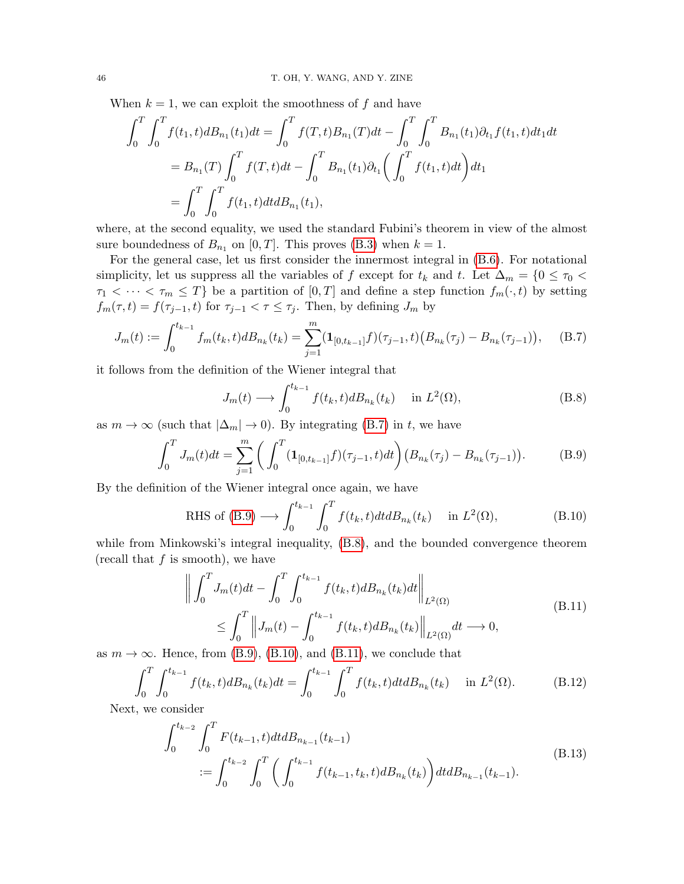When  $k = 1$ , we can exploit the smoothness of f and have

$$
\int_0^T \int_0^T f(t_1, t) dB_{n_1}(t_1) dt = \int_0^T f(T, t) B_{n_1}(T) dt - \int_0^T \int_0^T B_{n_1}(t_1) \partial_{t_1} f(t_1, t) dt_1 dt
$$
  
=  $B_{n_1}(T) \int_0^T f(T, t) dt - \int_0^T B_{n_1}(t_1) \partial_{t_1} \left( \int_0^T f(t_1, t) dt \right) dt_1$   
=  $\int_0^T \int_0^T f(t_1, t) dt dB_{n_1}(t_1),$ 

where, at the second equality, we used the standard Fubini's theorem in view of the almost sure boundedness of  $B_{n_1}$  on  $[0, T]$ . This proves  $(B.3)$  when  $k = 1$ .

For the general case, let us first consider the innermost integral in [\(B.6\)](#page-44-5). For notational simplicity, let us suppress all the variables of f except for  $t_k$  and  $t$ . Let  $\Delta_m = \{0 \le \tau_0 <$  $\tau_1 < \cdots < \tau_m \leq T$ } be a partition of  $[0, T]$  and define a step function  $f_m(\cdot, t)$  by setting  $f_m(\tau, t) = f(\tau_{j-1}, t)$  for  $\tau_{j-1} < \tau \leq \tau_j$ . Then, by defining  $J_m$  by

$$
J_m(t) := \int_0^{t_{k-1}} f_m(t_k, t) dB_{n_k}(t_k) = \sum_{j=1}^m (\mathbf{1}_{[0, t_{k-1}]} f)(\tau_{j-1}, t) \big(B_{n_k}(\tau_j) - B_{n_k}(\tau_{j-1})\big), \quad (B.7)
$$

it follows from the definition of the Wiener integral that

<span id="page-45-3"></span><span id="page-45-2"></span><span id="page-45-1"></span><span id="page-45-0"></span>
$$
J_m(t) \longrightarrow \int_0^{t_{k-1}} f(t_k, t) dB_{n_k}(t_k) \quad \text{in } L^2(\Omega), \tag{B.8}
$$

as  $m \to \infty$  (such that  $|\Delta_m| \to 0$ ). By integrating [\(B.7\)](#page-45-0) in t, we have

$$
\int_0^T J_m(t)dt = \sum_{j=1}^m \left( \int_0^T (\mathbf{1}_{[0,t_{k-1}]}f)(\tau_{j-1},t)dt \right) \left( B_{n_k}(\tau_j) - B_{n_k}(\tau_{j-1}) \right). \tag{B.9}
$$

By the definition of the Wiener integral once again, we have

RHS of (B.9) 
$$
\longrightarrow \int_0^{t_{k-1}} \int_0^T f(t_k, t) dt dB_{n_k}(t_k) \quad \text{in } L^2(\Omega),
$$
 (B.10)

while from Minkowski's integral inequality, [\(B.8\)](#page-45-2), and the bounded convergence theorem (recall that  $f$  is smooth), we have

<span id="page-45-6"></span><span id="page-45-4"></span>
$$
\left\| \int_0^T J_m(t)dt - \int_0^T \int_0^{t_{k-1}} f(t_k, t)dB_{n_k}(t_k)dt \right\|_{L^2(\Omega)}
$$
\n
$$
\leq \int_0^T \left\| J_m(t) - \int_0^{t_{k-1}} f(t_k, t)dB_{n_k}(t_k) \right\|_{L^2(\Omega)} dt \longrightarrow 0,
$$
\n
$$
\left\| \int_0^T \left( \int_0^T \left( \int_0^T f(t_k, t)dB_{n_k}(t_k) \right) \right) \right\|_{L^2(\Omega)} dt \longrightarrow 0,
$$
\n
$$
\left\| \int_0^T \left( \int_0^T f(t_k, t)dB_{n_k}(t_k) \right) \right\|_{L^2(\Omega)} dt \longrightarrow 0,
$$

as  $m \to \infty$ . Hence, from [\(B.9\)](#page-45-1), [\(B.10\)](#page-45-3), and [\(B.11\)](#page-45-4), we conclude that

$$
\int_0^T \int_0^{t_{k-1}} f(t_k, t) dB_{n_k}(t_k) dt = \int_0^{t_{k-1}} \int_0^T f(t_k, t) dt dB_{n_k}(t_k) \quad \text{in } L^2(\Omega). \tag{B.12}
$$

Next, we consider

<span id="page-45-5"></span>
$$
\int_{0}^{t_{k-2}} \int_{0}^{T} F(t_{k-1}, t) dt dB_{n_{k-1}}(t_{k-1})
$$
\n
$$
:= \int_{0}^{t_{k-2}} \int_{0}^{T} \left( \int_{0}^{t_{k-1}} f(t_{k-1}, t_k, t) dB_{n_k}(t_k) \right) dt dB_{n_{k-1}}(t_{k-1}).
$$
\n(B.13)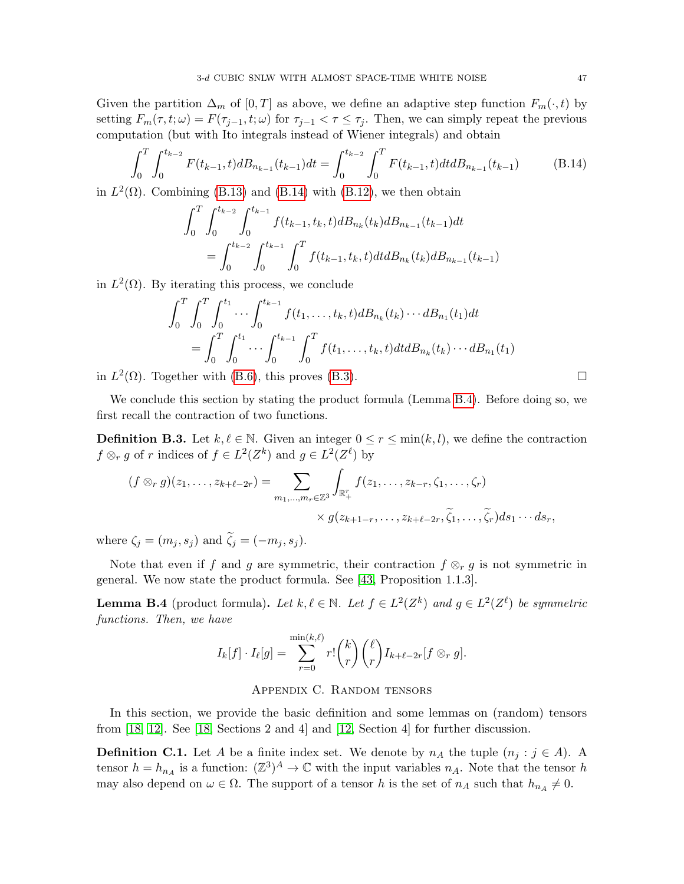Given the partition  $\Delta_m$  of [0, T] as above, we define an adaptive step function  $F_m(\cdot, t)$  by setting  $F_m(\tau, t; \omega) = F(\tau_{i-1}, t; \omega)$  for  $\tau_{i-1} < \tau \leq \tau_i$ . Then, we can simply repeat the previous computation (but with Ito integrals instead of Wiener integrals) and obtain

$$
\int_0^T \int_0^{t_{k-2}} F(t_{k-1}, t) dB_{n_{k-1}}(t_{k-1}) dt = \int_0^{t_{k-2}} \int_0^T F(t_{k-1}, t) dt dB_{n_{k-1}}(t_{k-1})
$$
(B.14)

in  $L^2(\Omega)$ . Combining [\(B.13\)](#page-45-5) and [\(B.14\)](#page-46-3) with [\(B.12\)](#page-45-6), we then obtain

<span id="page-46-3"></span>
$$
\int_0^T \int_0^{t_{k-2}} \int_0^{t_{k-1}} f(t_{k-1}, t_k, t) dB_{n_k}(t_k) dB_{n_{k-1}}(t_{k-1}) dt
$$
  
= 
$$
\int_0^{t_{k-2}} \int_0^{t_{k-1}} \int_0^T f(t_{k-1}, t_k, t) dt dB_{n_k}(t_k) dB_{n_{k-1}}(t_{k-1})
$$

in  $L^2(\Omega)$ . By iterating this process, we conclude

$$
\int_0^T \int_0^T \int_0^{t_1} \cdots \int_0^{t_{k-1}} f(t_1, \ldots, t_k, t) dB_{n_k}(t_k) \cdots dB_{n_1}(t_1) dt
$$
  
= 
$$
\int_0^T \int_0^{t_1} \cdots \int_0^{t_{k-1}} \int_0^T f(t_1, \ldots, t_k, t) dt dB_{n_k}(t_k) \cdots dB_{n_1}(t_1)
$$

in  $L^2(\Omega)$ . Together with [\(B.6\)](#page-44-5), this proves [\(B.3\)](#page-44-4).

We conclude this section by stating the product formula (Lemma [B.4\)](#page-46-1). Before doing so, we first recall the contraction of two functions.

<span id="page-46-2"></span>**Definition B.3.** Let  $k, \ell \in \mathbb{N}$ . Given an integer  $0 \leq r \leq \min(k, l)$ , we define the contraction  $f \otimes_r g$  of r indices of  $f \in L^2(Z^k)$  and  $g \in L^2(Z^{\ell})$  by

$$
(f \otimes_r g)(z_1, \ldots, z_{k+\ell-2r}) = \sum_{m_1, \ldots, m_r \in \mathbb{Z}^3} \int_{\mathbb{R}_+^r} f(z_1, \ldots, z_{k-r}, \zeta_1, \ldots, \zeta_r) \times g(z_{k+1-r}, \ldots, z_{k+\ell-2r}, \widetilde{\zeta}_1, \ldots, \widetilde{\zeta}_r) ds_1 \cdots ds_r,
$$

where  $\zeta_j = (m_j, s_j)$  and  $\zeta_j = (-m_j, s_j)$ .

Note that even if f and g are symmetric, their contraction  $f \otimes_r g$  is not symmetric in general. We now state the product formula. See [\[43,](#page-52-25) Proposition 1.1.3].

<span id="page-46-1"></span>**Lemma B.4** (product formula). Let  $k, \ell \in \mathbb{N}$ . Let  $f \in L^2(Z^k)$  and  $g \in L^2(Z^{\ell})$  be symmetric functions. Then, we have

$$
I_k[f] \cdot I_\ell[g] = \sum_{r=0}^{\min(k,\ell)} r! \binom{k}{r} \binom{\ell}{r} I_{k+\ell-2r}[f \otimes_r g].
$$

# Appendix C. Random tensors

<span id="page-46-0"></span>In this section, we provide the basic definition and some lemmas on (random) tensors from [\[18,](#page-52-8) [12\]](#page-51-3). See [\[18,](#page-52-8) Sections 2 and 4] and [\[12,](#page-51-3) Section 4] for further discussion.

**Definition C.1.** Let A be a finite index set. We denote by  $n_A$  the tuple  $(n_i : j \in A)$ . A tensor  $h = h_{n_A}$  is a function:  $(\mathbb{Z}^3)^A \to \mathbb{C}$  with the input variables  $n_A$ . Note that the tensor h may also depend on  $\omega \in \Omega$ . The support of a tensor h is the set of  $n_A$  such that  $h_{n_A} \neq 0$ .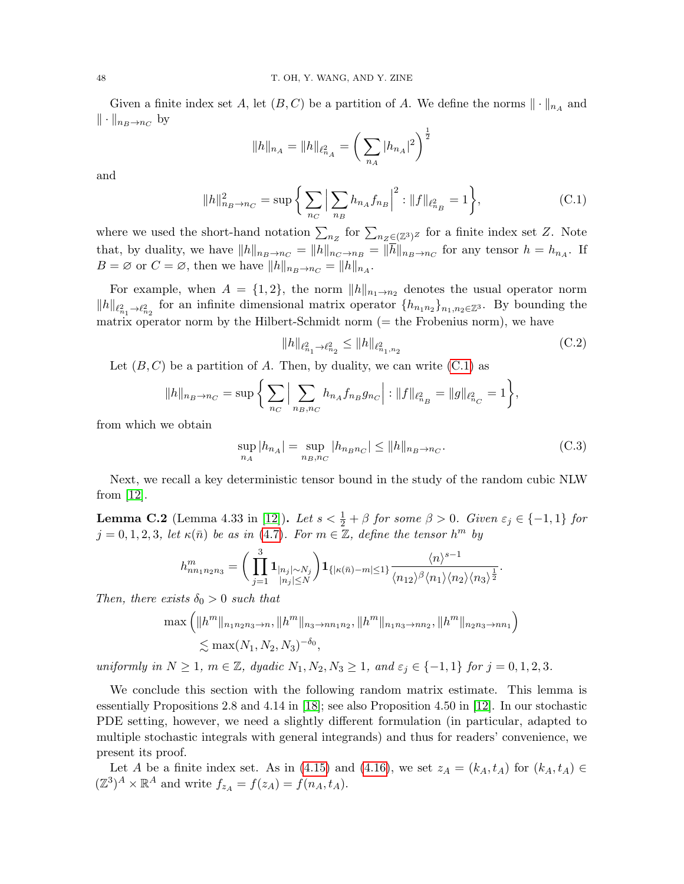Given a finite index set A, let  $(B, C)$  be a partition of A. We define the norms  $\|\cdot\|_{n_A}$  and  $\|\cdot\|_{n_B\to n_C}$  by

<span id="page-47-1"></span>
$$
||h||_{n_A} = ||h||_{\ell^2_{n_A}} = \left(\sum_{n_A} |h_{n_A}|^2\right)^{\frac{1}{2}}
$$

and

$$
||h||_{n_B \to n_C}^2 = \sup \left\{ \sum_{n_C} \left| \sum_{n_B} h_{n_A} f_{n_B} \right|^2 : ||f||_{\ell_{n_B}^2} = 1 \right\},\tag{C.1}
$$

where we used the short-hand notation  $\sum_{n_Z}$  for  $\sum_{n_Z \in (\mathbb{Z}^3)^Z}$  for a finite index set Z. Note that, by duality, we have  $||h||_{n_B\to n_C} = ||h||_{n_C\to n_B} = ||h||_{n_B\to n_C}$  for any tensor  $h = h_{n_A}$ . If  $B = \emptyset$  or  $C = \emptyset$ , then we have  $||h||_{n_B \to n_C} = ||h||_{n_A}$ .

For example, when  $A = \{1, 2\}$ , the norm  $||h||_{n_1\to n_2}$  denotes the usual operator norm  $||h||_{\ell_{n_1}^2 \to \ell_{n_2}^2}$  for an infinite dimensional matrix operator  $\{h_{n_1n_2}\}_{n_1,n_2 \in \mathbb{Z}^3}$ . By bounding the matrix operator norm by the Hilbert-Schmidt norm  $(=$  the Frobenius norm), we have

<span id="page-47-3"></span><span id="page-47-2"></span>
$$
||h||_{\ell_{n_1}^2 \to \ell_{n_2}^2} \le ||h||_{\ell_{n_1, n_2}^2}
$$
\n(C.2)

Let  $(B, C)$  be a partition of A. Then, by duality, we can write  $(C.1)$  as

$$
||h||_{n_B \to n_C} = \sup \bigg\{ \sum_{n_C} \Big| \sum_{n_B, n_C} h_{n_A} f_{n_B} g_{n_C} \Big| : ||f||_{\ell^2_{n_B}} = ||g||_{\ell^2_{n_C}} = 1 \bigg\},\
$$

from which we obtain

$$
\sup_{n_A} |h_{n_A}| = \sup_{n_B, n_C} |h_{n_B n_C}| \le ||h||_{n_B \to n_C}.
$$
 (C.3)

Next, we recall a key deterministic tensor bound in the study of the random cubic NLW from [\[12\]](#page-51-3).

<span id="page-47-0"></span>**Lemma C.2** (Lemma 4.33 in [\[12\]](#page-51-3)). Let  $s < \frac{1}{2} + \beta$  for some  $\beta > 0$ . Given  $\varepsilon_j \in \{-1, 1\}$  for  $j = 0, 1, 2, 3$ , let  $\kappa(\bar{n})$  be as in [\(4.7\)](#page-22-2). For  $m \in \mathbb{Z}$ , define the tensor  $h^m$  by

$$
h_{nn_1n_2n_3}^m = \bigg(\prod_{j=1}^3 \mathbf{1}_{\substack{|n_j|\sim N_j\\|n_j|\leq N}}\bigg) \mathbf{1}_{\{| \kappa(\bar{n})-m|\leq 1\}} \frac{\langle n \rangle^{s-1}}{\langle n_{12} \rangle^{\beta} \langle n_1 \rangle \langle n_2 \rangle \langle n_3 \rangle^{\frac{1}{2}}}.
$$

Then, there exists  $\delta_0 > 0$  such that

$$
\max\left(\|h^m\|_{n_1n_2n_3\to n},\|h^m\|_{n_3\to nn_1n_2},\|h^m\|_{n_1n_3\to nn_2},\|h^m\|_{n_2n_3\to nn_1}\right)\n\n\lesssim \max(N_1,N_2,N_3)^{-\delta_0},
$$

uniformly in  $N \geq 1$ ,  $m \in \mathbb{Z}$ , dyadic  $N_1, N_2, N_3 \geq 1$ , and  $\varepsilon_j \in \{-1, 1\}$  for  $j = 0, 1, 2, 3$ .

We conclude this section with the following random matrix estimate. This lemma is essentially Propositions 2.8 and 4.14 in [\[18\]](#page-52-8); see also Proposition 4.50 in [\[12\]](#page-51-3). In our stochastic PDE setting, however, we need a slightly different formulation (in particular, adapted to multiple stochastic integrals with general integrands) and thus for readers' convenience, we present its proof.

Let A be a finite index set. As in [\(4.15\)](#page-25-1) and [\(4.16\)](#page-25-2), we set  $z_A = (k_A, t_A)$  for  $(k_A, t_A) \in$  $(\mathbb{Z}^3)^A \times \mathbb{R}^A$  and write  $f_{z_A} = f(z_A) = f(n_A, t_A)$ .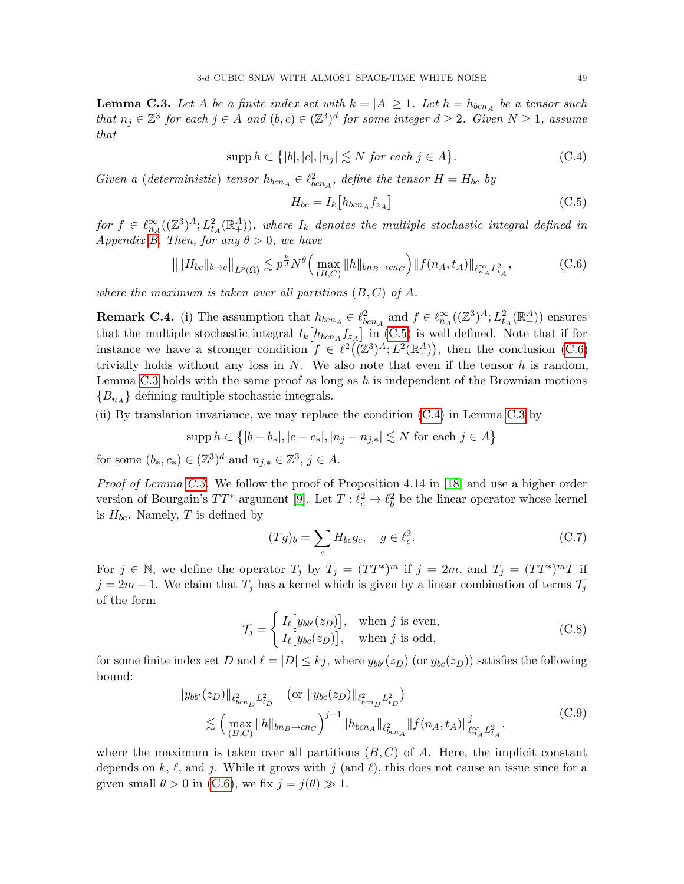<span id="page-48-0"></span>**Lemma C.3.** Let A be a finite index set with  $k = |A| \ge 1$ . Let  $h = h_{bcn_A}$  be a tensor such that  $n_j \in \mathbb{Z}^3$  for each  $j \in A$  and  $(b, c) \in (\mathbb{Z}^3)^d$  for some integer  $d \geq 2$ . Given  $N \geq 1$ , assume that

$$
supp h \subset \{|b|, |c|, |n_j| \lesssim N \text{ for each } j \in A\}. \tag{C.4}
$$

Given a (deterministic) tensor  $h_{bcn_A} \in \ell_{bcn_A}^2$ , define the tensor  $H = H_{bc}$  by

<span id="page-48-3"></span><span id="page-48-2"></span><span id="page-48-1"></span>
$$
H_{bc} = I_k \left[ h_{bcn_A} f_{z_A} \right] \tag{C.5}
$$

 $\textit{for $f\in \ell^\infty_{n_A}((\mathbb{Z}^3)^A; L^2_{t_A}(\mathbb{R}^A_+))$, where $I_k$ denotes the multiple stochastic integral defined in $K_{t_A}(\mathbb{Z}^3)^{K}$, and $K_{t_A}(\mathbb{Z}^3)^{K}$, where $I_k$ denotes the multiple stochastic integral defined in $K_{t_A}(\mathbb{Z}^3)^{K}$, and $K_{t_A}(\mathbb{Z}^3)^{K}$, and $\mathbb{Z}^3$ is the same.}$ Appendix [B.](#page-43-0) Then, for any  $\theta > 0$ , we have

$$
\left\| \|H_{bc}\|_{b\to c} \|_{L^p(\Omega)} \lesssim p^{\frac{k}{2}} N^{\theta} \Big( \max_{(B,C)} \|h\|_{bn_B \to cn_C} \Big) \|f(n_A, t_A)\|_{\ell_{n_A}^{\infty} L_{t_A}^2},\tag{C.6}
$$

where the maximum is taken over all partitions  $(B, C)$  of A.

**Remark C.4.** (i) The assumption that  $h_{bcn_A} \in \ell_{bcn_A}^2$  and  $f \in \ell_{n_A}^{\infty}((\mathbb{Z}^3)^A; L^2_{t_A}(\mathbb{R}^A_+))$  ensures that the multiple stochastic integral  $I_k[h_{bcn_A}f_{z_A}]$  in [\(C.5\)](#page-48-1) is well defined. Note that if for instance we have a stronger condition  $f \in \ell^2((\mathbb{Z}^3)^A; L^2(\mathbb{R}^A_+))$ , then the conclusion [\(C.6\)](#page-48-2) trivially holds without any loss in  $N$ . We also note that even if the tensor  $h$  is random, Lemma [C.3](#page-48-0) holds with the same proof as long as  $h$  is independent of the Brownian motions  ${B_{n_A}}$  defining multiple stochastic integrals.

(ii) By translation invariance, we may replace the condition [\(C.4\)](#page-48-3) in Lemma [C.3](#page-48-0) by

$$
supp h \subset \{ |b - b_*|, |c - c_*|, |n_j - n_{j,*}| \le N \text{ for each } j \in A \}
$$

for some  $(b_*, c_*) \in (\mathbb{Z}^3)^d$  and  $n_{j,*} \in \mathbb{Z}^3$ ,  $j \in A$ .

Proof of Lemma [C.3.](#page-48-0) We follow the proof of Proposition 4.14 in [\[18\]](#page-52-8) and use a higher order version of Bourgain's  $TT^*$ -argument [\[9\]](#page-51-5). Let  $T: \ell_c^2 \to \ell_b^2$  be the linear operator whose kernel is  $H_{bc}$ . Namely, T is defined by

<span id="page-48-5"></span><span id="page-48-4"></span>
$$
(Tg)_b = \sum_c H_{bc}g_c, \quad g \in \ell_c^2. \tag{C.7}
$$

For  $j \in \mathbb{N}$ , we define the operator  $T_j$  by  $T_j = (TT^*)^m$  if  $j = 2m$ , and  $T_j = (TT^*)^mT$  if  $j = 2m + 1$ . We claim that  $T_j$  has a kernel which is given by a linear combination of terms  $\mathcal{T}_j$ of the form

<span id="page-48-6"></span>
$$
\mathcal{T}_j = \begin{cases} I_\ell[y_{bb'}(z_D)], & \text{when } j \text{ is even,} \\ I_\ell[y_{bc}(z_D)], & \text{when } j \text{ is odd,} \end{cases} \tag{C.8}
$$

for some finite index set D and  $\ell = |D| \leq kj$ , where  $y_{bb'}(z_D)$  (or  $y_{bc}(z_D)$ ) satisfies the following bound:

$$
||y_{bb'}(z_D)||_{\ell_{bcn_D}^2 L_{t_D}^2} \quad \text{(or } ||y_{bc}(z_D)||_{\ell_{bcn_D}^2 L_{t_D}^2})
$$
  

$$
\lesssim \left(\max_{(B,C)} ||h||_{bn_B \to cn_C}\right)^{j-1} ||h_{bcn_A}||_{\ell_{bcn_A}^2} ||f(n_A, t_A)||_{\ell_{\infty}^{\infty} L_{t_A}^2}^j. \tag{C.9}
$$

where the maximum is taken over all partitions  $(B, C)$  of A. Here, the implicit constant depends on k,  $\ell$ , and j. While it grows with j (and  $\ell$ ), this does not cause an issue since for a given small  $\theta > 0$  in [\(C.6\)](#page-48-2), we fix  $j = j(\theta) \gg 1$ .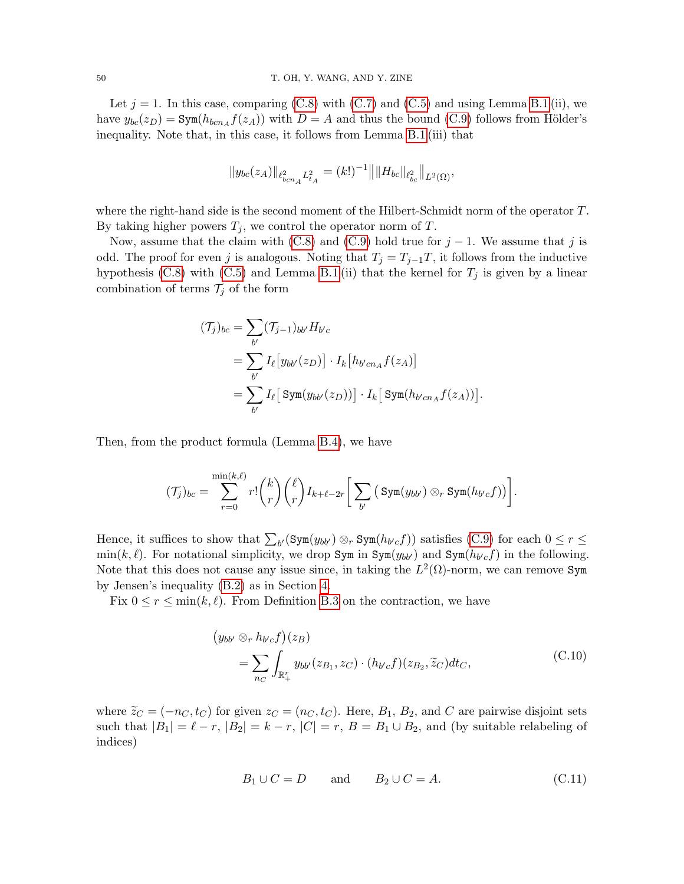Let  $j = 1$ . In this case, comparing [\(C.8\)](#page-48-4) with [\(C.7\)](#page-48-5) and [\(C.5\)](#page-48-1) and using Lemma [B.1](#page-43-1) (ii), we have  $y_{bc}(z_D) = \text{Sym}(h_{bcn_A}f(z_A))$  with  $D = A$  and thus the bound [\(C.9\)](#page-48-6) follows from Hölder's inequality. Note that, in this case, it follows from Lemma [B.1](#page-43-1) (iii) that

$$
||y_{bc}(z_A)||_{\ell_{bcn_A}^2 L_{t_A}^2} = (k!)^{-1} || ||H_{bc}||_{\ell_{bc}^2} ||_{L^2(\Omega)},
$$

where the right-hand side is the second moment of the Hilbert-Schmidt norm of the operator T. By taking higher powers  $T_j$ , we control the operator norm of T.

Now, assume that the claim with [\(C.8\)](#page-48-4) and [\(C.9\)](#page-48-6) hold true for  $j - 1$ . We assume that j is odd. The proof for even j is analogous. Noting that  $T_j = T_{j-1}T$ , it follows from the inductive hypothesis [\(C.8\)](#page-48-4) with [\(C.5\)](#page-48-1) and Lemma [B.1](#page-43-1) (ii) that the kernel for  $T_j$  is given by a linear combination of terms  $\mathcal{T}_j$  of the form

$$
(\mathcal{T}_j)_{bc} = \sum_{b'} (\mathcal{T}_{j-1})_{bb'} H_{b'c}
$$
  
= 
$$
\sum_{b'} I_{\ell} [y_{bb'}(z_D)] \cdot I_k [h_{b'cn_A} f(z_A)]
$$
  
= 
$$
\sum_{b'} I_{\ell} [Sym(y_{bb'}(z_D))] \cdot I_k [Sym(h_{b'cn_A} f(z_A))].
$$

Then, from the product formula (Lemma [B.4\)](#page-46-1), we have

$$
(\mathcal{T}_j)_{bc} = \sum_{r=0}^{\min(k,\ell)} r! \binom{k}{r} \binom{\ell}{r} I_{k+\ell-2r} \bigg[ \sum_{b'} \left( \text{Sym}(y_{bb'}) \otimes_r \text{Sym}(h_{b'c}f) \right) \bigg].
$$

Hence, it suffices to show that  $\sum_{b'} (\text{Sym}(y_{bb'}) \otimes_r \text{Sym}(h_{b'c}f))$  satisfies [\(C.9\)](#page-48-6) for each  $0 \le r \le$  $\min(k, \ell)$ . For notational simplicity, we drop Sym in Sym $(y_{bb'})$  and Sym $(h_{b'c}f)$  in the following. Note that this does not cause any issue since, in taking the  $L^2(\Omega)$ -norm, we can remove Sym by Jensen's inequality [\(B.2\)](#page-43-2) as in Section [4.](#page-20-0)

Fix  $0 \le r \le \min(k, \ell)$ . From Definition [B.3](#page-46-2) on the contraction, we have

$$
\begin{aligned} \left(y_{bb'} \otimes_r h_{b'c}f\right)(z_B) \\ &= \sum_{n_C} \int_{\mathbb{R}_+^r} y_{bb'}(z_{B_1}, z_C) \cdot (h_{b'c}f)(z_{B_2}, \widetilde{z}_C) dt_C, \end{aligned} \tag{C.10}
$$

where  $\tilde{z}_C = (-n_C, t_C)$  for given  $z_C = (n_C, t_C)$ . Here,  $B_1$ ,  $B_2$ , and C are pairwise disjoint sets such that  $|B_1| = \ell - r$ ,  $|B_2| = k - r$ ,  $|C| = r$ ,  $B = B_1 \cup B_2$ , and (by suitable relabeling of indices)

<span id="page-49-1"></span><span id="page-49-0"></span>
$$
B_1 \cup C = D \qquad \text{and} \qquad B_2 \cup C = A. \tag{C.11}
$$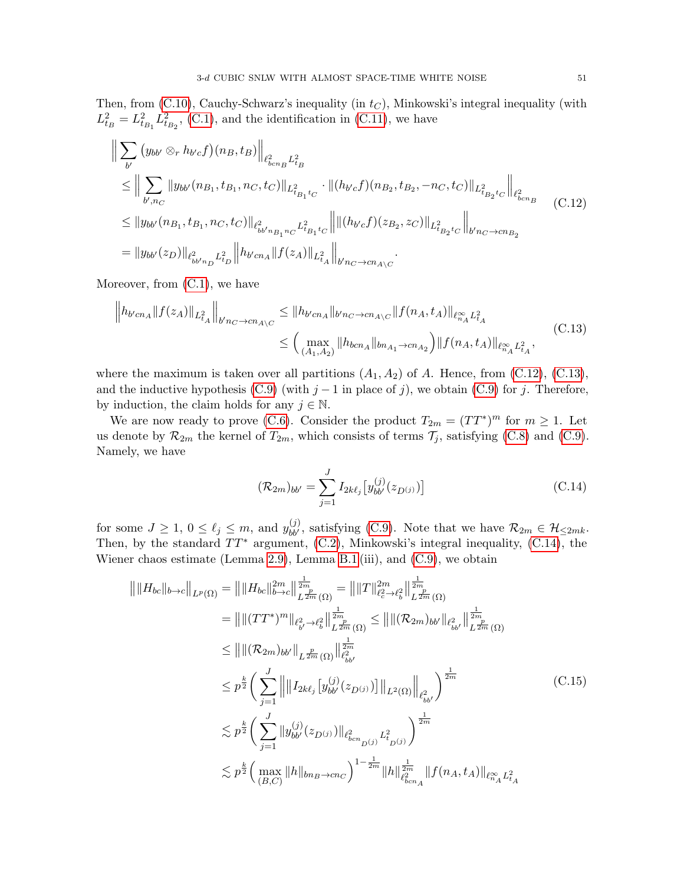Then, from  $(C.10)$ , Cauchy-Schwarz's inequality (in  $t<sub>C</sub>$ ), Minkowski's integral inequality (with  $L_{t_B}^2 = L_{t_{B_1}}^2 L_{t_{B_2}}^2$ , [\(C.1\)](#page-47-1), and the identification in [\(C.11\)](#page-49-1), we have

$$
\| \sum_{b'} (y_{bb'} \otimes_r h_{b'c} f)(n_B, t_B) \|_{\ell_{bcn}^2 L_{t_B}^2} \n\leq \| \sum_{b',n_C} \| y_{bb'} (n_{B_1}, t_{B_1}, n_C, t_C) \|_{L_{t_{B_1}t_C}^2} \cdot \| (h_{b'c} f)(n_{B_2}, t_{B_2}, -n_C, t_C) \|_{L_{t_{B_2}t_C}^2} \bigg\|_{\ell_{bcn}^2} \n\leq \| y_{bb'} (n_{B_1}, t_{B_1}, n_C, t_C) \|_{\ell_{bb'n_{B_1}n_C}^2 L_{t_{B_1}t_C}^2} \bigg\| \| (h_{b'c} f)(z_{B_2}, z_C) \|_{L_{t_{B_2}t_C}^2} \bigg\|_{b'n_C \to cn_{B_2}} \tag{C.12}
$$
\n
$$
= \| y_{bb'} (z_D) \|_{\ell_{bb'n_D}^2 L_{t_D}^2} \bigg\| h_{b'cn_A} \| f(z_A) \|_{L_{t_A}^2} \bigg\|_{b'n_C \to cn_{A \setminus C}}.
$$

Moreover, from [\(C.1\)](#page-47-1), we have

$$
\|h_{b'cn_A} \|f(z_A)\|_{L^2_{tA}}\|_{b'n_C \to cn_{A \setminus C}} \leq \|h_{b'cn_A} \|_{b'n_C \to cn_{A \setminus C}} \|f(n_A, t_A)\|_{\ell^{\infty}_{n_A} L^2_{tA}}
$$
\n
$$
\leq \left(\max_{(A_1, A_2)} \|h_{bcn_A} \|_{bn_{A_1} \to cn_{A_2}}\right) \|f(n_A, t_A)\|_{\ell^{\infty}_{n_A} L^2_{tA}},\tag{C.13}
$$

where the maximum is taken over all partitions  $(A_1, A_2)$  of A. Hence, from  $(C.12)$ ,  $(C.13)$ , and the inductive hypothesis [\(C.9\)](#page-48-6) (with  $j-1$  in place of j), we obtain (C.9) for j. Therefore, by induction, the claim holds for any  $j \in \mathbb{N}$ .

We are now ready to prove [\(C.6\)](#page-48-2). Consider the product  $T_{2m} = (TT^*)^m$  for  $m \ge 1$ . Let us denote by  $\mathcal{R}_{2m}$  the kernel of  $T_{2m}$ , which consists of terms  $\mathcal{T}_j$ , satisfying [\(C.8\)](#page-48-4) and [\(C.9\)](#page-48-6). Namely, we have

<span id="page-50-3"></span><span id="page-50-2"></span><span id="page-50-1"></span><span id="page-50-0"></span>
$$
(\mathcal{R}_{2m})_{bb'} = \sum_{j=1}^{J} I_{2k\ell_j} \left[ y_{bb'}^{(j)}(z_{D^{(j)}}) \right]
$$
 (C.14)

for some  $J \ge 1$ ,  $0 \le \ell_j \le m$ , and  $y_{bb'}^{(j)}$ , satisfying [\(C.9\)](#page-48-6). Note that we have  $\mathcal{R}_{2m} \in \mathcal{H}_{\le 2mk}$ . Then, by the standard  $TT^*$  argument, [\(C.2\)](#page-47-2), Minkowski's integral inequality, [\(C.14\)](#page-50-2), the Wiener chaos estimate (Lemma [2.9\)](#page-15-4), Lemma [B.1](#page-43-1) (iii), and [\(C.9\)](#page-48-6), we obtain

$$
\| \|H_{bc}\|_{b\to c} \|_{L^{p}(\Omega)} = \| \|H_{bc}\|_{b\to c}^{2m} \|_{L^{\frac{2m}{2m}}(\Omega)}^{\frac{1}{2m}} = \| \|T\|_{\ell_{c}^{2}\to\ell_{b}^{2}}^{2m} \|_{L^{\frac{2m}{2m}}(\Omega)}^{\frac{1}{2m}} \n= \| \| (TT^{*})^{m} \|_{\ell_{b}^{2}\to\ell_{b}^{2}} \|_{L^{\frac{2m}{2m}}(\Omega)}^{\frac{1}{2m}} \le \| \| (\mathcal{R}_{2m})_{bb'} \|_{\ell_{bb'}^{2}} \|_{L^{\frac{2m}{2m}}(\Omega)}^{\frac{1}{2m}} \n\le \| \| (\mathcal{R}_{2m})_{bb'} \|_{L^{\frac{p}{2m}}(\Omega)} \|_{\ell_{bb'}^{2}}^{\frac{1}{2m}} \n\le p^{\frac{k}{2}} \Big( \sum_{j=1}^{J} \| \| I_{2k\ell_{j}} [y_{bb'}^{(j)}(z_{D^{(j)}})] \|_{L^{2}(\Omega)} \|_{\ell_{bb'}^{2}} \Big)^{\frac{1}{2m}} \n\lesssim p^{\frac{k}{2}} \Big( \sum_{j=1}^{J} \| y_{bb'}^{(j)}(z_{D^{(j)}}) \|_{\ell_{bcn_{D}(j)}^{2}} L^{2}_{\ell_{D^{(j)}}} \Big)^{\frac{1}{2m}} \n\lesssim p^{\frac{k}{2}} \Big( \max_{(B,C)} \|h\|_{bn_{B}\to cn_{C}} \Big)^{1-\frac{1}{2m}} \|h\|_{\ell_{bcn_{A}}^{2}}^{\frac{1}{2m}} \|f(n_{A}, t_{A})\|_{\ell_{n_{A}}^{\infty}} L^{2}_{\ell_{A}}
$$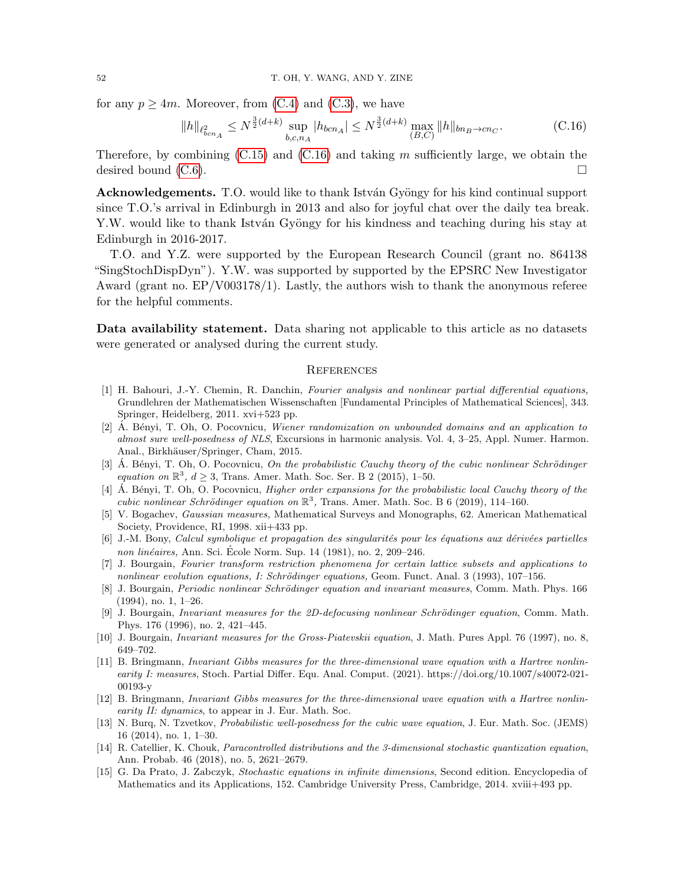for any  $p \ge 4m$ . Moreover, from [\(C.4\)](#page-48-3) and [\(C.3\)](#page-47-3), we have

$$
||h||_{\ell_{bcn_A}^2} \le N^{\frac{3}{2}(d+k)} \sup_{b,c,n_A} |h_{bcn_A}| \le N^{\frac{3}{2}(d+k)} \max_{(B,C)} ||h||_{bn_B \to cn_C}.
$$
 (C.16)

Therefore, by combining  $(C.15)$  and  $(C.16)$  and taking m sufficiently large, we obtain the desired bound [\(C.6\)](#page-48-2).

Acknowledgements. T.O. would like to thank István Gyöngy for his kind continual support since T.O.'s arrival in Edinburgh in 2013 and also for joyful chat over the daily tea break. Y.W. would like to thank István Gyöngy for his kindness and teaching during his stay at Edinburgh in 2016-2017.

T.O. and Y.Z. were supported by the European Research Council (grant no. 864138 "SingStochDispDyn"). Y.W. was supported by supported by the EPSRC New Investigator Award (grant no. EP/V003178/1). Lastly, the authors wish to thank the anonymous referee for the helpful comments.

Data availability statement. Data sharing not applicable to this article as no datasets were generated or analysed during the current study.

#### <span id="page-51-16"></span><span id="page-51-0"></span>**REFERENCES**

- <span id="page-51-13"></span>[1] H. Bahouri, J.-Y. Chemin, R. Danchin, Fourier analysis and nonlinear partial differential equations, Grundlehren der Mathematischen Wissenschaften [Fundamental Principles of Mathematical Sciences], 343. Springer, Heidelberg, 2011. xvi+523 pp.
- <span id="page-51-7"></span> $[2]$  A. Bényi, T. Oh, O. Pocovnicu, Wiener randomization on unbounded domains and an application to almost sure well-posedness of NLS, Excursions in harmonic analysis. Vol. 4, 3–25, Appl. Numer. Harmon. Anal., Birkhäuser/Springer, Cham, 2015.
- <span id="page-51-8"></span>[3] A. Bényi, T. Oh, O. Pocovnicu, On the probabilistic Cauchy theory of the cubic nonlinear Schrödinger equation on  $\mathbb{R}^3$ ,  $d \ge 3$ , Trans. Amer. Math. Soc. Ser. B 2 (2015), 1-50.
- <span id="page-51-9"></span>[4]  $\AA$ . Bényi, T. Oh, O. Pocovnicu, *Higher order expansions for the probabilistic local Cauchy theory of the* cubic nonlinear Schrödinger equation on  $\mathbb{R}^3$ , Trans. Amer. Math. Soc. B 6 (2019), 114-160.
- <span id="page-51-15"></span>[5] V. Bogachev, Gaussian measures, Mathematical Surveys and Monographs, 62. American Mathematical Society, Providence, RI, 1998. xii+433 pp.
- <span id="page-51-12"></span> $[6]$  J.-M. Bony, Calcul symbolique et propagation des singularités pour les équations aux dérivées partielles non linéaires, Ann. Sci. École Norm. Sup. 14 (1981), no. 2, 209–246.
- <span id="page-51-14"></span>[7] J. Bourgain, Fourier transform restriction phenomena for certain lattice subsets and applications to nonlinear evolution equations, I: Schrödinger equations, Geom. Funct. Anal. 3 (1993), 107–156.
- <span id="page-51-10"></span>[8] J. Bourgain, Periodic nonlinear Schrödinger equation and invariant measures, Comm. Math. Phys. 166 (1994), no. 1, 1–26.
- <span id="page-51-5"></span>[9] J. Bourgain, *Invariant measures for the 2D-defocusing nonlinear Schrödinger equation*, Comm. Math. Phys. 176 (1996), no. 2, 421–445.
- <span id="page-51-6"></span>[10] J. Bourgain, Invariant measures for the Gross-Piatevskii equation, J. Math. Pures Appl. 76 (1997), no. 8, 649–702.
- <span id="page-51-11"></span>[11] B. Bringmann, Invariant Gibbs measures for the three-dimensional wave equation with a Hartree nonlinearity I: measures, Stoch. Partial Differ. Equ. Anal. Comput. (2021). https://doi.org/10.1007/s40072-021- 00193-y
- <span id="page-51-3"></span>[12] B. Bringmann, Invariant Gibbs measures for the three-dimensional wave equation with a Hartree nonlinearity II: dynamics, to appear in J. Eur. Math. Soc.
- <span id="page-51-1"></span>[13] N. Burq, N. Tzvetkov, Probabilistic well-posedness for the cubic wave equation, J. Eur. Math. Soc. (JEMS) 16 (2014), no. 1, 1–30.
- <span id="page-51-4"></span>[14] R. Catellier, K. Chouk, Paracontrolled distributions and the 3-dimensional stochastic quantization equation, Ann. Probab. 46 (2018), no. 5, 2621–2679.
- <span id="page-51-2"></span>[15] G. Da Prato, J. Zabczyk, Stochastic equations in infinite dimensions, Second edition. Encyclopedia of Mathematics and its Applications, 152. Cambridge University Press, Cambridge, 2014. xviii+493 pp.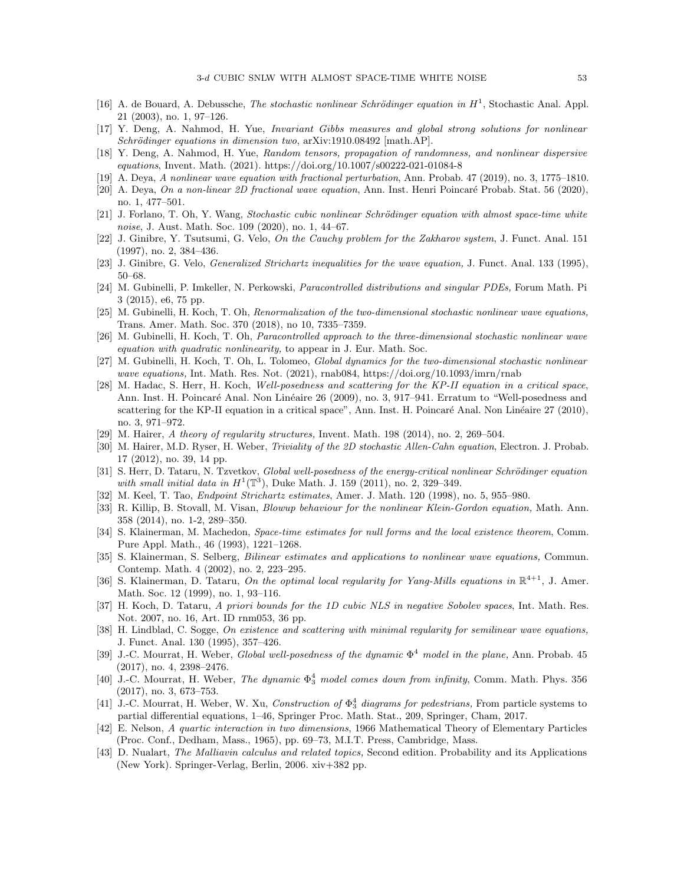- <span id="page-52-13"></span>[16] A. de Bouard, A. Debussche, The stochastic nonlinear Schrödinger equation in  $H^1$ , Stochastic Anal. Appl. 21 (2003), no. 1, 97–126.
- <span id="page-52-15"></span>[17] Y. Deng, A. Nahmod, H. Yue, Invariant Gibbs measures and global strong solutions for nonlinear  $Schrödinger$  equations in dimension two,  $arXiv:1910.08492$  [math.AP].
- <span id="page-52-8"></span>[18] Y. Deng, A. Nahmod, H. Yue, Random tensors, propagation of randomness, and nonlinear dispersive equations, Invent. Math. (2021). https://doi.org/10.1007/s00222-021-01084-8
- <span id="page-52-4"></span><span id="page-52-3"></span>[19] A. Deya, A nonlinear wave equation with fractional perturbation, Ann. Probab. 47 (2019), no. 3, 1775–1810. [20] A. Deya, On a non-linear 2D fractional wave equation, Ann. Inst. Henri Poincaré Probab. Stat. 56 (2020),
- no. 1, 477–501. [21] J. Forlano, T. Oh, Y. Wang, Stochastic cubic nonlinear Schrödinger equation with almost space-time white
- <span id="page-52-14"></span>noise, J. Aust. Math. Soc. 109 (2020), no. 1, 44–67.
- <span id="page-52-23"></span>[22] J. Ginibre, Y. Tsutsumi, G. Velo, On the Cauchy problem for the Zakharov system, J. Funct. Anal. 151 (1997), no. 2, 384–436.
- <span id="page-52-18"></span>[23] J. Ginibre, G. Velo, *Generalized Strichartz inequalities for the wave equation*, J. Funct. Anal. 133 (1995), 50–68.
- <span id="page-52-5"></span>[24] M. Gubinelli, P. Imkeller, N. Perkowski, Paracontrolled distributions and singular PDEs, Forum Math. Pi 3 (2015), e6, 75 pp.
- <span id="page-52-0"></span>[25] M. Gubinelli, H. Koch, T. Oh, Renormalization of the two-dimensional stochastic nonlinear wave equations, Trans. Amer. Math. Soc. 370 (2018), no 10, 7335–7359.
- <span id="page-52-1"></span>[26] M. Gubinelli, H. Koch, T. Oh, Paracontrolled approach to the three-dimensional stochastic nonlinear wave equation with quadratic nonlinearity, to appear in J. Eur. Math. Soc.
- <span id="page-52-2"></span>[27] M. Gubinelli, H. Koch, T. Oh, L. Tolomeo, Global dynamics for the two-dimensional stochastic nonlinear wave equations, Int. Math. Res. Not. (2021), rnab084, https://doi.org/10.1093/imrn/rnab
- <span id="page-52-11"></span>[28] M. Hadac, S. Herr, H. Koch, Well-posedness and scattering for the KP-II equation in a critical space, Ann. Inst. H. Poincaré Anal. Non Linéaire 26 (2009), no. 3, 917–941. Erratum to "Well-posedness and scattering for the KP-II equation in a critical space", Ann. Inst. H. Poincaré Anal. Non Linéaire 27 (2010), no. 3, 971–972.
- <span id="page-52-27"></span>[29] M. Hairer, A theory of regularity structures, Invent. Math. 198 (2014), no. 2, 269–504.
- <span id="page-52-6"></span>[30] M. Hairer, M.D. Ryser, H. Weber, Triviality of the 2D stochastic Allen-Cahn equation, Electron. J. Probab. 17 (2012), no. 39, 14 pp.
- <span id="page-52-12"></span>[31] S. Herr, D. Tataru, N. Tzvetkov, Global well-posedness of the energy-critical nonlinear Schrödinger equation with small initial data in  $H^1(\mathbb{T}^3)$ , Duke Math. J. 159 (2011), no. 2, 329-349.
- <span id="page-52-20"></span>[32] M. Keel, T. Tao, Endpoint Strichartz estimates, Amer. J. Math. 120 (1998), no. 5, 955–980.
- <span id="page-52-21"></span>[33] R. Killip, B. Stovall, M. Visan, Blowup behaviour for the nonlinear Klein-Gordon equation, Math. Ann. 358 (2014), no. 1-2, 289–350.
- <span id="page-52-17"></span>[34] S. Klainerman, M. Machedon, Space-time estimates for null forms and the local existence theorem, Comm. Pure Appl. Math., 46 (1993), 1221–1268.
- <span id="page-52-22"></span>[35] S. Klainerman, S. Selberg, Bilinear estimates and applications to nonlinear wave equations, Commun. Contemp. Math. 4 (2002), no. 2, 223–295.
- <span id="page-52-9"></span>[36] S. Klainerman, D. Tataru, On the optimal local regularity for Yang-Mills equations in  $\mathbb{R}^{4+1}$ , J. Amer. Math. Soc. 12 (1999), no. 1, 93–116.
- <span id="page-52-10"></span>[37] H. Koch, D. Tataru, A priori bounds for the 1D cubic NLS in negative Sobolev spaces, Int. Math. Res. Not. 2007, no. 16, Art. ID rnm053, 36 pp.
- <span id="page-52-19"></span>[38] H. Lindblad, C. Sogge, On existence and scattering with minimal regularity for semilinear wave equations, J. Funct. Anal. 130 (1995), 357–426.
- <span id="page-52-16"></span>[39] J.-C. Mourrat, H. Weber, *Global well-posedness of the dynamic*  $\Phi^4$  model in the plane, Ann. Probab. 45 (2017), no. 4, 2398–2476.
- <span id="page-52-7"></span>[40] J.-C. Mourrat, H. Weber, *The dynamic*  $\Phi_3^4$  model comes down from infinity, Comm. Math. Phys. 356 (2017), no. 3, 673–753.
- <span id="page-52-24"></span>[41] J.-C. Mourrat, H. Weber, W. Xu, Construction of  $\Phi_3^4$  diagrams for pedestrians, From particle systems to partial differential equations, 1–46, Springer Proc. Math. Stat., 209, Springer, Cham, 2017.
- <span id="page-52-26"></span>[42] E. Nelson, A quartic interaction in two dimensions, 1966 Mathematical Theory of Elementary Particles (Proc. Conf., Dedham, Mass., 1965), pp. 69–73, M.I.T. Press, Cambridge, Mass.
- <span id="page-52-25"></span>[43] D. Nualart, The Malliavin calculus and related topics, Second edition. Probability and its Applications (New York). Springer-Verlag, Berlin, 2006. xiv+382 pp.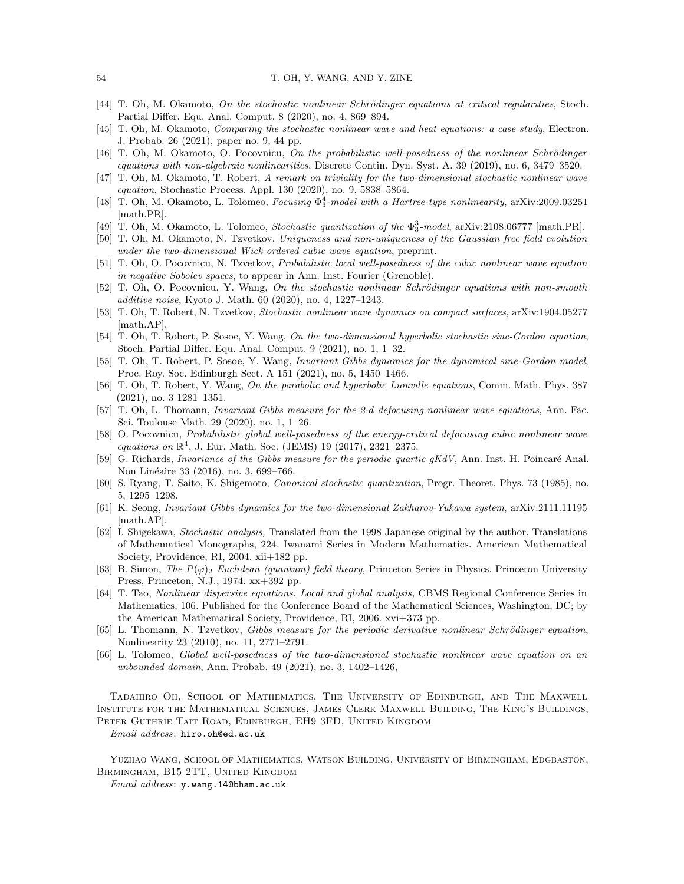- <span id="page-53-15"></span>[44] T. Oh, M. Okamoto, On the stochastic nonlinear Schrödinger equations at critical regularities, Stoch. Partial Differ. Equ. Anal. Comput. 8 (2020), no. 4, 869–894.
- <span id="page-53-8"></span>[45] T. Oh, M. Okamoto, Comparing the stochastic nonlinear wave and heat equations: a case study, Electron. J. Probab. 26 (2021), paper no. 9, 44 pp.
- <span id="page-53-13"></span>[46] T. Oh, M. Okamoto, O. Pocovnicu, On the probabilistic well-posedness of the nonlinear Schrödinger equations with non-algebraic nonlinearities, Discrete Contin. Dyn. Syst. A. 39 (2019), no. 6, 3479–3520.
- <span id="page-53-4"></span>[47] T. Oh, M. Okamoto, T. Robert, A remark on triviality for the two-dimensional stochastic nonlinear wave equation, Stochastic Process. Appl. 130 (2020), no. 9, 5838–5864.
- <span id="page-53-11"></span>[48] T. Oh, M. Okamoto, L. Tolomeo, *Focusing*  $\Phi_3^4$ -model with a Hartree-type nonlinearity, arXiv:2009.03251 [math.PR].
- <span id="page-53-12"></span>[49] T. Oh, M. Okamoto, L. Tolomeo, Stochastic quantization of the  $\Phi_3^3$ -model, arXiv:2108.06777 [math.PR].
- <span id="page-53-5"></span>[50] T. Oh, M. Okamoto, N. Tzvetkov, Uniqueness and non-uniqueness of the Gaussian free field evolution under the two-dimensional Wick ordered cubic wave equation, preprint.
- <span id="page-53-1"></span>[51] T. Oh, O. Pocovnicu, N. Tzvetkov, Probabilistic local well-posedness of the cubic nonlinear wave equation in negative Sobolev spaces, to appear in Ann. Inst. Fourier (Grenoble).
- <span id="page-53-14"></span>[52] T. Oh, O. Pocovnicu, Y. Wang, On the stochastic nonlinear Schrödinger equations with non-smooth additive noise, Kyoto J. Math. 60 (2020), no. 4, 1227–1243.
- <span id="page-53-3"></span>[53] T. Oh, T. Robert, N. Tzvetkov, Stochastic nonlinear wave dynamics on compact surfaces, arXiv:1904.05277 [math.AP].
- <span id="page-53-7"></span>[54] T. Oh, T. Robert, P. Sosoe, Y. Wang, On the two-dimensional hyperbolic stochastic sine-Gordon equation, Stoch. Partial Differ. Equ. Anal. Comput. 9 (2021), no. 1, 1–32.
- <span id="page-53-10"></span>[55] T. Oh, T. Robert, P. Sosoe, Y. Wang, Invariant Gibbs dynamics for the dynamical sine-Gordon model, Proc. Roy. Soc. Edinburgh Sect. A 151 (2021), no. 5, 1450–1466.
- <span id="page-53-9"></span>[56] T. Oh, T. Robert, Y. Wang, On the parabolic and hyperbolic Liouville equations, Comm. Math. Phys. 387 (2021), no. 3 1281–1351.
- <span id="page-53-2"></span>[57] T. Oh, L. Thomann, Invariant Gibbs measure for the 2-d defocusing nonlinear wave equations, Ann. Fac. Sci. Toulouse Math. 29 (2020), no. 1, 1–26.
- <span id="page-53-0"></span>[58] O. Pocovnicu, Probabilistic global well-posedness of the energy-critical defocusing cubic nonlinear wave equations on  $\mathbb{R}^4$ , J. Eur. Math. Soc. (JEMS) 19 (2017), 2321-2375.
- <span id="page-53-17"></span>[59] G. Richards, Invariance of the Gibbs measure for the periodic quartic gKdV, Ann. Inst. H. Poincaré Anal. Non Linéaire 33 (2016), no. 3, 699–766.
- <span id="page-53-16"></span>[60] S. Ryang, T. Saito, K. Shigemoto, Canonical stochastic quantization, Progr. Theoret. Phys. 73 (1985), no. 5, 1295–1298.
- <span id="page-53-18"></span>[61] K. Seong, Invariant Gibbs dynamics for the two-dimensional Zakharov-Yukawa system, arXiv:2111.11195 [math.AP].
- <span id="page-53-20"></span>[62] I. Shigekawa, Stochastic analysis, Translated from the 1998 Japanese original by the author. Translations of Mathematical Monographs, 224. Iwanami Series in Modern Mathematics. American Mathematical Society, Providence, RI, 2004. xii+182 pp.
- <span id="page-53-21"></span>[63] B. Simon, The  $P(\varphi)$ <sub>2</sub> Euclidean (quantum) field theory, Princeton Series in Physics. Princeton University Press, Princeton, N.J., 1974. xx+392 pp.
- <span id="page-53-19"></span>[64] T. Tao, Nonlinear dispersive equations. Local and global analysis, CBMS Regional Conference Series in Mathematics, 106. Published for the Conference Board of the Mathematical Sciences, Washington, DC; by the American Mathematical Society, Providence, RI, 2006. xvi+373 pp.
- <span id="page-53-22"></span>[65] L. Thomann, N. Tzvetkov, Gibbs measure for the periodic derivative nonlinear Schrödinger equation, Nonlinearity 23 (2010), no. 11, 2771–2791.
- <span id="page-53-6"></span>[66] L. Tolomeo, Global well-posedness of the two-dimensional stochastic nonlinear wave equation on an unbounded domain, Ann. Probab. 49 (2021), no. 3, 1402–1426,

Tadahiro Oh, School of Mathematics, The University of Edinburgh, and The Maxwell Institute for the Mathematical Sciences, James Clerk Maxwell Building, The King's Buildings, Peter Guthrie Tait Road, Edinburgh, EH9 3FD, United Kingdom

Email address: hiro.oh@ed.ac.uk

Yuzhao Wang, School of Mathematics, Watson Building, University of Birmingham, Edgbaston, Birmingham, B15 2TT, United Kingdom

Email address: y.wang.14@bham.ac.uk